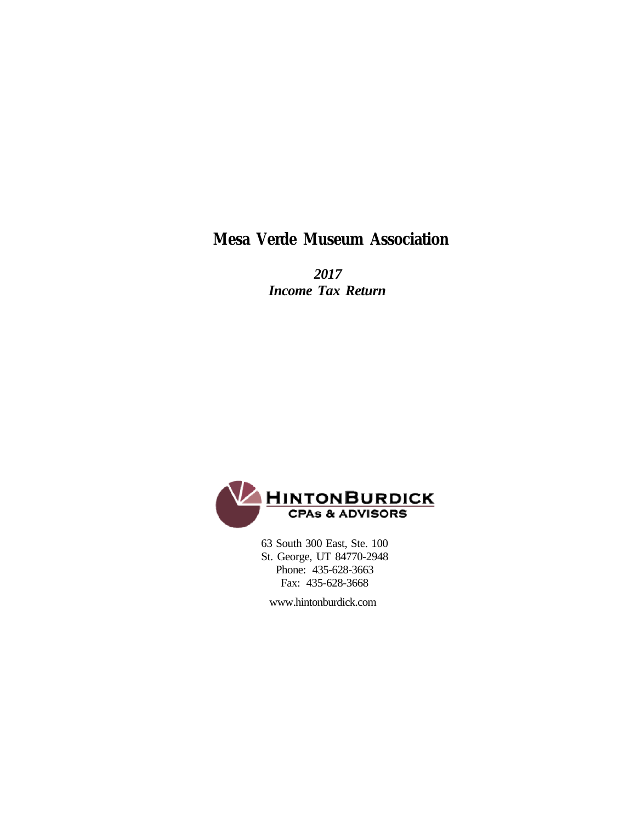### **Mesa Verde Museum Association**

 *2017 Income Tax Return*



 63 South 300 East, Ste. 100 St. George, UT 84770-2948 Phone: 435-628-3663 Fax: 435-628-3668

www.hintonburdick.com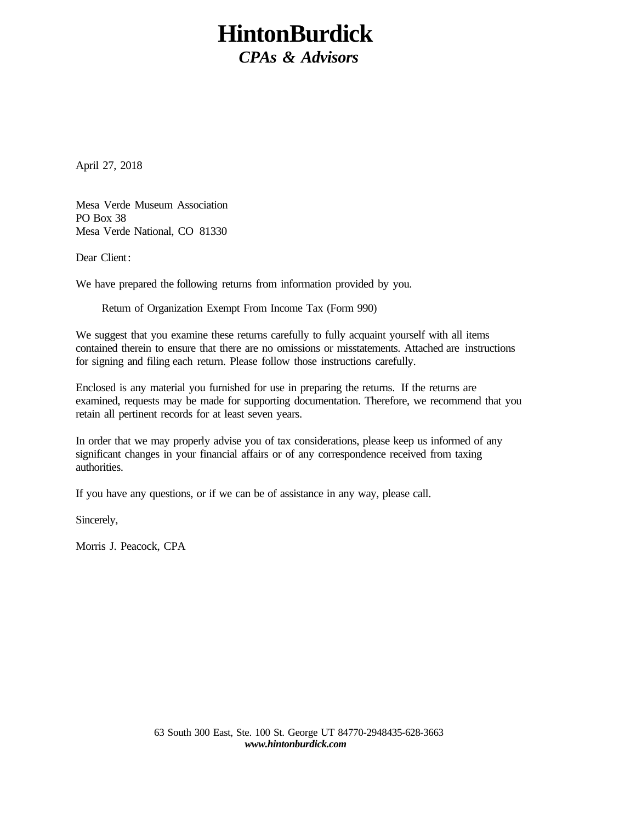# **HintonBurdick**

*CPAs & Advisors*

April 27, 2018

Mesa Verde Museum Association PO Box 38 Mesa Verde National, CO 81330

Dear Client:

We have prepared the following returns from information provided by you.

Return of Organization Exempt From Income Tax (Form 990)

We suggest that you examine these returns carefully to fully acquaint yourself with all items contained therein to ensure that there are no omissions or misstatements. Attached are instructions for signing and filing each return. Please follow those instructions carefully.

Enclosed is any material you furnished for use in preparing the returns. If the returns are examined, requests may be made for supporting documentation. Therefore, we recommend that you retain all pertinent records for at least seven years.

In order that we may properly advise you of tax considerations, please keep us informed of any significant changes in your financial affairs or of any correspondence received from taxing authorities.

If you have any questions, or if we can be of assistance in any way, please call.

Sincerely,

Morris J. Peacock, CPA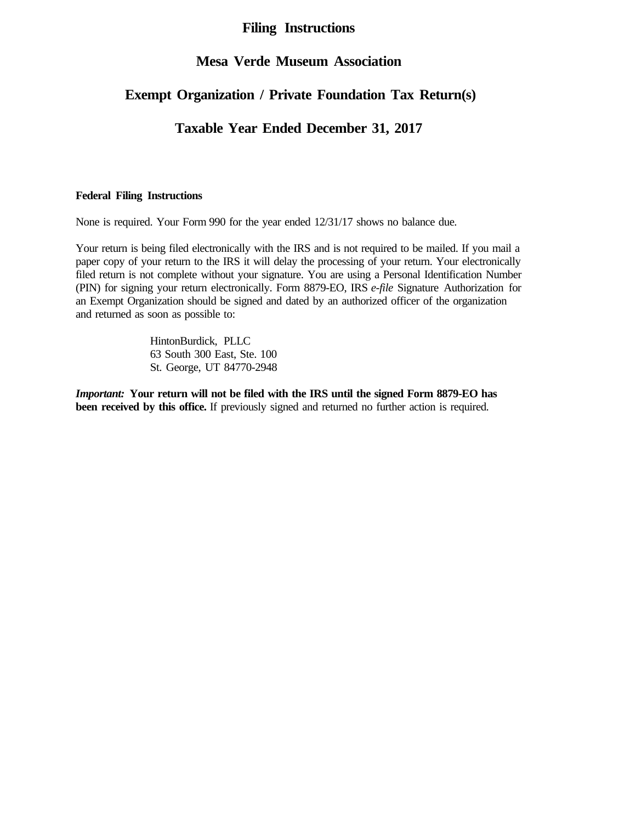### **Filing Instructions**

#### **Mesa Verde Museum Association**

### **Exempt Organization / Private Foundation Tax Return(s)**

### **Taxable Year Ended December 31, 2017**

#### **Federal Filing Instructions**

None is required. Your Form 990 for the year ended 12/31/17 shows no balance due.

Your return is being filed electronically with the IRS and is not required to be mailed. If you mail a paper copy of your return to the IRS it will delay the processing of your return. Your electronically filed return is not complete without your signature. You are using a Personal Identification Number (PIN) for signing your return electronically. Form 8879-EO, IRS *e-file* Signature Authorization for an Exempt Organization should be signed and dated by an authorized officer of the organization and returned as soon as possible to:

> HintonBurdick, PLLC 63 South 300 East, Ste. 100 St. George, UT 84770-2948

*Important:* **Your return will not be filed with the IRS until the signed Form 8879-EO has been received by this office.** If previously signed and returned no further action is required.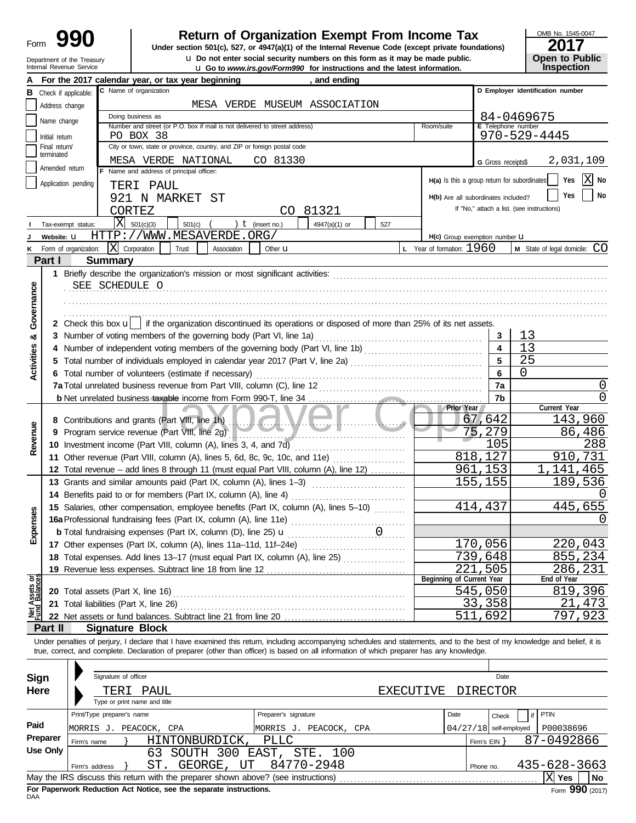| Form |                                                        |
|------|--------------------------------------------------------|
|      | Department of the Treasury<br>Internal Revenue Service |

# **990 1990 2017 2018 Depending Solution of Organization Exempt From Income Tax 19910 2017**

Internal Revenue Service **and internal Revenue Service in Service 3 and 11 Co to** *www.irs.gov/Form990* **for instructions and the latest information. u** Do not enter social security numbers on this form as it may be made public. **Dumen The Public Open to Public** 

| OMB No. 1545-0047 |      |
|-------------------|------|
|                   | へへィフ |

| ZU I 1 |                                      |
|--------|--------------------------------------|
|        | <b>Open to Public<br/>Inspection</b> |
|        |                                      |

|                                |                                 |                       | For the 2017 calendar year, or tax year beginning                                                                                          |             |                |                      | and ending                    |     |                  |                                              |                          |                                                                                                                                                                            |
|--------------------------------|---------------------------------|-----------------------|--------------------------------------------------------------------------------------------------------------------------------------------|-------------|----------------|----------------------|-------------------------------|-----|------------------|----------------------------------------------|--------------------------|----------------------------------------------------------------------------------------------------------------------------------------------------------------------------|
| в                              |                                 | Check if applicable:  | C Name of organization                                                                                                                     |             |                |                      |                               |     |                  |                                              |                          | D Employer identification number                                                                                                                                           |
|                                | Address change                  |                       |                                                                                                                                            |             |                |                      | MESA VERDE MUSEUM ASSOCIATION |     |                  |                                              |                          |                                                                                                                                                                            |
|                                | Name change                     |                       | Doing business as                                                                                                                          |             |                |                      |                               |     |                  |                                              |                          | 84-0469675                                                                                                                                                                 |
|                                |                                 |                       | Number and street (or P.O. box if mail is not delivered to street address)                                                                 |             |                |                      |                               |     |                  | Room/suite                                   | E Telephone number       |                                                                                                                                                                            |
|                                | Initial return<br>Final return/ |                       | PO BOX 38<br>City or town, state or province, country, and ZIP or foreign postal code                                                      |             |                |                      |                               |     |                  |                                              |                          | $970 - 529 - 4445$                                                                                                                                                         |
|                                | terminated                      |                       |                                                                                                                                            |             |                |                      |                               |     |                  |                                              |                          |                                                                                                                                                                            |
|                                | Amended return                  |                       | MESA VERDE NATIONAL<br>Name and address of principal officer:                                                                              |             |                | CO 81330             |                               |     |                  |                                              | G Gross receipts\$       | 2,031,109                                                                                                                                                                  |
|                                |                                 | Application pending   |                                                                                                                                            |             |                |                      |                               |     |                  | H(a) Is this a group return for subordinates |                          | ΙX<br>Yes<br>No                                                                                                                                                            |
|                                |                                 |                       | TERI PAUL                                                                                                                                  |             |                |                      |                               |     |                  |                                              |                          | No<br>Yes                                                                                                                                                                  |
|                                |                                 |                       | 921 N MARKET ST                                                                                                                            |             |                |                      |                               |     |                  | H(b) Are all subordinates included?          |                          | If "No," attach a list. (see instructions)                                                                                                                                 |
|                                |                                 |                       | CORTEZ                                                                                                                                     |             |                |                      | CO 81321                      |     |                  |                                              |                          |                                                                                                                                                                            |
|                                |                                 | Tax-exempt status:    | X<br>501(c)(3)                                                                                                                             | 501(c)      |                | $t$ (insert no.)     | 4947(a)(1) or                 | 527 |                  |                                              |                          |                                                                                                                                                                            |
|                                | Website: U                      |                       | HTTP://WWW.MESAVERDE.ORG/                                                                                                                  |             |                |                      |                               |     |                  | H(c) Group exemption number LI               |                          |                                                                                                                                                                            |
|                                |                                 | Form of organization: | lxl<br>Corporation                                                                                                                         | Trust       | Association    | Other <b>u</b>       |                               |     |                  | <b>L</b> Year of formation: $1960$           |                          | M State of legal domicile: CO                                                                                                                                              |
|                                | Part I                          |                       | <b>Summary</b>                                                                                                                             |             |                |                      |                               |     |                  |                                              |                          |                                                                                                                                                                            |
|                                |                                 |                       |                                                                                                                                            |             |                |                      |                               |     |                  |                                              |                          |                                                                                                                                                                            |
|                                |                                 |                       | SEE SCHEDULE O                                                                                                                             |             |                |                      |                               |     |                  |                                              |                          |                                                                                                                                                                            |
|                                |                                 |                       |                                                                                                                                            |             |                |                      |                               |     |                  |                                              |                          |                                                                                                                                                                            |
| Governance                     |                                 |                       |                                                                                                                                            |             |                |                      |                               |     |                  |                                              |                          |                                                                                                                                                                            |
|                                |                                 |                       | 2 Check this box u   if the organization discontinued its operations or disposed of more than 25% of its net assets.                       |             |                |                      |                               |     |                  |                                              |                          |                                                                                                                                                                            |
| න්                             |                                 |                       | 3 Number of voting members of the governing body (Part VI, line 1a)                                                                        |             |                |                      |                               |     |                  |                                              | 3                        | 13                                                                                                                                                                         |
|                                |                                 |                       |                                                                                                                                            |             |                |                      |                               |     |                  |                                              | $\overline{\mathbf{4}}$  | 13                                                                                                                                                                         |
|                                |                                 |                       | 5 Total number of individuals employed in calendar year 2017 (Part V, line 2a) [11] [20] [11] [20] [11] [20] [                             |             |                |                      |                               |     |                  |                                              | $5\phantom{a}$           | 25                                                                                                                                                                         |
| Activities                     |                                 |                       | 6 Total number of volunteers (estimate if necessary)                                                                                       |             |                |                      |                               |     |                  |                                              | 6                        | 0                                                                                                                                                                          |
|                                |                                 |                       |                                                                                                                                            |             |                |                      |                               |     |                  |                                              | 7a                       | O                                                                                                                                                                          |
|                                |                                 |                       |                                                                                                                                            |             |                |                      |                               |     |                  |                                              | 7 <sub>b</sub>           | O                                                                                                                                                                          |
|                                |                                 |                       |                                                                                                                                            |             |                |                      |                               |     |                  | Prior Year                                   |                          | Current Year                                                                                                                                                               |
|                                |                                 |                       |                                                                                                                                            |             |                |                      |                               |     |                  |                                              | 67,642                   | 143,960                                                                                                                                                                    |
|                                |                                 |                       | 9 Program service revenue (Part VIII, line 2g)                                                                                             |             |                |                      |                               |     |                  |                                              | 75,279                   | 86,486                                                                                                                                                                     |
| Revenue                        |                                 |                       | 10 Investment income (Part VIII, column (A), lines 3, 4, and 7d)                                                                           |             |                |                      |                               |     |                  |                                              | 105                      | 288                                                                                                                                                                        |
|                                |                                 |                       | 11 Other revenue (Part VIII, column (A), lines 5, 6d, 8c, 9c, 10c, and 11e)                                                                |             |                |                      |                               |     |                  |                                              | 818,127                  | 910,731                                                                                                                                                                    |
|                                |                                 |                       | 12 Total revenue - add lines 8 through 11 (must equal Part VIII, column (A), line 12)                                                      |             |                |                      |                               |     |                  |                                              | 961,153                  | 1,141,465                                                                                                                                                                  |
|                                |                                 |                       | 13 Grants and similar amounts paid (Part IX, column (A), lines 1-3)                                                                        |             |                |                      |                               |     |                  |                                              | 155,155                  | 189,536                                                                                                                                                                    |
|                                |                                 |                       | 14 Benefits paid to or for members (Part IX, column (A), line 4)                                                                           |             |                |                      |                               |     |                  |                                              |                          |                                                                                                                                                                            |
|                                |                                 |                       | 15 Salaries, other compensation, employee benefits (Part IX, column (A), lines 5-10)                                                       |             |                |                      |                               |     |                  |                                              | 414,437                  | 445,655                                                                                                                                                                    |
| xpenses                        |                                 |                       |                                                                                                                                            |             |                |                      |                               |     |                  |                                              |                          |                                                                                                                                                                            |
|                                |                                 |                       |                                                                                                                                            |             |                |                      |                               |     |                  |                                              |                          |                                                                                                                                                                            |
| ш                              |                                 |                       | 17 Other expenses (Part IX, column (A), lines 11a-11d, 11f-24e)                                                                            |             |                |                      |                               |     |                  |                                              | 170,056                  | 220,043                                                                                                                                                                    |
|                                |                                 |                       | 18 Total expenses. Add lines 13-17 (must equal Part IX, column (A), line 25)                                                               |             |                |                      |                               |     |                  |                                              | 739,648                  | 855,234                                                                                                                                                                    |
|                                |                                 |                       |                                                                                                                                            |             |                |                      |                               |     |                  |                                              | 221,505                  | 286,231                                                                                                                                                                    |
| Net Assets or<br>Fund Balances |                                 |                       |                                                                                                                                            |             |                |                      |                               |     |                  | Beginning of Current Year                    |                          | End of Year                                                                                                                                                                |
|                                |                                 |                       | 20 Total assets (Part X, line 16)                                                                                                          |             |                |                      |                               |     |                  |                                              | <u>545,050</u>           | <u>819,396</u>                                                                                                                                                             |
|                                |                                 |                       | 21 Total liabilities (Part X, line 26)                                                                                                     |             |                |                      |                               |     |                  |                                              | <u>33,358</u>            | 21,473                                                                                                                                                                     |
|                                |                                 |                       | 22 Net assets or fund balances. Subtract line 21 from line 20                                                                              |             |                |                      |                               |     |                  |                                              | 511,692                  | 797,923                                                                                                                                                                    |
|                                | Part II                         |                       | <b>Signature Block</b>                                                                                                                     |             |                |                      |                               |     |                  |                                              |                          |                                                                                                                                                                            |
|                                |                                 |                       |                                                                                                                                            |             |                |                      |                               |     |                  |                                              |                          | Under penalties of perjury, I declare that I have examined this return, including accompanying schedules and statements, and to the best of my knowledge and belief, it is |
|                                |                                 |                       | true, correct, and complete. Declaration of preparer (other than officer) is based on all information of which preparer has any knowledge. |             |                |                      |                               |     |                  |                                              |                          |                                                                                                                                                                            |
|                                |                                 |                       |                                                                                                                                            |             |                |                      |                               |     |                  |                                              |                          |                                                                                                                                                                            |
| <b>Sign</b>                    |                                 |                       | Signature of officer                                                                                                                       |             |                |                      |                               |     |                  |                                              | Date                     |                                                                                                                                                                            |
| Here                           |                                 |                       | PAUL<br>TERI                                                                                                                               |             |                |                      |                               |     | <b>EXECUTIVE</b> |                                              | DIRECTOR                 |                                                                                                                                                                            |
|                                |                                 |                       | Type or print name and title                                                                                                               |             |                |                      |                               |     |                  |                                              |                          |                                                                                                                                                                            |
|                                |                                 |                       | Print/Type preparer's name                                                                                                                 |             |                | Preparer's signature |                               |     |                  | Date                                         | Check                    | <b>PTIN</b>                                                                                                                                                                |
| Paid                           |                                 |                       | MORRIS J. PEACOCK, CPA                                                                                                                     |             |                |                      | MORRIS J. PEACOCK, CPA        |     |                  |                                              | $04/27/18$ self-employed | P00038696                                                                                                                                                                  |
|                                | Preparer                        | Firm's name           |                                                                                                                                            |             | HINTONBURDICK, | <b>PLLC</b>          |                               |     |                  |                                              | Firm's $EIN$ }           | 87-0492866                                                                                                                                                                 |
|                                | <b>Use Only</b>                 |                       |                                                                                                                                            |             |                |                      | 63 SOUTH 300 EAST, STE. 100   |     |                  |                                              |                          |                                                                                                                                                                            |
|                                |                                 | Firm's address        |                                                                                                                                            | ST. GEORGE, | UT             |                      | 84770-2948                    |     |                  |                                              | Phone no.                | 435-628-3663                                                                                                                                                               |
|                                |                                 |                       | May the IRS discuss this return with the preparer shown above? (see instructions)                                                          |             |                |                      |                               |     |                  |                                              |                          | X<br>Yes<br>No                                                                                                                                                             |

| Sign     |                            | Signature of officer |                                                                                   |                        |           |      | Date                     |                    |        |
|----------|----------------------------|----------------------|-----------------------------------------------------------------------------------|------------------------|-----------|------|--------------------------|--------------------|--------|
| Here     |                            |                      | TERI PAUL                                                                         |                        | EXECUTIVE |      | DIRECTOR                 |                    |        |
|          |                            |                      | Type or print name and title                                                      |                        |           |      |                          |                    |        |
|          | Print/Type preparer's name |                      |                                                                                   | Preparer's signature   |           | Date | Check                    | <b>PTIN</b>        |        |
| Paid     |                            |                      | MORRIS J. PEACOCK, CPA                                                            | MORRIS J. PEACOCK, CPA |           |      | $04/27/18$ self-employed | P00038696          |        |
| Preparer | Firm's name                |                      | HINTONBURDICK,                                                                    | PLLC                   |           |      | Firm's $EIN$ $\}$        | 87-0492866         |        |
| Use Only |                            |                      | 63 SOUTH 300 EAST, STE. 100                                                       |                        |           |      |                          |                    |        |
|          | Firm's address             |                      | GEORGE,<br>UT<br>ST.                                                              | 84770-2948             |           |      | Phone no.                | $435 - 628 - 3663$ |        |
|          |                            |                      | May the IRS discuss this return with the preparer shown above? (see instructions) |                        |           |      |                          | <b>Yes</b>         | No     |
|          |                            |                      |                                                                                   |                        |           |      |                          |                    | $\sim$ |

**For Paperwork Reduction Act Notice, see the separate instructions.**<br>DAA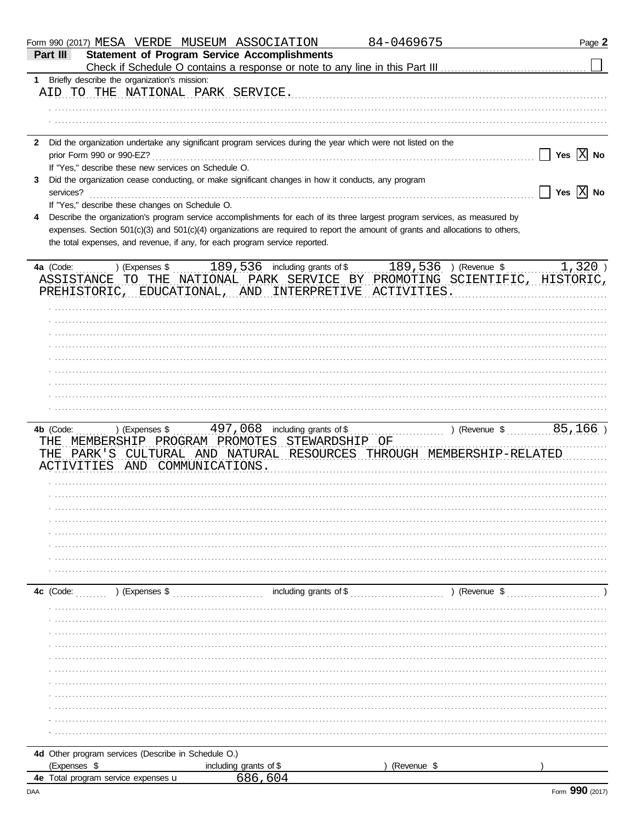|              |                                                      | Form 990 (2017) MESA VERDE MUSEUM ASSOCIATION                                                                                                                                                                                                                | 84-0469675             | Page 2                                                                    |
|--------------|------------------------------------------------------|--------------------------------------------------------------------------------------------------------------------------------------------------------------------------------------------------------------------------------------------------------------|------------------------|---------------------------------------------------------------------------|
| Part III     |                                                      | <b>Statement of Program Service Accomplishments</b>                                                                                                                                                                                                          |                        |                                                                           |
|              | 1 Briefly describe the organization's mission:       |                                                                                                                                                                                                                                                              |                        |                                                                           |
|              | AID TO THE NATIONAL PARK SERVICE.                    |                                                                                                                                                                                                                                                              |                        |                                                                           |
|              |                                                      |                                                                                                                                                                                                                                                              |                        |                                                                           |
|              |                                                      |                                                                                                                                                                                                                                                              |                        |                                                                           |
|              |                                                      | 2 Did the organization undertake any significant program services during the year which were not listed on the                                                                                                                                               |                        |                                                                           |
|              | prior Form 990 or 990-EZ?                            |                                                                                                                                                                                                                                                              |                        | Yes $X$ No                                                                |
|              | If "Yes," describe these new services on Schedule O. |                                                                                                                                                                                                                                                              |                        |                                                                           |
| 3.           |                                                      | Did the organization cease conducting, or make significant changes in how it conducts, any program                                                                                                                                                           |                        |                                                                           |
| services?    |                                                      |                                                                                                                                                                                                                                                              |                        | Yes $X$ No                                                                |
|              | If "Yes," describe these changes on Schedule O.      |                                                                                                                                                                                                                                                              |                        |                                                                           |
|              |                                                      | Describe the organization's program service accomplishments for each of its three largest program services, as measured by<br>expenses. Section 501(c)(3) and 501(c)(4) organizations are required to report the amount of grants and allocations to others, |                        |                                                                           |
|              |                                                      | the total expenses, and revenue, if any, for each program service reported.                                                                                                                                                                                  |                        |                                                                           |
|              |                                                      |                                                                                                                                                                                                                                                              |                        |                                                                           |
|              |                                                      | 4a (Code:  ) (Expenses \$  189, 536 including grants of \$  189, 536 ) (Revenue \$                                                                                                                                                                           |                        | $1,320$ )                                                                 |
|              |                                                      |                                                                                                                                                                                                                                                              |                        | ASSISTANCE TO THE NATIONAL PARK SERVICE BY PROMOTING SCIENTIFIC, HISTORIC |
|              |                                                      | PREHISTORIC, EDUCATIONAL, AND INTERPRETIVE ACTIVITIES                                                                                                                                                                                                        |                        |                                                                           |
|              |                                                      |                                                                                                                                                                                                                                                              |                        |                                                                           |
|              |                                                      |                                                                                                                                                                                                                                                              |                        |                                                                           |
|              |                                                      |                                                                                                                                                                                                                                                              |                        |                                                                           |
|              |                                                      |                                                                                                                                                                                                                                                              |                        |                                                                           |
|              |                                                      |                                                                                                                                                                                                                                                              |                        |                                                                           |
|              |                                                      |                                                                                                                                                                                                                                                              |                        |                                                                           |
|              |                                                      |                                                                                                                                                                                                                                                              |                        |                                                                           |
|              |                                                      |                                                                                                                                                                                                                                                              |                        |                                                                           |
|              |                                                      |                                                                                                                                                                                                                                                              |                        |                                                                           |
|              |                                                      |                                                                                                                                                                                                                                                              |                        |                                                                           |
|              |                                                      | THE MEMBERSHIP PROGRAM PROMOTES STEWARDSHIP OF                                                                                                                                                                                                               |                        |                                                                           |
| THE.         |                                                      | PARK'S CULTURAL AND NATURAL RESOURCES THROUGH MEMBERSHIP-RELATED                                                                                                                                                                                             |                        |                                                                           |
|              | ACTIVITIES AND COMMUNICATIONS.                       |                                                                                                                                                                                                                                                              |                        |                                                                           |
|              |                                                      |                                                                                                                                                                                                                                                              |                        |                                                                           |
|              |                                                      |                                                                                                                                                                                                                                                              |                        |                                                                           |
|              |                                                      |                                                                                                                                                                                                                                                              |                        |                                                                           |
|              |                                                      |                                                                                                                                                                                                                                                              |                        |                                                                           |
|              |                                                      |                                                                                                                                                                                                                                                              |                        |                                                                           |
|              |                                                      |                                                                                                                                                                                                                                                              |                        |                                                                           |
|              |                                                      |                                                                                                                                                                                                                                                              |                        |                                                                           |
|              |                                                      |                                                                                                                                                                                                                                                              |                        |                                                                           |
|              | 4c (Code: ) (Expenses \$                             |                                                                                                                                                                                                                                                              | including grants of \$ | ) (Revenue $\frac{1}{2}$                                                  |
|              |                                                      |                                                                                                                                                                                                                                                              |                        |                                                                           |
|              |                                                      |                                                                                                                                                                                                                                                              |                        |                                                                           |
|              |                                                      |                                                                                                                                                                                                                                                              |                        |                                                                           |
|              |                                                      |                                                                                                                                                                                                                                                              |                        |                                                                           |
|              |                                                      |                                                                                                                                                                                                                                                              |                        |                                                                           |
|              |                                                      |                                                                                                                                                                                                                                                              |                        |                                                                           |
|              |                                                      |                                                                                                                                                                                                                                                              |                        |                                                                           |
|              |                                                      |                                                                                                                                                                                                                                                              |                        |                                                                           |
|              |                                                      |                                                                                                                                                                                                                                                              |                        |                                                                           |
|              |                                                      |                                                                                                                                                                                                                                                              |                        |                                                                           |
|              |                                                      |                                                                                                                                                                                                                                                              |                        |                                                                           |
|              | 4d Other program services (Describe in Schedule O.)  |                                                                                                                                                                                                                                                              |                        |                                                                           |
| (Expenses \$ |                                                      | including grants of \$<br>686,604                                                                                                                                                                                                                            | (Revenue \$            |                                                                           |
|              | 4e Total program service expenses u                  |                                                                                                                                                                                                                                                              |                        |                                                                           |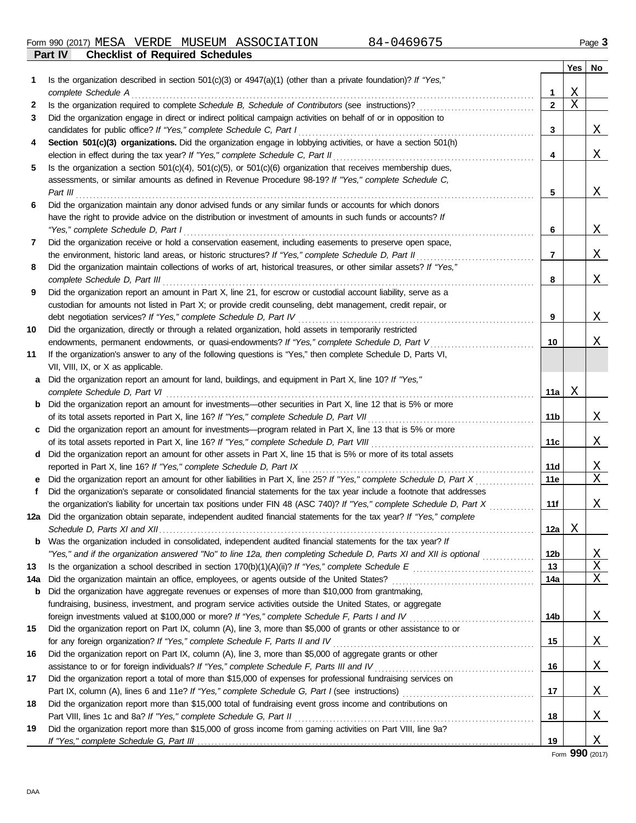|     |                                                                                                                                                                                                                                                     |                | <b>Yes</b> | No           |
|-----|-----------------------------------------------------------------------------------------------------------------------------------------------------------------------------------------------------------------------------------------------------|----------------|------------|--------------|
| 1.  | Is the organization described in section $501(c)(3)$ or $4947(a)(1)$ (other than a private foundation)? If "Yes,"                                                                                                                                   |                |            |              |
|     | complete Schedule A <sub>ccre</sub> mental control and accretion of the schedule Accretive Complete Schedule A <sub>ccretiv</sub> e Complete Schedule Accretive Complete Schedule Accretive Complete Schedule Accretive Complete Schedule Accretive | $\mathbf 1$    | Χ          |              |
| 2   | Is the organization required to complete Schedule B, Schedule of Contributors (see instructions)?                                                                                                                                                   | $\mathbf{2}$   | Χ          |              |
| 3   | Did the organization engage in direct or indirect political campaign activities on behalf of or in opposition to                                                                                                                                    |                |            |              |
|     | candidates for public office? If "Yes," complete Schedule C, Part I                                                                                                                                                                                 | 3              |            | X            |
| 4   | Section 501(c)(3) organizations. Did the organization engage in lobbying activities, or have a section 501(h)                                                                                                                                       |                |            |              |
|     |                                                                                                                                                                                                                                                     | 4              |            | X            |
| 5   | Is the organization a section $501(c)(4)$ , $501(c)(5)$ , or $501(c)(6)$ organization that receives membership dues,                                                                                                                                |                |            |              |
|     | assessments, or similar amounts as defined in Revenue Procedure 98-19? If "Yes," complete Schedule C,                                                                                                                                               |                |            |              |
|     | Part III                                                                                                                                                                                                                                            | 5              |            | X            |
| 6   | Did the organization maintain any donor advised funds or any similar funds or accounts for which donors                                                                                                                                             |                |            |              |
|     | have the right to provide advice on the distribution or investment of amounts in such funds or accounts? If                                                                                                                                         |                |            |              |
|     |                                                                                                                                                                                                                                                     | 6              |            | X            |
| 7   | Did the organization receive or hold a conservation easement, including easements to preserve open space,                                                                                                                                           |                |            |              |
|     | the environment, historic land areas, or historic structures? If "Yes," complete Schedule D, Part II                                                                                                                                                | $\overline{7}$ |            | Χ            |
| 8   | Did the organization maintain collections of works of art, historical treasures, or other similar assets? If "Yes,"                                                                                                                                 |                |            |              |
|     |                                                                                                                                                                                                                                                     | 8              |            | Χ            |
| 9   | Did the organization report an amount in Part X, line 21, for escrow or custodial account liability, serve as a                                                                                                                                     |                |            |              |
|     | custodian for amounts not listed in Part X; or provide credit counseling, debt management, credit repair, or                                                                                                                                        |                |            |              |
|     |                                                                                                                                                                                                                                                     | 9              |            | Χ            |
| 10  | Did the organization, directly or through a related organization, hold assets in temporarily restricted                                                                                                                                             |                |            |              |
|     | endowments, permanent endowments, or quasi-endowments? If "Yes," complete Schedule D, Part V                                                                                                                                                        | 10             |            | Χ            |
| 11  | If the organization's answer to any of the following questions is "Yes," then complete Schedule D, Parts VI,                                                                                                                                        |                |            |              |
|     | VII, VIII, IX, or X as applicable.                                                                                                                                                                                                                  |                |            |              |
|     | a Did the organization report an amount for land, buildings, and equipment in Part X, line 10? If "Yes,"                                                                                                                                            |                |            |              |
|     |                                                                                                                                                                                                                                                     | 11a            | Χ          |              |
|     | <b>b</b> Did the organization report an amount for investments—other securities in Part X, line 12 that is 5% or more                                                                                                                               |                |            |              |
|     |                                                                                                                                                                                                                                                     | 11b            |            | X            |
|     | c Did the organization report an amount for investments—program related in Part X, line 13 that is 5% or more                                                                                                                                       |                |            |              |
|     |                                                                                                                                                                                                                                                     | 11c            |            | Χ            |
|     | d Did the organization report an amount for other assets in Part X, line 15 that is 5% or more of its total assets                                                                                                                                  |                |            |              |
|     |                                                                                                                                                                                                                                                     | 11d            |            | <u>X</u>     |
|     | reported in Part X, line 16? If "Yes," complete Schedule D, Part IX [[CODECT] CONDERGANGER THE REPORTS<br>Did the organization report an amount for other liabilities in Part X, line 25? If "Yes," complete Schedule D, Part X                     | <b>11e</b>     |            | X            |
| f   |                                                                                                                                                                                                                                                     |                |            |              |
|     | Did the organization's separate or consolidated financial statements for the tax year include a footnote that addresses<br>the organization's liability for uncertain tax positions under FIN 48 (ASC 740)? If "Yes," complete Schedule D, Part X   | 11f            |            | Χ            |
|     | 12a Did the organization obtain separate, independent audited financial statements for the tax year? If "Yes," complete                                                                                                                             |                |            |              |
|     |                                                                                                                                                                                                                                                     |                | Χ          |              |
| b   | Was the organization included in consolidated, independent audited financial statements for the tax year? If                                                                                                                                        | 12a            |            |              |
|     | "Yes," and if the organization answered "No" to line 12a, then completing Schedule D, Parts XI and XII is optional                                                                                                                                  | 12b            |            | <u>X</u>     |
| 13  |                                                                                                                                                                                                                                                     | 13             |            | $\mathbf{X}$ |
| 14a |                                                                                                                                                                                                                                                     | 14a            |            | Χ            |
| b   | Did the organization have aggregate revenues or expenses of more than \$10,000 from grantmaking,                                                                                                                                                    |                |            |              |
|     | fundraising, business, investment, and program service activities outside the United States, or aggregate                                                                                                                                           |                |            |              |
|     |                                                                                                                                                                                                                                                     | 14b            |            | <u>X</u>     |
|     |                                                                                                                                                                                                                                                     |                |            |              |
| 15  | Did the organization report on Part IX, column (A), line 3, more than \$5,000 of grants or other assistance to or                                                                                                                                   | 15             |            |              |
|     | for any foreign organization? If "Yes," complete Schedule F, Parts II and IV [[[[[[[[[[[[[[[[[[[[[[[[[[[[[[[[                                                                                                                                       |                |            | <u>X</u>     |
| 16  | Did the organization report on Part IX, column (A), line 3, more than \$5,000 of aggregate grants or other                                                                                                                                          |                |            |              |
|     | assistance to or for foreign individuals? If "Yes," complete Schedule F, Parts III and IV [[[[[[[[[[[[[[[[[[[                                                                                                                                       | 16             |            | <u>X</u>     |
| 17  | Did the organization report a total of more than \$15,000 of expenses for professional fundraising services on                                                                                                                                      |                |            |              |
|     |                                                                                                                                                                                                                                                     | 17             |            | <u>X</u>     |
| 18  | Did the organization report more than \$15,000 total of fundraising event gross income and contributions on                                                                                                                                         |                |            |              |
|     |                                                                                                                                                                                                                                                     | 18             |            | <u>X</u>     |
| 19  | Did the organization report more than \$15,000 of gross income from gaming activities on Part VIII, line 9a?                                                                                                                                        | 19             |            |              |
|     |                                                                                                                                                                                                                                                     |                |            | <u>x</u>     |

Form **990** (2017)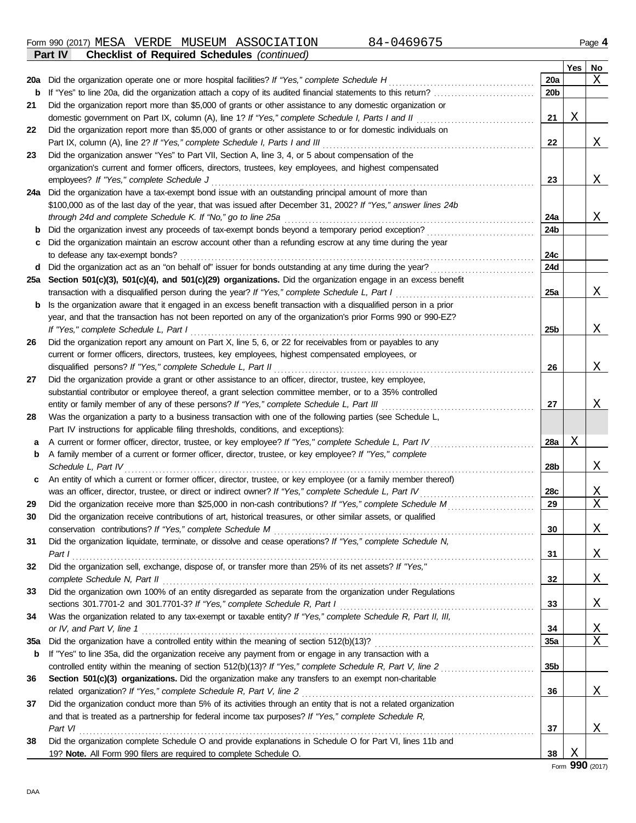Form 990 (2017) MESA VERDE MUSEUM ASSOCIATION 84-0469675 Page 4 **Part IV Checklist of Required Schedules** *(continued)*

|     |                                                                                                                  |                 | Yes | No.      |
|-----|------------------------------------------------------------------------------------------------------------------|-----------------|-----|----------|
| 20a | Did the organization operate one or more hospital facilities? If "Yes," complete Schedule H                      | 20a             |     | Χ        |
| b   | If "Yes" to line 20a, did the organization attach a copy of its audited financial statements to this return?     | 20 <sub>b</sub> |     |          |
| 21  | Did the organization report more than \$5,000 of grants or other assistance to any domestic organization or      |                 |     |          |
|     | domestic government on Part IX, column (A), line 1? If "Yes," complete Schedule I, Parts I and II                | 21              | Χ   |          |
| 22  | Did the organization report more than \$5,000 of grants or other assistance to or for domestic individuals on    |                 |     |          |
|     | Part IX, column (A), line 2? If "Yes," complete Schedule I, Parts I and III                                      | 22              |     | Χ        |
| 23  | Did the organization answer "Yes" to Part VII, Section A, line 3, 4, or 5 about compensation of the              |                 |     |          |
|     | organization's current and former officers, directors, trustees, key employees, and highest compensated          |                 |     |          |
|     | employees? If "Yes," complete Schedule J                                                                         | 23              |     | Χ        |
| 24a | Did the organization have a tax-exempt bond issue with an outstanding principal amount of more than              |                 |     |          |
|     | \$100,000 as of the last day of the year, that was issued after December 31, 2002? If "Yes," answer lines 24b    |                 |     |          |
|     | through 24d and complete Schedule K. If "No," go to line 25a                                                     | 24a             |     | X        |
| b   | Did the organization invest any proceeds of tax-exempt bonds beyond a temporary period exception?                | 24b             |     |          |
| с   | Did the organization maintain an escrow account other than a refunding escrow at any time during the year        |                 |     |          |
|     | to defease any tax-exempt bonds?                                                                                 | 24c             |     |          |
| d   | Did the organization act as an "on behalf of" issuer for bonds outstanding at any time during the year?          | 24d             |     |          |
| 25a | Section 501(c)(3), 501(c)(4), and 501(c)(29) organizations. Did the organization engage in an excess benefit     |                 |     |          |
|     | transaction with a disqualified person during the year? If "Yes," complete Schedule L, Part I.                   | <b>25a</b>      |     | X        |
| b   | Is the organization aware that it engaged in an excess benefit transaction with a disqualified person in a prior |                 |     |          |
|     | year, and that the transaction has not been reported on any of the organization's prior Forms 990 or 990-EZ?     |                 |     |          |
|     | If "Yes," complete Schedule L, Part I                                                                            | 25b             |     | X        |
| 26  | Did the organization report any amount on Part X, line 5, 6, or 22 for receivables from or payables to any       |                 |     |          |
|     | current or former officers, directors, trustees, key employees, highest compensated employees, or                |                 |     |          |
|     | disqualified persons? If "Yes," complete Schedule L, Part II                                                     | 26              |     | X        |
| 27  | Did the organization provide a grant or other assistance to an officer, director, trustee, key employee,         |                 |     |          |
|     | substantial contributor or employee thereof, a grant selection committee member, or to a 35% controlled          |                 |     |          |
|     | entity or family member of any of these persons? If "Yes," complete Schedule L, Part III                         | 27              |     | Χ        |
| 28  | Was the organization a party to a business transaction with one of the following parties (see Schedule L,        |                 |     |          |
|     | Part IV instructions for applicable filing thresholds, conditions, and exceptions):                              |                 |     |          |
| а   | A current or former officer, director, trustee, or key employee? If "Yes," complete Schedule L, Part IV          | <b>28a</b>      | Χ   |          |
| b   | A family member of a current or former officer, director, trustee, or key employee? If "Yes," complete           |                 |     |          |
|     | Schedule L, Part IV                                                                                              | 28b             |     | X        |
| c   | An entity of which a current or former officer, director, trustee, or key employee (or a family member thereof)  |                 |     |          |
|     | was an officer, director, trustee, or direct or indirect owner? If "Yes," complete Schedule L, Part IV           | 28c             |     | X        |
| 29  | Did the organization receive more than \$25,000 in non-cash contributions? If "Yes," complete Schedule M         | 29              |     | X        |
| 30  | Did the organization receive contributions of art, historical treasures, or other similar assets, or qualified   |                 |     |          |
|     | conservation contributions? If "Yes," complete Schedule M                                                        | 30              |     | <u>X</u> |
| 31  | Did the organization liquidate, terminate, or dissolve and cease operations? If "Yes," complete Schedule N,      |                 |     |          |
|     |                                                                                                                  | 31              |     | <u>X</u> |
| 32  | Did the organization sell, exchange, dispose of, or transfer more than 25% of its net assets? If "Yes,"          |                 |     |          |
|     |                                                                                                                  | 32              |     | <u>X</u> |
| 33  | Did the organization own 100% of an entity disregarded as separate from the organization under Regulations       |                 |     |          |
|     |                                                                                                                  | 33              |     | <u>X</u> |
| 34  | Was the organization related to any tax-exempt or taxable entity? If "Yes," complete Schedule R, Part II, III,   |                 |     |          |
|     |                                                                                                                  | 34              |     | <u>X</u> |
| 35a |                                                                                                                  | 35a             |     | X        |
| b   | If "Yes" to line 35a, did the organization receive any payment from or engage in any transaction with a          |                 |     |          |
|     |                                                                                                                  | 35 <sub>b</sub> |     |          |
| 36  | Section 501(c)(3) organizations. Did the organization make any transfers to an exempt non-charitable             |                 |     |          |
|     |                                                                                                                  | 36              |     | <u>X</u> |
| 37  | Did the organization conduct more than 5% of its activities through an entity that is not a related organization |                 |     |          |
|     | and that is treated as a partnership for federal income tax purposes? If "Yes," complete Schedule R,             |                 |     |          |
|     |                                                                                                                  | 37              |     | Χ        |
| 38  | Did the organization complete Schedule O and provide explanations in Schedule O for Part VI, lines 11b and       |                 |     |          |
|     | 19? Note. All Form 990 filers are required to complete Schedule O.                                               | 38              | Χ   |          |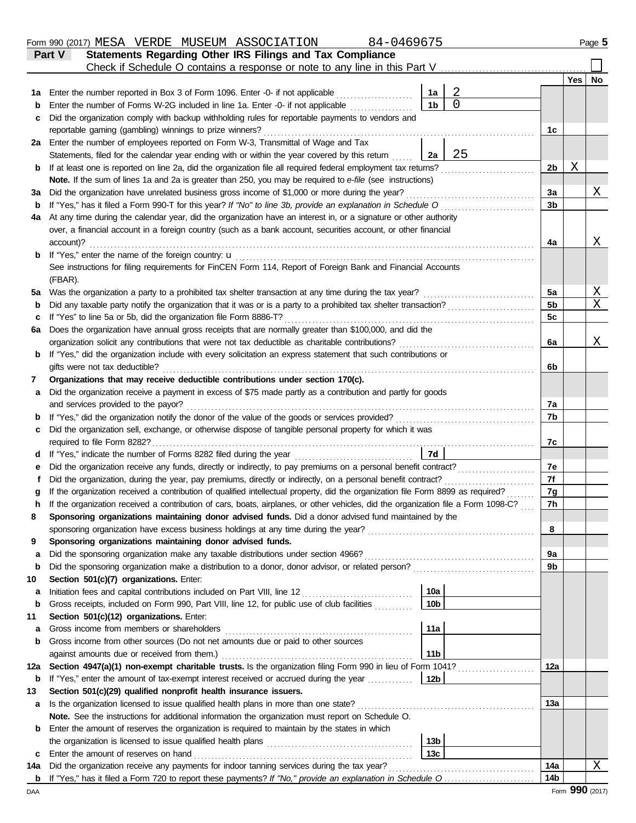|        | 84-0469675<br>Form 990 (2017) MESA VERDE MUSEUM ASSOCIATION                                                                                                                                  |                 |                |                |     | Page 5                  |
|--------|----------------------------------------------------------------------------------------------------------------------------------------------------------------------------------------------|-----------------|----------------|----------------|-----|-------------------------|
|        | Statements Regarding Other IRS Filings and Tax Compliance<br><b>Part V</b>                                                                                                                   |                 |                |                |     |                         |
|        | Check if Schedule O contains a response or note to any line in this Part V                                                                                                                   |                 |                |                |     |                         |
|        |                                                                                                                                                                                              |                 |                |                | Yes | No                      |
| 1а     | Enter the number reported in Box 3 of Form 1096. Enter -0- if not applicable                                                                                                                 | 1a              | $\overline{a}$ |                |     |                         |
| b      | Enter the number of Forms W-2G included in line 1a. Enter -0- if not applicable                                                                                                              | 1 <sub>b</sub>  | $\Omega$       |                |     |                         |
| c      | Did the organization comply with backup withholding rules for reportable payments to vendors and                                                                                             |                 |                |                |     |                         |
|        | reportable gaming (gambling) winnings to prize winners?                                                                                                                                      |                 |                | 1c             |     |                         |
|        | 2a Enter the number of employees reported on Form W-3, Transmittal of Wage and Tax                                                                                                           |                 |                |                |     |                         |
|        | Statements, filed for the calendar year ending with or within the year covered by this return                                                                                                | 2a              | 25             |                |     |                         |
| b      | If at least one is reported on line 2a, did the organization file all required federal employment tax returns?                                                                               |                 |                | 2b             | Χ   |                         |
|        | Note. If the sum of lines 1a and 2a is greater than 250, you may be required to e-file (see instructions)                                                                                    |                 |                |                |     |                         |
| За     | Did the organization have unrelated business gross income of \$1,000 or more during the year?                                                                                                |                 |                | 3a             |     | Χ                       |
| b      | If "Yes," has it filed a Form 990-T for this year? If "No" to line 3b, provide an explanation in Schedule O                                                                                  |                 |                | 3 <sub>b</sub> |     |                         |
| 4a     | At any time during the calendar year, did the organization have an interest in, or a signature or other authority                                                                            |                 |                |                |     |                         |
|        | over, a financial account in a foreign country (such as a bank account, securities account, or other financial                                                                               |                 |                |                |     |                         |
|        | account)?                                                                                                                                                                                    |                 |                | 4a             |     | Χ                       |
| b      |                                                                                                                                                                                              |                 |                |                |     |                         |
|        | See instructions for filing requirements for FinCEN Form 114, Report of Foreign Bank and Financial Accounts                                                                                  |                 |                |                |     |                         |
|        | (FBAR).                                                                                                                                                                                      |                 |                |                |     |                         |
| 5а     | Was the organization a party to a prohibited tax shelter transaction at any time during the tax year?                                                                                        |                 |                | 5a             |     | $\overline{\mathrm{X}}$ |
| b      | Did any taxable party notify the organization that it was or is a party to a prohibited tax shelter transaction?                                                                             |                 |                | 5b             |     | X                       |
| c      | If "Yes" to line 5a or 5b, did the organization file Form 8886-T?                                                                                                                            |                 |                | 5c             |     |                         |
| 6а     | Does the organization have annual gross receipts that are normally greater than \$100,000, and did the                                                                                       |                 |                |                |     |                         |
|        | organization solicit any contributions that were not tax deductible as charitable contributions?                                                                                             |                 |                | 6a             |     | Χ                       |
| b      | If "Yes," did the organization include with every solicitation an express statement that such contributions or                                                                               |                 |                |                |     |                         |
|        | gifts were not tax deductible?                                                                                                                                                               |                 |                | 6b             |     |                         |
| 7      | Organizations that may receive deductible contributions under section 170(c).<br>Did the organization receive a payment in excess of \$75 made partly as a contribution and partly for goods |                 |                |                |     |                         |
| а      | and services provided to the payor?                                                                                                                                                          |                 |                | 7a             |     |                         |
|        |                                                                                                                                                                                              |                 |                | 7b             |     |                         |
| b<br>с | Did the organization sell, exchange, or otherwise dispose of tangible personal property for which it was                                                                                     |                 |                |                |     |                         |
|        | required to file Form 8282?                                                                                                                                                                  |                 |                | 7c             |     |                         |
| d      | If "Yes," indicate the number of Forms 8282 filed during the year                                                                                                                            | 7d              |                |                |     |                         |
| е      | Did the organization receive any funds, directly or indirectly, to pay premiums on a personal benefit contract?                                                                              |                 |                | 7e             |     |                         |
|        | Did the organization, during the year, pay premiums, directly or indirectly, on a personal benefit contract?                                                                                 |                 |                | 7f             |     |                         |
|        | If the organization received a contribution of qualified intellectual property, did the organization file Form 8899 as required?                                                             |                 |                | 7g             |     |                         |
|        | If the organization received a contribution of cars, boats, airplanes, or other vehicles, did the organization file a Form 1098-C?                                                           |                 |                | 7h             |     |                         |
| 8      | Sponsoring organizations maintaining donor advised funds. Did a donor advised fund maintained by the                                                                                         |                 |                |                |     |                         |
|        |                                                                                                                                                                                              |                 |                | 8              |     |                         |
| 9      | Sponsoring organizations maintaining donor advised funds.                                                                                                                                    |                 |                |                |     |                         |
| a      | Did the sponsoring organization make any taxable distributions under section 4966?                                                                                                           |                 |                | 9а             |     |                         |
| b      |                                                                                                                                                                                              |                 |                | 9b             |     |                         |
| 10     | Section 501(c)(7) organizations. Enter:                                                                                                                                                      |                 |                |                |     |                         |
| а      | Initiation fees and capital contributions included on Part VIII, line 12 [11] [11] [12] [11] [12] [11] [12] [1                                                                               | 10a             |                |                |     |                         |
| b      | Gross receipts, included on Form 990, Part VIII, line 12, for public use of club facilities                                                                                                  | 10 <sub>b</sub> |                |                |     |                         |
| 11     | Section 501(c)(12) organizations. Enter:                                                                                                                                                     |                 |                |                |     |                         |
| а      | Gross income from members or shareholders                                                                                                                                                    | 11a             |                |                |     |                         |
| b      | Gross income from other sources (Do not net amounts due or paid to other sources                                                                                                             |                 |                |                |     |                         |
|        | against amounts due or received from them.)                                                                                                                                                  | 11 <sub>b</sub> |                |                |     |                         |
| 12a    | Section 4947(a)(1) non-exempt charitable trusts. Is the organization filing Form 990 in lieu of Form 1041?                                                                                   |                 |                | 12a            |     |                         |
| b      | If "Yes," enter the amount of tax-exempt interest received or accrued during the year                                                                                                        | 12 <sub>b</sub> |                |                |     |                         |
| 13     | Section 501(c)(29) qualified nonprofit health insurance issuers.                                                                                                                             |                 |                |                |     |                         |
| a      | Is the organization licensed to issue qualified health plans in more than one state?                                                                                                         |                 |                | 13a            |     |                         |
|        | Note. See the instructions for additional information the organization must report on Schedule O.                                                                                            |                 |                |                |     |                         |
| b      | Enter the amount of reserves the organization is required to maintain by the states in which                                                                                                 |                 |                |                |     |                         |
|        |                                                                                                                                                                                              | 13 <sub>b</sub> |                |                |     |                         |
| c      | Enter the amount of reserves on hand                                                                                                                                                         | 13 <sub>c</sub> |                |                |     |                         |
| 14a    | Did the organization receive any payments for indoor tanning services during the tax year?                                                                                                   |                 |                | 14a            |     | Χ                       |
|        | <b>b</b> If "Yes," has it filed a Form 720 to report these payments? If "No," provide an explanation in Schedule O                                                                           |                 |                | 14b            |     |                         |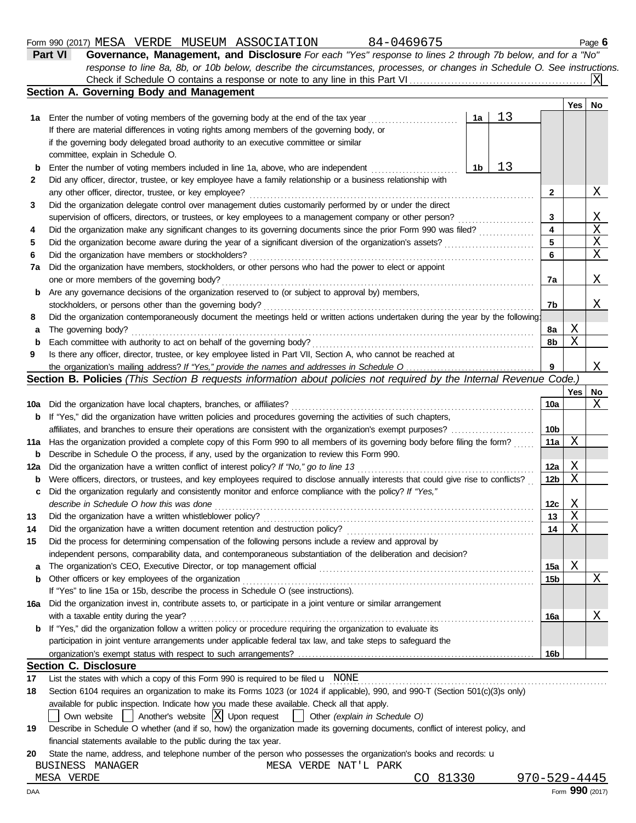#### Form 990 (2017) Page **6** MESA VERDE MUSEUM ASSOCIATION 84-0469675

committee, explain in Schedule O.

If there are material differences in voting rights among members of the governing body, or if the governing body delegated broad authority to an executive committee or similar

| Part VI<br>Governance, Management, and Disclosure For each "Yes" response to lines 2 through 7b below, and for a "No"     |             |  |
|---------------------------------------------------------------------------------------------------------------------------|-------------|--|
| response to line 8a, 8b, or 10b below, describe the circumstances, processes, or changes in Schedule O. See instructions. |             |  |
|                                                                                                                           |             |  |
| Section A. Governing Body and Management                                                                                  |             |  |
|                                                                                                                           | No<br>Yes I |  |
| 1a Enter the number of voting members of the governing body at the end of the tax year<br>1a                              |             |  |

| b   | 13<br>1 <sub>b</sub><br>Enter the number of voting members included in line 1a, above, who are independent                          |                 |             |    |
|-----|-------------------------------------------------------------------------------------------------------------------------------------|-----------------|-------------|----|
| 2   | Did any officer, director, trustee, or key employee have a family relationship or a business relationship with                      |                 |             |    |
|     | any other officer, director, trustee, or key employee?                                                                              | $\mathbf{2}$    |             | Χ  |
| 3   | Did the organization delegate control over management duties customarily performed by or under the direct                           |                 |             |    |
|     | supervision of officers, directors, or trustees, or key employees to a management company or other person?                          | 3               |             | Χ  |
| 4   | Did the organization make any significant changes to its governing documents since the prior Form 990 was filed?                    | 4               |             | X  |
| 5   | Did the organization become aware during the year of a significant diversion of the organization's assets?                          | 5               |             | X  |
| 6   |                                                                                                                                     | 6               |             | X  |
| 7a  | Did the organization have members, stockholders, or other persons who had the power to elect or appoint                             |                 |             |    |
|     | one or more members of the governing body?                                                                                          | 7a              |             | Χ  |
| b   | Are any governance decisions of the organization reserved to (or subject to approval by) members,                                   |                 |             |    |
|     | stockholders, or persons other than the governing body?                                                                             | 7b              |             | X. |
| 8   | Did the organization contemporaneously document the meetings held or written actions undertaken during the year by the following:   |                 |             |    |
| a   | The governing body?                                                                                                                 | 8a              | Χ           |    |
| b   | Each committee with authority to act on behalf of the governing body?                                                               | 8b              | $\mathbf X$ |    |
| 9   | Is there any officer, director, trustee, or key employee listed in Part VII, Section A, who cannot be reached at                    |                 |             |    |
|     |                                                                                                                                     | 9               |             | Χ  |
|     | Section B. Policies (This Section B requests information about policies not required by the Internal Revenue Code.)                 |                 |             |    |
|     |                                                                                                                                     |                 | Yes         | No |
| 10a | Did the organization have local chapters, branches, or affiliates?                                                                  | 10a             |             | Χ  |
| b   | If "Yes," did the organization have written policies and procedures governing the activities of such chapters,                      |                 |             |    |
|     | affiliates, and branches to ensure their operations are consistent with the organization's exempt purposes?<br>                     | 10 <sub>b</sub> |             |    |
| 11a | Has the organization provided a complete copy of this Form 990 to all members of its governing body before filing the form?         | 11a             | X           |    |
| b   | Describe in Schedule O the process, if any, used by the organization to review this Form 990.                                       |                 |             |    |
| 12a |                                                                                                                                     | 12a             | Χ           |    |
| b   | Were officers, directors, or trustees, and key employees required to disclose annually interests that could give rise to conflicts? | 12 <sub>b</sub> | X           |    |
| C   | Did the organization regularly and consistently monitor and enforce compliance with the policy? If "Yes,"                           |                 |             |    |
|     | describe in Schedule O how this was done                                                                                            | 12c             | Χ           |    |
| 13  | Did the organization have a written whistleblower policy?                                                                           | 13              | X           |    |
| 14  | Did the organization have a written document retention and destruction policy?                                                      | 14              | Χ           |    |
| 15  | Did the process for determining compensation of the following persons include a review and approval by                              |                 |             |    |
|     | independent persons, comparability data, and contemporaneous substantiation of the deliberation and decision?                       |                 |             |    |
| a   |                                                                                                                                     | 15a             | Χ           |    |
| b   | Other officers or key employees of the organization                                                                                 | 15 <sub>b</sub> |             | X  |
|     | If "Yes" to line 15a or 15b, describe the process in Schedule O (see instructions).                                                 |                 |             |    |
|     | 16a Did the organization invest in, contribute assets to, or participate in a joint venture or similar arrangement                  |                 |             |    |
|     | with a taxable entity during the year?                                                                                              | 16a             |             | Χ  |
| b   | If "Yes," did the organization follow a written policy or procedure requiring the organization to evaluate its                      |                 |             |    |
|     | participation in joint venture arrangements under applicable federal tax law, and take steps to safeguard the                       |                 |             |    |
|     |                                                                                                                                     | 16 <sub>b</sub> |             |    |
|     | <b>Section C. Disclosure</b>                                                                                                        |                 |             |    |
| 17  | List the states with which a copy of this Form 990 is required to be filed $\mathbf u$ NONE                                         |                 |             |    |

| 18 Section 6104 requires an organization to make its Forms 1023 (or 1024 if applicable), 990, and 990-T (Section 501(c)(3)s only) |
|-----------------------------------------------------------------------------------------------------------------------------------|
| ayakla da wuldigiyaasiga kaligda bayyyay waada daga ayakala Obaali al-dha gaabi                                                   |

available for public inspection. Indicate how you made these available. Check all that apply.

Own website **Another's website**   $\boxed{\text{X}}$  Upon request **o** Other *(explain in Schedule O)* 

| 19 Describe in Schedule O whether (and if so, how) the organization made its governing documents, conflict of interest policy, and |
|------------------------------------------------------------------------------------------------------------------------------------|
| financial statements available to the public during the tax year.                                                                  |

**20** State the name, address, and telephone number of the person who possesses the organization's books and records: u BUSINESS MANAGER MESA VERDE NAT'L PARK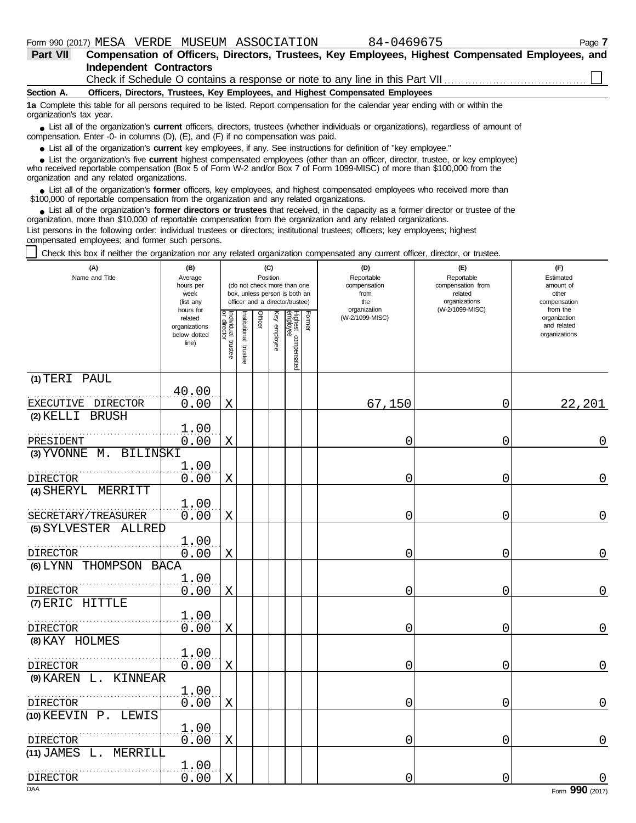| Part VII                 | Compensation of Officers, Directors, Trustees, Key Employees, Highest Compensated Employees, and                                                                                                                            |
|--------------------------|-----------------------------------------------------------------------------------------------------------------------------------------------------------------------------------------------------------------------------|
|                          | <b>Independent Contractors</b>                                                                                                                                                                                              |
|                          |                                                                                                                                                                                                                             |
| Section A.               | Officers, Directors, Trustees, Key Employees, and Highest Compensated Employees                                                                                                                                             |
| organization's tax year. | 1a Complete this table for all persons required to be listed. Report compensation for the calendar year ending with or within the                                                                                           |
|                          | • List all of the organization's current officers, directors, trustees (whether individuals or organizations), regardless of amount of<br>compensation. Enter -0- in columns (D), (E), and (F) if no compensation was paid. |

● List all of the organization's **current** key employees, if any. See instructions for definition of "key employee."

who received reportable compensation (Box 5 of Form W-2 and/or Box 7 of Form 1099-MISC) of more than \$100,000 from the organization and any related organizations. ■ List the organization's five **current** highest compensated employees (other than an officer, director, trustee, or key employee)<br> **•** precised repetable compensation (Box 5 of Ferm W-2 and/or Box 7 of Ferm 1000 MISC) of

■ List all of the organization's **former** officers, key employees, and highest compensated employees who received more than<br>00.000 of reportable compensation from the erganization and any related erganizations \$100,000 of reportable compensation from the organization and any related organizations.

■ List all of the organization's **former directors or trustees** that received, in the capacity as a former director or trustee of the<br>enization more than \$10,000 of reportable compensation from the organization and any re organization, more than \$10,000 of reportable compensation from the organization and any related organizations. List persons in the following order: individual trustees or directors; institutional trustees; officers; key employees; highest

compensated employees; and former such persons.

Check this box if neither the organization nor any related organization compensated any current officer, director, or trustee.

| (A)<br>Name and Title                   | (B)<br>Average<br>hours per<br>week<br>(list any               | (C)<br>Position<br>(do not check more than one<br>box, unless person is both an<br>officer and a director/trustee) |                          |                |              |                                 |        | (D)<br>Reportable<br>compensation<br>from<br>the<br>organization | (E)<br>Reportable<br>compensation from<br>related<br>organizations<br>(W-2/1099-MISC) | (F)<br>Estimated<br>amount of<br>other<br>compensation<br>from the |  |
|-----------------------------------------|----------------------------------------------------------------|--------------------------------------------------------------------------------------------------------------------|--------------------------|----------------|--------------|---------------------------------|--------|------------------------------------------------------------------|---------------------------------------------------------------------------------------|--------------------------------------------------------------------|--|
|                                         | hours for<br>related<br>organizations<br>below dotted<br>line) | Individual trustee                                                                                                 | Institutional<br>trustee | <b>Officer</b> | Key employee | Highest compensated<br>employee | Former | (W-2/1099-MISC)                                                  |                                                                                       | organization<br>and related<br>organizations                       |  |
| (1) TERI PAUL                           | 40.00                                                          |                                                                                                                    |                          |                |              |                                 |        |                                                                  |                                                                                       |                                                                    |  |
| EXECUTIVE DIRECTOR                      | 0.00                                                           | X                                                                                                                  |                          |                |              |                                 |        | 67,150                                                           | 0                                                                                     | 22,201                                                             |  |
| (2) KELLI BRUSH                         |                                                                |                                                                                                                    |                          |                |              |                                 |        |                                                                  |                                                                                       |                                                                    |  |
|                                         | 1.00                                                           |                                                                                                                    |                          |                |              |                                 |        |                                                                  |                                                                                       |                                                                    |  |
| PRESIDENT                               | 0.00                                                           | X                                                                                                                  |                          |                |              |                                 |        | 0                                                                | 0                                                                                     | 0                                                                  |  |
| $(3)$ YVONNE $M$ .<br><b>BILINSKI</b>   | 1.00                                                           |                                                                                                                    |                          |                |              |                                 |        |                                                                  |                                                                                       |                                                                    |  |
| <b>DIRECTOR</b>                         | 0.00                                                           | X                                                                                                                  |                          |                |              |                                 |        | 0                                                                | 0                                                                                     | 0                                                                  |  |
| (4) SHERYL MERRITT                      |                                                                |                                                                                                                    |                          |                |              |                                 |        |                                                                  |                                                                                       |                                                                    |  |
|                                         | 1.00                                                           |                                                                                                                    |                          |                |              |                                 |        |                                                                  |                                                                                       |                                                                    |  |
| SECRETARY/TREASURER                     | 0.00                                                           | X                                                                                                                  |                          |                |              |                                 |        | 0                                                                | 0                                                                                     | 0                                                                  |  |
| (5) SYLVESTER ALLRED                    |                                                                |                                                                                                                    |                          |                |              |                                 |        |                                                                  |                                                                                       |                                                                    |  |
| DIRECTOR                                | 1.00<br>0.00                                                   | X                                                                                                                  |                          |                |              |                                 |        | 0                                                                | 0                                                                                     | 0                                                                  |  |
| (6) LYNN THOMPSON BACA                  |                                                                |                                                                                                                    |                          |                |              |                                 |        |                                                                  |                                                                                       |                                                                    |  |
|                                         | 1.00                                                           |                                                                                                                    |                          |                |              |                                 |        |                                                                  |                                                                                       |                                                                    |  |
| DIRECTOR                                | 0.00                                                           | $\mathbf X$                                                                                                        |                          |                |              |                                 |        | 0                                                                | 0                                                                                     | 0                                                                  |  |
| (7) ERIC HITTLE                         |                                                                |                                                                                                                    |                          |                |              |                                 |        |                                                                  |                                                                                       |                                                                    |  |
| <b>DIRECTOR</b>                         | 1.00<br>0.00                                                   | X                                                                                                                  |                          |                |              |                                 |        | 0                                                                | 0                                                                                     | 0                                                                  |  |
| (8) KAY HOLMES                          |                                                                |                                                                                                                    |                          |                |              |                                 |        |                                                                  |                                                                                       |                                                                    |  |
|                                         | 1.00                                                           |                                                                                                                    |                          |                |              |                                 |        |                                                                  |                                                                                       |                                                                    |  |
| <b>DIRECTOR</b>                         | 0.00                                                           | X                                                                                                                  |                          |                |              |                                 |        | 0                                                                | 0                                                                                     | 0                                                                  |  |
| $(9)$ KAREN L.<br>KINNEAR               |                                                                |                                                                                                                    |                          |                |              |                                 |        |                                                                  |                                                                                       |                                                                    |  |
|                                         | 1.00                                                           |                                                                                                                    |                          |                |              |                                 |        |                                                                  |                                                                                       |                                                                    |  |
| <b>DIRECTOR</b><br>(10) KEEVIN P. LEWIS | 0.00                                                           | Χ                                                                                                                  |                          |                |              |                                 |        | 0                                                                | 0                                                                                     | 0                                                                  |  |
|                                         | 1.00                                                           |                                                                                                                    |                          |                |              |                                 |        |                                                                  |                                                                                       |                                                                    |  |
| <b>DIRECTOR</b>                         | 0.00                                                           | X                                                                                                                  |                          |                |              |                                 |        | 0                                                                | 0                                                                                     | 0                                                                  |  |
| $(11)$ JAMES L. MERRILL                 |                                                                |                                                                                                                    |                          |                |              |                                 |        |                                                                  |                                                                                       |                                                                    |  |
|                                         | 1.00                                                           |                                                                                                                    |                          |                |              |                                 |        |                                                                  |                                                                                       |                                                                    |  |
| DIRECTOR<br><b>DAA</b>                  | 0.00                                                           | $\mathbf X$                                                                                                        |                          |                |              |                                 |        | 0                                                                | 0                                                                                     | Form 990 (2017)                                                    |  |
|                                         |                                                                |                                                                                                                    |                          |                |              |                                 |        |                                                                  |                                                                                       |                                                                    |  |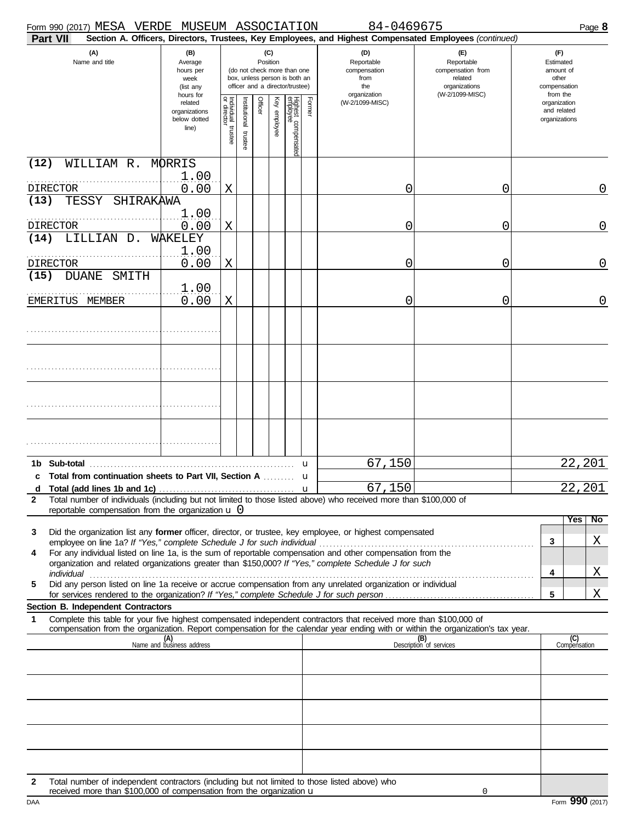|              | Form 990 (2017) MESA VERDE MUSEUM ASSOCIATION<br>Part VII                                                                                                                                                            |                                                                |                                                                                                                    |                          |         |              |                                                  |        | 84-0469675<br>Section A. Officers, Directors, Trustees, Key Employees, and Highest Compensated Employees (continued) |                                                        | Page 8                                                   |     |
|--------------|----------------------------------------------------------------------------------------------------------------------------------------------------------------------------------------------------------------------|----------------------------------------------------------------|--------------------------------------------------------------------------------------------------------------------|--------------------------|---------|--------------|--------------------------------------------------|--------|----------------------------------------------------------------------------------------------------------------------|--------------------------------------------------------|----------------------------------------------------------|-----|
|              | (A)<br>(B)<br>Name and title<br>Average<br>hours per<br>week<br>(list any                                                                                                                                            |                                                                | (C)<br>Position<br>(do not check more than one<br>box, unless person is both an<br>officer and a director/trustee) |                          |         |              | (D)<br>Reportable<br>compensation<br>from<br>the |        | (F)<br>Reportable<br>compensation from<br>related<br>organizations                                                   | (F)<br>Estimated<br>amount of<br>other<br>compensation |                                                          |     |
|              |                                                                                                                                                                                                                      | hours for<br>related<br>organizations<br>below dotted<br>line) | Individual 1<br>or director<br>trustee                                                                             | Institutional<br>trustee | Officer | Key employee | Highest compensated<br>employee                  | Former | organization<br>(W-2/1099-MISC)                                                                                      | (W-2/1099-MISC)                                        | from the<br>organization<br>and related<br>organizations |     |
| (12)         | WILLIAM R.<br>DIRECTOR                                                                                                                                                                                               | MORRIS<br>1.00<br>0.00                                         | X                                                                                                                  |                          |         |              |                                                  |        | 0                                                                                                                    | 0                                                      |                                                          | 0   |
| (13)         | TESSY<br>SHIRAKAWA                                                                                                                                                                                                   |                                                                |                                                                                                                    |                          |         |              |                                                  |        |                                                                                                                      |                                                        |                                                          |     |
| (14)         | <b>DIRECTOR</b><br>LILLIAN D.                                                                                                                                                                                        | 1.00<br>0.00<br>WAKELEY                                        | X                                                                                                                  |                          |         |              |                                                  |        | 0                                                                                                                    | 0                                                      |                                                          | 0   |
|              | <b>DIRECTOR</b>                                                                                                                                                                                                      | 1.00<br>0.00                                                   | X                                                                                                                  |                          |         |              |                                                  |        | 0                                                                                                                    | 0                                                      |                                                          | 0   |
| (15)         | <b>DUANE</b><br>SMITH                                                                                                                                                                                                |                                                                |                                                                                                                    |                          |         |              |                                                  |        |                                                                                                                      |                                                        |                                                          |     |
|              | EMERITUS MEMBER                                                                                                                                                                                                      | 1.00<br>0.00                                                   | Χ                                                                                                                  |                          |         |              |                                                  |        | 0                                                                                                                    | 0                                                      |                                                          | 0   |
|              |                                                                                                                                                                                                                      |                                                                |                                                                                                                    |                          |         |              |                                                  |        |                                                                                                                      |                                                        |                                                          |     |
|              |                                                                                                                                                                                                                      |                                                                |                                                                                                                    |                          |         |              |                                                  |        |                                                                                                                      |                                                        |                                                          |     |
|              |                                                                                                                                                                                                                      |                                                                |                                                                                                                    |                          |         |              |                                                  |        |                                                                                                                      |                                                        |                                                          |     |
|              |                                                                                                                                                                                                                      |                                                                |                                                                                                                    |                          |         |              |                                                  |        |                                                                                                                      |                                                        |                                                          |     |
|              |                                                                                                                                                                                                                      |                                                                |                                                                                                                    |                          |         |              |                                                  |        |                                                                                                                      |                                                        |                                                          |     |
| 1b           | Sub-total<br>c Total from continuation sheets to Part VII, Section A                                                                                                                                                 |                                                                |                                                                                                                    |                          |         |              |                                                  | u<br>u | 67,150                                                                                                               |                                                        | 22,201                                                   |     |
| d            |                                                                                                                                                                                                                      |                                                                |                                                                                                                    |                          |         |              |                                                  |        | 67,150                                                                                                               |                                                        | 22,201                                                   |     |
| $\mathbf{2}$ | Total number of individuals (including but not limited to those listed above) who received more than \$100,000 of<br>reportable compensation from the organization $\bf{u}$ 0                                        |                                                                |                                                                                                                    |                          |         |              |                                                  |        |                                                                                                                      |                                                        |                                                          |     |
| 3            | Did the organization list any former officer, director, or trustee, key employee, or highest compensated                                                                                                             |                                                                |                                                                                                                    |                          |         |              |                                                  |        |                                                                                                                      |                                                        | Yes                                                      | No. |
| 4            | For any individual listed on line 1a, is the sum of reportable compensation and other compensation from the<br>organization and related organizations greater than \$150,000? If "Yes," complete Schedule J for such |                                                                |                                                                                                                    |                          |         |              |                                                  |        |                                                                                                                      |                                                        | 3                                                        | Χ   |
| 5            | individual<br>Did any person listed on line 1a receive or accrue compensation from any unrelated organization or individual                                                                                          |                                                                |                                                                                                                    |                          |         |              |                                                  |        |                                                                                                                      |                                                        | 4                                                        | Χ   |
|              |                                                                                                                                                                                                                      |                                                                |                                                                                                                    |                          |         |              |                                                  |        |                                                                                                                      |                                                        | 5                                                        | Χ   |
| 1            | Section B. Independent Contractors<br>Complete this table for your five highest compensated independent contractors that received more than \$100,000 of                                                             |                                                                |                                                                                                                    |                          |         |              |                                                  |        |                                                                                                                      |                                                        |                                                          |     |
|              | compensation from the organization. Report compensation for the calendar year ending with or within the organization's tax year.                                                                                     | (A)<br>Name and business address                               |                                                                                                                    |                          |         |              |                                                  |        |                                                                                                                      | (B)<br>Description of services                         | $\overline{\text{Compensation}}$                         |     |
|              |                                                                                                                                                                                                                      |                                                                |                                                                                                                    |                          |         |              |                                                  |        |                                                                                                                      |                                                        |                                                          |     |
|              |                                                                                                                                                                                                                      |                                                                |                                                                                                                    |                          |         |              |                                                  |        |                                                                                                                      |                                                        |                                                          |     |
|              |                                                                                                                                                                                                                      |                                                                |                                                                                                                    |                          |         |              |                                                  |        |                                                                                                                      |                                                        |                                                          |     |
|              |                                                                                                                                                                                                                      |                                                                |                                                                                                                    |                          |         |              |                                                  |        |                                                                                                                      |                                                        |                                                          |     |
|              |                                                                                                                                                                                                                      |                                                                |                                                                                                                    |                          |         |              |                                                  |        |                                                                                                                      |                                                        |                                                          |     |
|              |                                                                                                                                                                                                                      |                                                                |                                                                                                                    |                          |         |              |                                                  |        |                                                                                                                      |                                                        |                                                          |     |
| $\mathbf{2}$ | Total number of independent contractors (including but not limited to those listed above) who                                                                                                                        |                                                                |                                                                                                                    |                          |         |              |                                                  |        |                                                                                                                      |                                                        |                                                          |     |
| DAA          | received more than \$100,000 of compensation from the organization $\mathbf u$                                                                                                                                       |                                                                |                                                                                                                    |                          |         |              |                                                  |        |                                                                                                                      | 0                                                      | Form 990 (2017)                                          |     |

| . |  |  |  |
|---|--|--|--|
|   |  |  |  |
|   |  |  |  |
|   |  |  |  |
|   |  |  |  |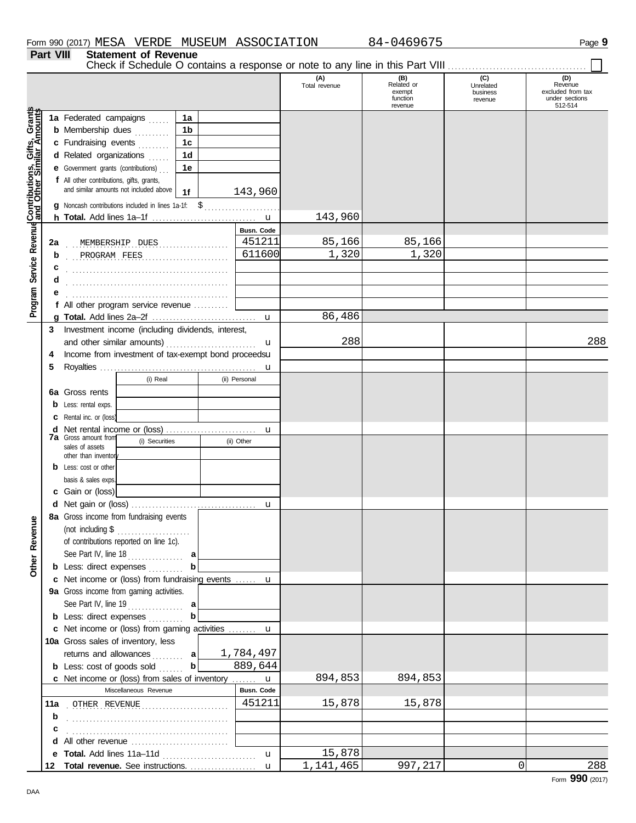**Part VIII Statement of Revenue**

Check if Schedule O contains a response or note to any line in this Part VIII . . . . . . . . . . . . . . . . . . . . . . . . . . . . . . . . . . . . . . . .

|                                              |    |                                                            |                   | (A)<br>Total revenue | (B)<br>Related or<br>exempt<br>function<br>revenue | (C)<br>Unrelated<br>business<br>revenue | (D)<br>Revenue<br>excluded from tax<br>under sections<br>512-514 |
|----------------------------------------------|----|------------------------------------------------------------|-------------------|----------------------|----------------------------------------------------|-----------------------------------------|------------------------------------------------------------------|
|                                              |    | 1a Federated campaigns<br>1a                               |                   |                      |                                                    |                                         |                                                                  |
|                                              |    | 1 <sub>b</sub><br><b>b</b> Membership dues                 |                   |                      |                                                    |                                         |                                                                  |
|                                              |    | c Fundraising events<br>1c                                 |                   |                      |                                                    |                                         |                                                                  |
|                                              |    | d Related organizations<br>1 <sub>d</sub>                  |                   |                      |                                                    |                                         |                                                                  |
|                                              |    | e Government grants (contributions)<br>1е                  |                   |                      |                                                    |                                         |                                                                  |
|                                              |    | f All other contributions, gifts, grants,                  |                   |                      |                                                    |                                         |                                                                  |
|                                              |    | and similar amounts not included above<br>1 <sub>f</sub>   | 143,960           |                      |                                                    |                                         |                                                                  |
|                                              |    | <b>g</b> Noncash contributions included in lines 1a-1f: \$ |                   |                      |                                                    |                                         |                                                                  |
| Service Revenue Contributions, Gifts, Grants |    |                                                            |                   | 143,960              |                                                    |                                         |                                                                  |
|                                              |    |                                                            | <b>Busn. Code</b> |                      |                                                    |                                         |                                                                  |
|                                              | 2a | MEMBERSHIP DUES<br>.                                       | 451211            | 85,166               | 85,166                                             |                                         |                                                                  |
|                                              | b  | PROGRAM FEES                                               | 611600            | 1,320                | 1,320                                              |                                         |                                                                  |
|                                              | C  |                                                            |                   |                      |                                                    |                                         |                                                                  |
|                                              |    |                                                            |                   |                      |                                                    |                                         |                                                                  |
|                                              |    |                                                            |                   |                      |                                                    |                                         |                                                                  |
| Program                                      |    | f All other program service revenue                        |                   |                      |                                                    |                                         |                                                                  |
|                                              |    |                                                            |                   | 86,486               |                                                    |                                         |                                                                  |
|                                              | 3  | Investment income (including dividends, interest,          |                   |                      |                                                    |                                         |                                                                  |
|                                              |    | and other similar amounts)                                 | u                 | 288                  |                                                    |                                         | 288                                                              |
|                                              | 4  | Income from investment of tax-exempt bond proceedsu        |                   |                      |                                                    |                                         |                                                                  |
|                                              | 5  |                                                            | u                 |                      |                                                    |                                         |                                                                  |
|                                              |    | (i) Real                                                   | (ii) Personal     |                      |                                                    |                                         |                                                                  |
|                                              | 6а | Gross rents                                                |                   |                      |                                                    |                                         |                                                                  |
|                                              | b  | Less: rental exps.                                         |                   |                      |                                                    |                                         |                                                                  |
|                                              | c  | Rental inc. or (loss)                                      |                   |                      |                                                    |                                         |                                                                  |
|                                              | d  | <b>7a</b> Gross amount from                                | u                 |                      |                                                    |                                         |                                                                  |
|                                              |    | (i) Securities<br>sales of assets                          | (ii) Other        |                      |                                                    |                                         |                                                                  |
|                                              |    | other than inventor                                        |                   |                      |                                                    |                                         |                                                                  |
|                                              | b  | Less: cost or other                                        |                   |                      |                                                    |                                         |                                                                  |
|                                              |    | basis & sales exps.                                        |                   |                      |                                                    |                                         |                                                                  |
|                                              |    | c Gain or (loss)                                           |                   |                      |                                                    |                                         |                                                                  |
|                                              |    | 8a Gross income from fundraising events                    | u                 |                      |                                                    |                                         |                                                                  |
| anueve                                       |    | (not including \$                                          |                   |                      |                                                    |                                         |                                                                  |
|                                              |    | .<br>of contributions reported on line 1c).                |                   |                      |                                                    |                                         |                                                                  |
| <u>č</u>                                     |    | See Part IV, line 18                                       |                   |                      |                                                    |                                         |                                                                  |
| Other                                        |    | <b>b</b> Less: direct expenses                             |                   |                      |                                                    |                                         |                                                                  |
|                                              |    | c Net income or (loss) from fundraising events  u          |                   |                      |                                                    |                                         |                                                                  |
|                                              |    | 9a Gross income from gaming activities.                    |                   |                      |                                                    |                                         |                                                                  |
|                                              |    | See Part IV, line 19<br>a                                  |                   |                      |                                                    |                                         |                                                                  |
|                                              |    | b<br><b>b</b> Less: direct expenses                        |                   |                      |                                                    |                                         |                                                                  |
|                                              |    | c Net income or (loss) from gaming activities  u           |                   |                      |                                                    |                                         |                                                                  |
|                                              |    | 10a Gross sales of inventory, less                         |                   |                      |                                                    |                                         |                                                                  |
|                                              |    | returns and allowances  a                                  | 1,784,497         |                      |                                                    |                                         |                                                                  |
|                                              |    | $\mathbf{b}$<br><b>b</b> Less: cost of goods sold          | 889,644           |                      |                                                    |                                         |                                                                  |
|                                              |    | c Net income or (loss) from sales of inventory  u          |                   | 894,853              | 894,853                                            |                                         |                                                                  |
|                                              |    | Miscellaneous Revenue                                      | Busn. Code        |                      |                                                    |                                         |                                                                  |
|                                              |    | 11a OTHER REVENUE                                          | 451211            | 15,878               | 15,878                                             |                                         |                                                                  |
|                                              | b  |                                                            |                   |                      |                                                    |                                         |                                                                  |
|                                              | c  |                                                            |                   |                      |                                                    |                                         |                                                                  |
|                                              | d  | All other revenue <i>communication</i>                     |                   |                      |                                                    |                                         |                                                                  |
|                                              |    | e Total. Add lines 11a-11d                                 | $\mathbf{u}$      | 15,878               |                                                    |                                         |                                                                  |
|                                              | 12 |                                                            |                   | 1,141,465            | 997,217                                            | $\mathbf{0}$                            | 288                                                              |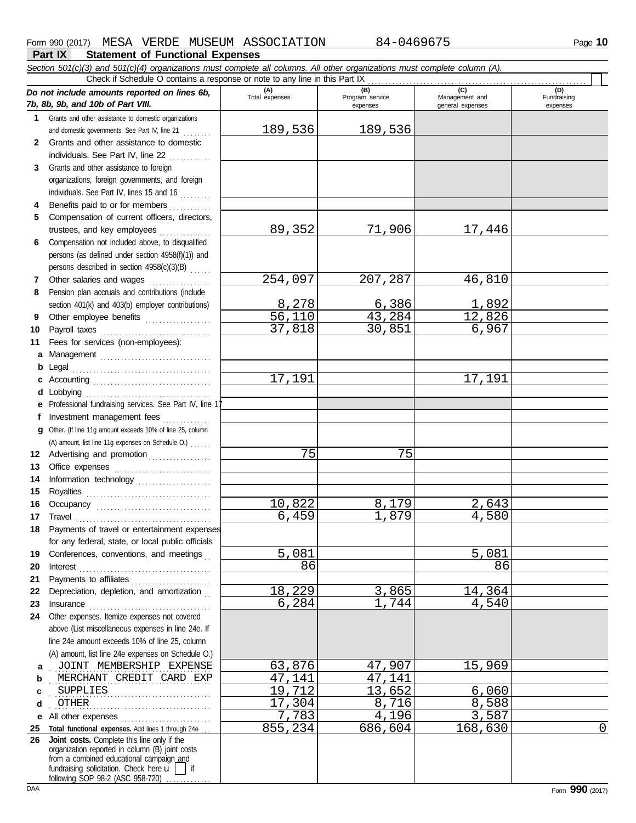#### **Part IX Statement of Functional Expenses** Form 990 (2017) MESA VERDE MUSEUM ASSOCIATION 84-0469675 Page **10** *Section 501(c)(3) and 501(c)(4) organizations must complete all columns. All other organizations must complete column (A). Do not include amounts reported on lines 6b, 7b, 8b, 9b, and 10b of Part VIII.* **1 2 3** Grants and other assistance to foreign **4 5** Compensation of current officers, directors, **6** Compensation not included above, to disqualified **7 8 9 10 11 a** Management . . . . . . . . . . . . . . . . . . . . . . . . . . . . . . . . **b** Legal . . . . . . . . . . . . . . . . . . . . . . . . . . . . . . . . . . . . . . . . **c** Accounting . . . . . . . . . . . . . . . . . . . . . . . . . . . . . . . . . . **d** Lobbying . . . . . . . . . . . . . . . . . . . . . . . . . . . . . . . . . . . . **e** Professional fundraising services. See Part IV, line 17 f Investment management fees . . . . . . . . . . . . **g** Other. (If line 11g amount exceeds 10% of line 25, column **12** Advertising and promotion . . . . . . . . . . . . . . . . **13 14 15** Royalties . . . . . . . . . . . . . . . . . . . . . . . . . . . . . . . . . . . . **16 17 18 19 20** Interest . . . . . . . . . . . . . . . . . . . . . . . . . . . . . . . . . . . . . . **21 22** Depreciation, depletion, and amortization . . **23** Grants and other assistance to domestic organizations and domestic governments. See Part IV, line 21 ........ Grants and other assistance to domestic individuals. See Part IV, line  $22$  ............. organizations, foreign governments, and foreign individuals. See Part IV, lines 15 and 16 . . . . . . . . . Benefits paid to or for members ............ trustees, and key employees .............. persons (as defined under section 4958(f)(1)) and persons described in section 4958(c)(3)(B) . . . . . . Other salaries and wages .................. Pension plan accruals and contributions (include section 401(k) and 403(b) employer contributions) Other employee benefits ................... Payroll taxes . . . . . . . . . . . . . . . . . . . . . . . . . . . . . . . . Fees for services (non-employees): Office expenses ............................. Information technology ..................... Occupancy . . . . . . . . . . . . . . . . . . . . . . . . . . . . . . . . . Travel . . . . . . . . . . . . . . . . . . . . . . . . . . . . . . . . . . . . . . . Payments of travel or entertainment expenses for any federal, state, or local public officials Conferences, conventions, and meetings Payments to affiliates ....................... Insurance . . . . . . . . . . . . . . . . . . . . . . . . . . . . . . . . . . . **(A) (B) (C) (D)** Total expenses Program service Management and expenses general expenses Fundraising expenses Check if Schedule O contains a response or note to any line in this Part IX . . . . . . . . . . . . . . . . . . . . . . . . . . . . . . . . . . . . . . . . . . . . . . . . . . . . . . . . . . . . . . . (A) amount, list line 11g expenses on Schedule O.) . . . . . . 189,536 189,536 89,352 71,906 17,446 254,097 207,287 46,810 8,278 6,386 1,892<br>56,110 43,284 12,826 <mark>43,284</mark> 12,826<br>30.851 6,967 37,818 17,191 17,191 <mark>75</mark> 75 10,822 8,179 2,643 1,879 5,081 5,081 5,081 86 86 18,229 3,865 14,364 1,744

**24** Other expenses. Itemize expenses not covered **a b** above (List miscellaneous expenses in line 24e. If line 24e amount exceeds 10% of line 25, column (A) amount, list line 24e expenses on Schedule O.) . JOINT MEMBERSHIP EXPENSE | 63,876 | 47,907 | 15,969 . . . . . . . . . . . . . . . . . . . . . . . . . . . . . . . . . . . . . . . . . . . . . . MERCHANT CREDIT CARD EXP 47,141 47,141

DAA Form **990** (2017) **c d e** All other expenses . . . . . . . . . . . . . . . . . . . . . . . . . . **25 Total functional expenses.** Add lines 1 through 24e . . . **26** fundraising solicitation. Check here  $\tilde{u}$  | if organization reported in column (B) joint costs from a combined educational campaign and following SOP 98-2 (ASC 958-720) ... . . . . . . . . . . . . . . . . . . . . . . . . . . . . . . . . . . . . . . . . . . . . . . SUPPLIES 19,712 13,652 6,060 . . . . . . . . . . . . . . . . . . . . . . . . . . . . . . . . . . . . . . . . . . . . . . OTHER 17,304 8,716 8,588 **Joint costs.** Complete this line only if the 1,783 4,196 3,587<br>855,234 686,604 168,630

168,630 0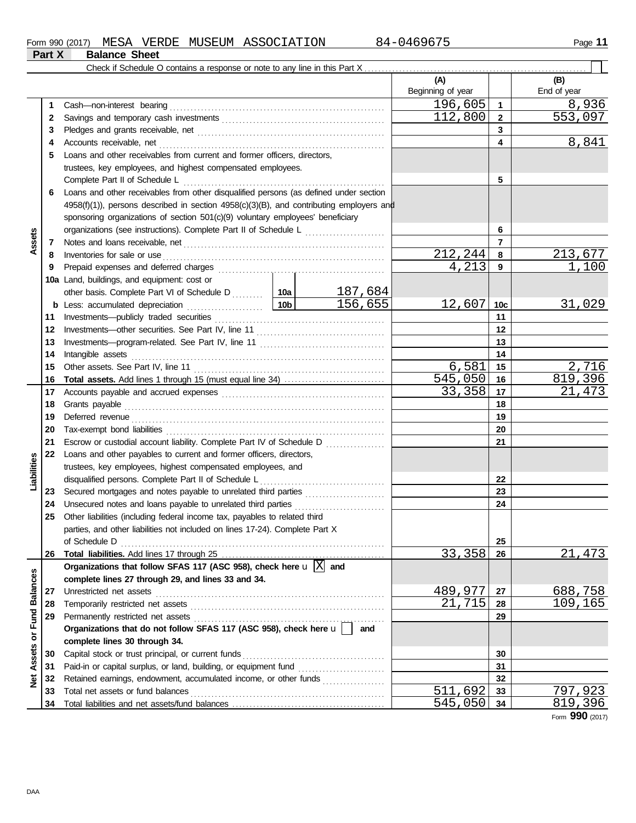|                         |          | Check if Schedule O contains a response or note to any line in this Part X                                                                 |                                                                          |                |                          |                |                    |  |  |
|-------------------------|----------|--------------------------------------------------------------------------------------------------------------------------------------------|--------------------------------------------------------------------------|----------------|--------------------------|----------------|--------------------|--|--|
|                         |          |                                                                                                                                            |                                                                          |                | (A)<br>Beginning of year |                | (B)<br>End of year |  |  |
|                         | 1        | Cash-non-interest bearing                                                                                                                  |                                                                          |                | 196,605                  | $\mathbf{1}$   | 8,936              |  |  |
|                         | 2        |                                                                                                                                            |                                                                          |                | 112,800                  | $\mathbf{2}$   | 553,097            |  |  |
|                         | 3        |                                                                                                                                            |                                                                          |                | 3                        |                |                    |  |  |
|                         | 4        |                                                                                                                                            |                                                                          | 4              | 8,841                    |                |                    |  |  |
|                         | 5        |                                                                                                                                            | Loans and other receivables from current and former officers, directors, |                |                          |                |                    |  |  |
|                         |          | trustees, key employees, and highest compensated employees.                                                                                |                                                                          |                |                          |                |                    |  |  |
|                         |          | Complete Part II of Schedule L                                                                                                             |                                                                          |                |                          | 5              |                    |  |  |
|                         | 6        | Loans and other receivables from other disqualified persons (as defined under section                                                      |                                                                          |                |                          |                |                    |  |  |
|                         |          | $4958(f)(1)$ ), persons described in section $4958(c)(3)(B)$ , and contributing employers and                                              |                                                                          |                |                          |                |                    |  |  |
|                         |          | sponsoring organizations of section 501(c)(9) voluntary employees' beneficiary                                                             |                                                                          |                |                          |                |                    |  |  |
|                         |          | organizations (see instructions). Complete Part II of Schedule L                                                                           |                                                                          |                |                          | 6              |                    |  |  |
| Assets                  | 7        |                                                                                                                                            |                                                                          |                |                          | $\overline{7}$ |                    |  |  |
|                         | 8        | Inventories for sale or use                                                                                                                |                                                                          |                | 212,244                  | 8              | 213,677            |  |  |
|                         | 9        |                                                                                                                                            |                                                                          |                | 4,213                    | 9              | 1,100              |  |  |
|                         |          | 10a Land, buildings, and equipment: cost or                                                                                                |                                                                          |                |                          |                |                    |  |  |
|                         |          |                                                                                                                                            |                                                                          | <u>187,684</u> |                          |                |                    |  |  |
|                         | b        | Less: accumulated depreciation                                                                                                             | 10b                                                                      | 156,655        | 12,607                   | 10c            | <u>31,029</u>      |  |  |
|                         | 11       |                                                                                                                                            |                                                                          | 11             |                          |                |                    |  |  |
|                         | 12       |                                                                                                                                            |                                                                          |                | 12                       |                |                    |  |  |
|                         | 13       |                                                                                                                                            |                                                                          | 13             |                          |                |                    |  |  |
|                         | 14       | Intangible assets                                                                                                                          |                                                                          | 14             |                          |                |                    |  |  |
|                         | 15       |                                                                                                                                            | 6,581                                                                    | 15             | 2,716                    |                |                    |  |  |
|                         | 16       |                                                                                                                                            |                                                                          |                | 545,050                  | 16             | 819,396            |  |  |
|                         | 17       |                                                                                                                                            |                                                                          |                | 33,358                   | 17             | 21,473             |  |  |
|                         | 18       | Grants payable                                                                                                                             |                                                                          |                | 18                       |                |                    |  |  |
|                         | 19       |                                                                                                                                            |                                                                          |                | 19                       |                |                    |  |  |
|                         | 20       |                                                                                                                                            |                                                                          |                |                          | 20             |                    |  |  |
|                         | 21       | Escrow or custodial account liability. Complete Part IV of Schedule D                                                                      |                                                                          |                |                          | 21             |                    |  |  |
|                         | 22       | Loans and other payables to current and former officers, directors,                                                                        |                                                                          |                |                          |                |                    |  |  |
|                         |          | trustees, key employees, highest compensated employees, and                                                                                |                                                                          |                |                          |                |                    |  |  |
| Liabilities             |          | disqualified persons. Complete Part II of Schedule L                                                                                       |                                                                          |                |                          | 22             |                    |  |  |
|                         | 23       | Secured mortgages and notes payable to unrelated third parties                                                                             |                                                                          |                |                          | 23<br>24       |                    |  |  |
|                         | 24<br>25 | Unsecured notes and loans payable to unrelated third parties<br>Other liabilities (including federal income tax, payables to related third |                                                                          |                |                          |                |                    |  |  |
|                         |          | parties, and other liabilities not included on lines 17-24). Complete Part X                                                               |                                                                          |                |                          |                |                    |  |  |
|                         |          | of Schedule D                                                                                                                              |                                                                          |                |                          | 25             |                    |  |  |
|                         | 26       |                                                                                                                                            |                                                                          |                | 33,358                   | 26             | 21,473             |  |  |
|                         |          | Organizations that follow SFAS 117 (ASC 958), check here $\mathbf{u} \times \mathbf{a}$ and                                                |                                                                          |                |                          |                |                    |  |  |
|                         |          | complete lines 27 through 29, and lines 33 and 34.                                                                                         |                                                                          |                |                          |                |                    |  |  |
|                         | 27       | Unrestricted net assets                                                                                                                    |                                                                          |                | 489,977                  | 27             | 688,758            |  |  |
|                         | 28       | Temporarily restricted net assets                                                                                                          |                                                                          | 21,715         | 28                       | 109,165        |                    |  |  |
|                         | 29       |                                                                                                                                            |                                                                          | 29             |                          |                |                    |  |  |
|                         |          | Organizations that do not follow SFAS 117 (ASC 958), check here u                                                                          |                                                                          | and            |                          |                |                    |  |  |
| Assets or Fund Balances |          | complete lines 30 through 34.                                                                                                              |                                                                          |                |                          |                |                    |  |  |
|                         | 30       | Capital stock or trust principal, or current funds                                                                                         |                                                                          |                |                          | 30             |                    |  |  |
|                         | 31       | Paid-in or capital surplus, or land, building, or equipment fund                                                                           |                                                                          |                |                          | 31             |                    |  |  |
| $\frac{1}{2}$           | 32       | Retained earnings, endowment, accumulated income, or other funds                                                                           |                                                                          |                |                          | 32             |                    |  |  |
|                         | 33       | Total net assets or fund balances                                                                                                          |                                                                          |                | 511,692                  | 33             | 797,923            |  |  |
|                         | 34       |                                                                                                                                            |                                                                          |                | 545,050                  | 34             | 819,396            |  |  |

Form **990** (2017)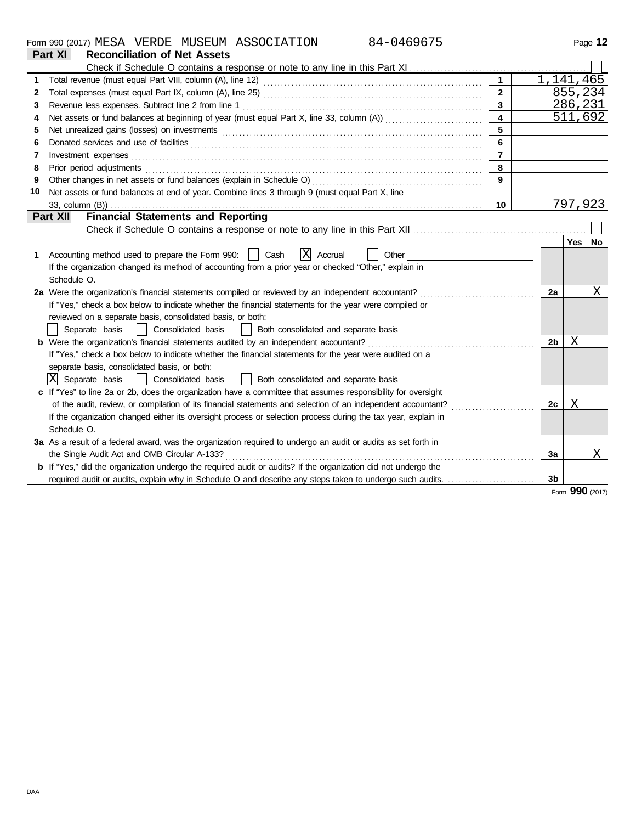| Form<br>990 | (2017) | .<br>MH'S A<br>படி<br>. . | סתססי<br>RDE<br>. <del>.</del> | . MIJSEIT<br>SEUM | <b>ASSOCIATION</b><br>70 L<br>ADL | ` Л ._<br>$\mathbf{1}$ | Page |
|-------------|--------|---------------------------|--------------------------------|-------------------|-----------------------------------|------------------------|------|
|             |        |                           |                                |                   |                                   |                        |      |

|    | Part XI<br><b>Reconciliation of Net Assets</b>                                                                                                                                                                                 |                |                |         |              |
|----|--------------------------------------------------------------------------------------------------------------------------------------------------------------------------------------------------------------------------------|----------------|----------------|---------|--------------|
|    |                                                                                                                                                                                                                                |                |                |         |              |
|    |                                                                                                                                                                                                                                | $\mathbf{1}$   | 1,141,465      |         |              |
| 2  |                                                                                                                                                                                                                                | $\overline{2}$ |                | 855,234 |              |
| 3  |                                                                                                                                                                                                                                | $\overline{3}$ |                | 286,231 |              |
| 4  |                                                                                                                                                                                                                                | $\overline{4}$ |                | 511,692 |              |
| 5  | Net unrealized gains (losses) on investments [11] matter contracts and the state of the state of the state of the state of the state of the state of the state of the state of the state of the state of the state of the stat | 5              |                |         |              |
| 6  |                                                                                                                                                                                                                                | 6              |                |         |              |
| 7  | Investment expenses                                                                                                                                                                                                            | $\overline{7}$ |                |         |              |
| 8  | Prior period adjustments                                                                                                                                                                                                       | 8              |                |         |              |
| 9  |                                                                                                                                                                                                                                | 9              |                |         |              |
| 10 | Net assets or fund balances at end of year. Combine lines 3 through 9 (must equal Part X, line                                                                                                                                 |                |                |         |              |
|    |                                                                                                                                                                                                                                | 10             |                | 797,923 |              |
|    | <b>Financial Statements and Reporting</b><br>Part XII                                                                                                                                                                          |                |                |         |              |
|    |                                                                                                                                                                                                                                |                |                |         |              |
|    |                                                                                                                                                                                                                                |                |                | Yes     | <b>No</b>    |
| 1  | $ X $ Accrual<br>Accounting method used to prepare the Form 990:     Cash<br>Other                                                                                                                                             |                |                |         |              |
|    | If the organization changed its method of accounting from a prior year or checked "Other," explain in                                                                                                                          |                |                |         |              |
|    | Schedule O.                                                                                                                                                                                                                    |                |                |         |              |
|    | 2a Were the organization's financial statements compiled or reviewed by an independent accountant?                                                                                                                             |                | 2a             |         | Х            |
|    | If "Yes," check a box below to indicate whether the financial statements for the year were compiled or                                                                                                                         |                |                |         |              |
|    | reviewed on a separate basis, consolidated basis, or both:                                                                                                                                                                     |                |                |         |              |
|    | Separate basis<br>  Consolidated basis<br>Both consolidated and separate basis<br>$\mathbf{1}$                                                                                                                                 |                |                |         |              |
|    |                                                                                                                                                                                                                                |                | 2 <sub>b</sub> | Χ       |              |
|    | If "Yes," check a box below to indicate whether the financial statements for the year were audited on a                                                                                                                        |                |                |         |              |
|    | separate basis, consolidated basis, or both:                                                                                                                                                                                   |                |                |         |              |
|    | X Separate basis<br>Both consolidated and separate basis<br>Consolidated basis                                                                                                                                                 |                |                |         |              |
|    | c If "Yes" to line 2a or 2b, does the organization have a committee that assumes responsibility for oversight                                                                                                                  |                |                |         |              |
|    | of the audit, review, or compilation of its financial statements and selection of an independent accountant?                                                                                                                   |                | 2c             | Χ       |              |
|    | If the organization changed either its oversight process or selection process during the tax year, explain in                                                                                                                  |                |                |         |              |
|    | Schedule O.                                                                                                                                                                                                                    |                |                |         |              |
|    | 3a As a result of a federal award, was the organization required to undergo an audit or audits as set forth in                                                                                                                 |                |                |         |              |
|    | the Single Audit Act and OMB Circular A-133?                                                                                                                                                                                   |                | 3a             |         | Χ            |
|    | <b>b</b> If "Yes," did the organization undergo the required audit or audits? If the organization did not undergo the                                                                                                          |                |                |         |              |
|    |                                                                                                                                                                                                                                |                | 3 <sub>b</sub> |         |              |
|    |                                                                                                                                                                                                                                |                |                |         | $\mathbf{Q}$ |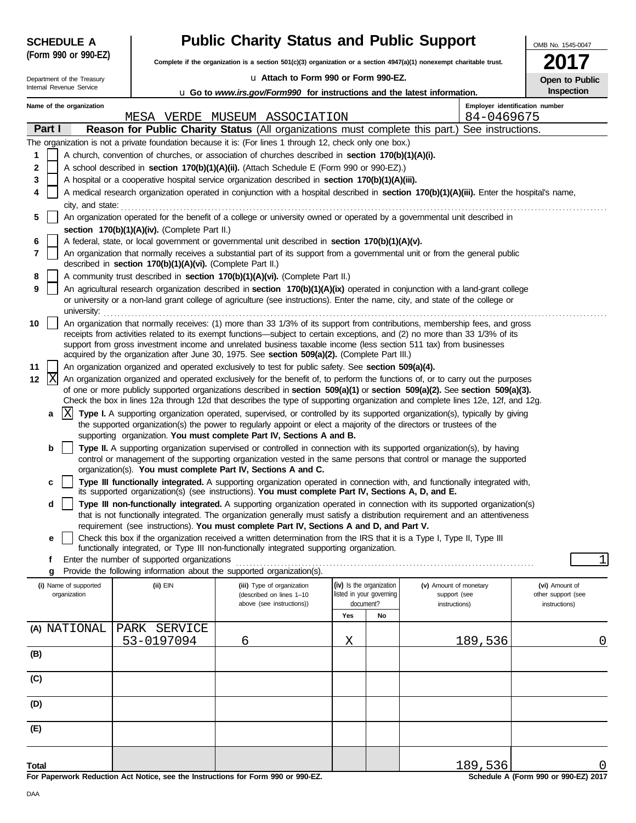| <b>SCHEDULE A</b>          |                                                                                                                                                                                                                                                                                                                                                                 | <b>Public Charity Status and Public Support</b>                                                                                                                                                                      |                                                                                                                      |    |                                                                                                                                            | OMB No. 1545-0047                   |  |  |  |  |
|----------------------------|-----------------------------------------------------------------------------------------------------------------------------------------------------------------------------------------------------------------------------------------------------------------------------------------------------------------------------------------------------------------|----------------------------------------------------------------------------------------------------------------------------------------------------------------------------------------------------------------------|----------------------------------------------------------------------------------------------------------------------|----|--------------------------------------------------------------------------------------------------------------------------------------------|-------------------------------------|--|--|--|--|
| (Form 990 or 990-EZ)       |                                                                                                                                                                                                                                                                                                                                                                 |                                                                                                                                                                                                                      | Complete if the organization is a section 501(c)(3) organization or a section 4947(a)(1) nonexempt charitable trust. |    |                                                                                                                                            |                                     |  |  |  |  |
| Department of the Treasury |                                                                                                                                                                                                                                                                                                                                                                 | u Attach to Form 990 or Form 990-EZ.                                                                                                                                                                                 | <b>Open to Public</b>                                                                                                |    |                                                                                                                                            |                                     |  |  |  |  |
| Internal Revenue Service   |                                                                                                                                                                                                                                                                                                                                                                 | u Go to www.irs.gov/Form990 for instructions and the latest information.                                                                                                                                             |                                                                                                                      |    |                                                                                                                                            | Inspection                          |  |  |  |  |
| Name of the organization   |                                                                                                                                                                                                                                                                                                                                                                 | MESA VERDE MUSEUM ASSOCIATION                                                                                                                                                                                        |                                                                                                                      |    | Employer identification number<br>84-0469675                                                                                               |                                     |  |  |  |  |
| Part I                     |                                                                                                                                                                                                                                                                                                                                                                 |                                                                                                                                                                                                                      |                                                                                                                      |    | Reason for Public Charity Status (All organizations must complete this part.) See instructions.                                            |                                     |  |  |  |  |
|                            |                                                                                                                                                                                                                                                                                                                                                                 | The organization is not a private foundation because it is: (For lines 1 through 12, check only one box.)                                                                                                            |                                                                                                                      |    |                                                                                                                                            |                                     |  |  |  |  |
| 1                          |                                                                                                                                                                                                                                                                                                                                                                 | A church, convention of churches, or association of churches described in section 170(b)(1)(A)(i).                                                                                                                   |                                                                                                                      |    |                                                                                                                                            |                                     |  |  |  |  |
| 2                          |                                                                                                                                                                                                                                                                                                                                                                 | A school described in section 170(b)(1)(A)(ii). (Attach Schedule E (Form 990 or 990-EZ).)                                                                                                                            |                                                                                                                      |    |                                                                                                                                            |                                     |  |  |  |  |
| 3                          |                                                                                                                                                                                                                                                                                                                                                                 | A hospital or a cooperative hospital service organization described in section 170(b)(1)(A)(iii).                                                                                                                    |                                                                                                                      |    |                                                                                                                                            |                                     |  |  |  |  |
| 4                          |                                                                                                                                                                                                                                                                                                                                                                 |                                                                                                                                                                                                                      |                                                                                                                      |    | A medical research organization operated in conjunction with a hospital described in section 170(b)(1)(A)(iii). Enter the hospital's name, |                                     |  |  |  |  |
|                            |                                                                                                                                                                                                                                                                                                                                                                 |                                                                                                                                                                                                                      |                                                                                                                      |    |                                                                                                                                            |                                     |  |  |  |  |
| 5                          | city, and state: <b>contract and state</b> contract and state contract and state contract and state contract and state contract and state contract and state contract and state contract and state contract and state contract and<br>An organization operated for the benefit of a college or university owned or operated by a governmental unit described in |                                                                                                                                                                                                                      |                                                                                                                      |    |                                                                                                                                            |                                     |  |  |  |  |
|                            | section 170(b)(1)(A)(iv). (Complete Part II.)                                                                                                                                                                                                                                                                                                                   |                                                                                                                                                                                                                      |                                                                                                                      |    |                                                                                                                                            |                                     |  |  |  |  |
| 6                          |                                                                                                                                                                                                                                                                                                                                                                 | A federal, state, or local government or governmental unit described in section 170(b)(1)(A)(v).                                                                                                                     |                                                                                                                      |    |                                                                                                                                            |                                     |  |  |  |  |
| 7                          | described in section 170(b)(1)(A)(vi). (Complete Part II.)                                                                                                                                                                                                                                                                                                      |                                                                                                                                                                                                                      |                                                                                                                      |    | An organization that normally receives a substantial part of its support from a governmental unit or from the general public               |                                     |  |  |  |  |
| 8                          |                                                                                                                                                                                                                                                                                                                                                                 | A community trust described in section 170(b)(1)(A)(vi). (Complete Part II.)                                                                                                                                         |                                                                                                                      |    |                                                                                                                                            |                                     |  |  |  |  |
| 9                          |                                                                                                                                                                                                                                                                                                                                                                 |                                                                                                                                                                                                                      |                                                                                                                      |    | An agricultural research organization described in section 170(b)(1)(A)(ix) operated in conjunction with a land-grant college              |                                     |  |  |  |  |
|                            | university: www.communications.com/www.communications.com/www.communications.com                                                                                                                                                                                                                                                                                |                                                                                                                                                                                                                      |                                                                                                                      |    | or university or a non-land grant college of agriculture (see instructions). Enter the name, city, and state of the college or             |                                     |  |  |  |  |
| 10                         |                                                                                                                                                                                                                                                                                                                                                                 |                                                                                                                                                                                                                      |                                                                                                                      |    | An organization that normally receives: (1) more than 33 1/3% of its support from contributions, membership fees, and gross                |                                     |  |  |  |  |
|                            |                                                                                                                                                                                                                                                                                                                                                                 |                                                                                                                                                                                                                      |                                                                                                                      |    | receipts from activities related to its exempt functions—subject to certain exceptions, and (2) no more than 33 1/3% of its                |                                     |  |  |  |  |
|                            |                                                                                                                                                                                                                                                                                                                                                                 | support from gross investment income and unrelated business taxable income (less section 511 tax) from businesses<br>acquired by the organization after June 30, 1975. See section 509(a)(2). (Complete Part III.)   |                                                                                                                      |    |                                                                                                                                            |                                     |  |  |  |  |
| 11                         |                                                                                                                                                                                                                                                                                                                                                                 | An organization organized and operated exclusively to test for public safety. See section 509(a)(4).                                                                                                                 |                                                                                                                      |    |                                                                                                                                            |                                     |  |  |  |  |
| X<br>12                    |                                                                                                                                                                                                                                                                                                                                                                 |                                                                                                                                                                                                                      |                                                                                                                      |    | An organization organized and operated exclusively for the benefit of, to perform the functions of, or to carry out the purposes           |                                     |  |  |  |  |
|                            |                                                                                                                                                                                                                                                                                                                                                                 |                                                                                                                                                                                                                      |                                                                                                                      |    | of one or more publicly supported organizations described in section 509(a)(1) or section 509(a)(2). See section 509(a)(3).                |                                     |  |  |  |  |
|                            |                                                                                                                                                                                                                                                                                                                                                                 |                                                                                                                                                                                                                      |                                                                                                                      |    | Check the box in lines 12a through 12d that describes the type of supporting organization and complete lines 12e, 12f, and 12g.            |                                     |  |  |  |  |
| IХ<br>a                    |                                                                                                                                                                                                                                                                                                                                                                 | the supported organization(s) the power to regularly appoint or elect a majority of the directors or trustees of the                                                                                                 |                                                                                                                      |    | Type I. A supporting organization operated, supervised, or controlled by its supported organization(s), typically by giving                |                                     |  |  |  |  |
|                            |                                                                                                                                                                                                                                                                                                                                                                 | supporting organization. You must complete Part IV, Sections A and B.                                                                                                                                                |                                                                                                                      |    |                                                                                                                                            |                                     |  |  |  |  |
| b                          |                                                                                                                                                                                                                                                                                                                                                                 |                                                                                                                                                                                                                      |                                                                                                                      |    | Type II. A supporting organization supervised or controlled in connection with its supported organization(s), by having                    |                                     |  |  |  |  |
|                            |                                                                                                                                                                                                                                                                                                                                                                 |                                                                                                                                                                                                                      |                                                                                                                      |    | control or management of the supporting organization vested in the same persons that control or manage the supported                       |                                     |  |  |  |  |
|                            |                                                                                                                                                                                                                                                                                                                                                                 | organization(s). You must complete Part IV, Sections A and C.                                                                                                                                                        |                                                                                                                      |    |                                                                                                                                            |                                     |  |  |  |  |
| c                          |                                                                                                                                                                                                                                                                                                                                                                 | its supported organization(s) (see instructions). You must complete Part IV, Sections A, D, and E.                                                                                                                   |                                                                                                                      |    | Type III functionally integrated. A supporting organization operated in connection with, and functionally integrated with,                 |                                     |  |  |  |  |
| d                          |                                                                                                                                                                                                                                                                                                                                                                 |                                                                                                                                                                                                                      |                                                                                                                      |    | Type III non-functionally integrated. A supporting organization operated in connection with its supported organization(s)                  |                                     |  |  |  |  |
|                            |                                                                                                                                                                                                                                                                                                                                                                 |                                                                                                                                                                                                                      |                                                                                                                      |    | that is not functionally integrated. The organization generally must satisfy a distribution requirement and an attentiveness               |                                     |  |  |  |  |
|                            |                                                                                                                                                                                                                                                                                                                                                                 | requirement (see instructions). You must complete Part IV, Sections A and D, and Part V.                                                                                                                             |                                                                                                                      |    |                                                                                                                                            |                                     |  |  |  |  |
| e                          |                                                                                                                                                                                                                                                                                                                                                                 | Check this box if the organization received a written determination from the IRS that it is a Type I, Type II, Type III<br>functionally integrated, or Type III non-functionally integrated supporting organization. |                                                                                                                      |    |                                                                                                                                            |                                     |  |  |  |  |
| f                          | Enter the number of supported organizations                                                                                                                                                                                                                                                                                                                     |                                                                                                                                                                                                                      |                                                                                                                      |    |                                                                                                                                            | 1                                   |  |  |  |  |
| g                          |                                                                                                                                                                                                                                                                                                                                                                 | Provide the following information about the supported organization(s).                                                                                                                                               |                                                                                                                      |    |                                                                                                                                            |                                     |  |  |  |  |
| (i) Name of supported      | (ii) EIN                                                                                                                                                                                                                                                                                                                                                        | (iii) Type of organization                                                                                                                                                                                           | (iv) Is the organization                                                                                             |    | (v) Amount of monetary                                                                                                                     | (vi) Amount of                      |  |  |  |  |
| organization               |                                                                                                                                                                                                                                                                                                                                                                 | (described on lines 1-10<br>above (see instructions))                                                                                                                                                                | listed in your governing<br>document?                                                                                |    | support (see<br>instructions)                                                                                                              | other support (see<br>instructions) |  |  |  |  |
|                            |                                                                                                                                                                                                                                                                                                                                                                 |                                                                                                                                                                                                                      | Yes                                                                                                                  | No |                                                                                                                                            |                                     |  |  |  |  |
| (A) NATIONAL               | PARK SERVICE                                                                                                                                                                                                                                                                                                                                                    |                                                                                                                                                                                                                      |                                                                                                                      |    |                                                                                                                                            |                                     |  |  |  |  |
|                            | 53-0197094                                                                                                                                                                                                                                                                                                                                                      | 6                                                                                                                                                                                                                    | Χ                                                                                                                    |    | 189,536                                                                                                                                    | 0                                   |  |  |  |  |
| (B)                        |                                                                                                                                                                                                                                                                                                                                                                 |                                                                                                                                                                                                                      |                                                                                                                      |    |                                                                                                                                            |                                     |  |  |  |  |
| (C)                        |                                                                                                                                                                                                                                                                                                                                                                 |                                                                                                                                                                                                                      |                                                                                                                      |    |                                                                                                                                            |                                     |  |  |  |  |
|                            |                                                                                                                                                                                                                                                                                                                                                                 |                                                                                                                                                                                                                      |                                                                                                                      |    |                                                                                                                                            |                                     |  |  |  |  |
| (D)                        |                                                                                                                                                                                                                                                                                                                                                                 |                                                                                                                                                                                                                      |                                                                                                                      |    |                                                                                                                                            |                                     |  |  |  |  |
| (E)                        |                                                                                                                                                                                                                                                                                                                                                                 |                                                                                                                                                                                                                      |                                                                                                                      |    |                                                                                                                                            |                                     |  |  |  |  |
|                            |                                                                                                                                                                                                                                                                                                                                                                 |                                                                                                                                                                                                                      |                                                                                                                      |    |                                                                                                                                            |                                     |  |  |  |  |
| Total                      |                                                                                                                                                                                                                                                                                                                                                                 |                                                                                                                                                                                                                      |                                                                                                                      |    | 189,536                                                                                                                                    |                                     |  |  |  |  |

**For Paperwork Reduction Act Notice, see the Instructions for Form 990 or 990-EZ.**

**Schedule A (Form 990 or 990-EZ) 2017**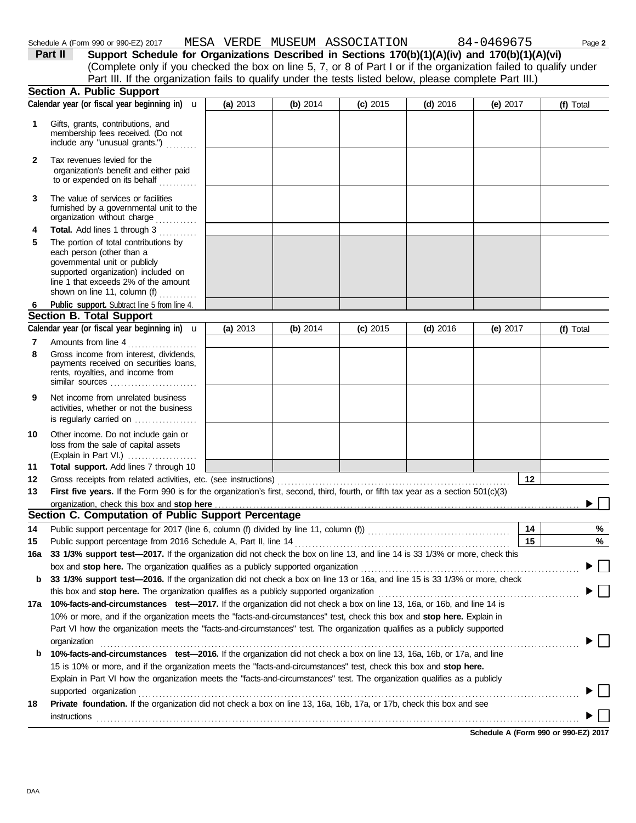| DAA |  |
|-----|--|

|              | Schedule A (Form 990 or 990-EZ) 2017                                                                                                                                                                                                             | MESA VERDE MUSEUM ASSOCIATION |            |            |            | 84-0469675 | Page 2    |
|--------------|--------------------------------------------------------------------------------------------------------------------------------------------------------------------------------------------------------------------------------------------------|-------------------------------|------------|------------|------------|------------|-----------|
|              | Support Schedule for Organizations Described in Sections 170(b)(1)(A)(iv) and 170(b)(1)(A)(vi)<br>Part II                                                                                                                                        |                               |            |            |            |            |           |
|              | (Complete only if you checked the box on line 5, 7, or 8 of Part I or if the organization failed to qualify under                                                                                                                                |                               |            |            |            |            |           |
|              | Part III. If the organization fails to qualify under the tests listed below, please complete Part III.)                                                                                                                                          |                               |            |            |            |            |           |
|              | <b>Section A. Public Support</b>                                                                                                                                                                                                                 |                               |            |            |            |            |           |
|              | Calendar year (or fiscal year beginning in) $\mathbf u$                                                                                                                                                                                          | (a) 2013                      | (b) $2014$ | $(c)$ 2015 | $(d)$ 2016 | (e) $2017$ | (f) Total |
| 1            | Gifts, grants, contributions, and<br>membership fees received. (Do not<br>include any "unusual grants.")                                                                                                                                         |                               |            |            |            |            |           |
| $\mathbf{2}$ | Tax revenues levied for the<br>organization's benefit and either paid<br>to or expended on its behalf                                                                                                                                            |                               |            |            |            |            |           |
| 3            | The value of services or facilities<br>furnished by a governmental unit to the<br>organization without charge                                                                                                                                    |                               |            |            |            |            |           |
| 4            | Total. Add lines 1 through 3<br>.                                                                                                                                                                                                                |                               |            |            |            |            |           |
| 5            | The portion of total contributions by<br>each person (other than a<br>governmental unit or publicly<br>supported organization) included on<br>line 1 that exceeds 2% of the amount                                                               |                               |            |            |            |            |           |
|              | shown on line 11, column (f)                                                                                                                                                                                                                     |                               |            |            |            |            |           |
| 6            | Public support. Subtract line 5 from line 4.                                                                                                                                                                                                     |                               |            |            |            |            |           |
|              | <b>Section B. Total Support</b>                                                                                                                                                                                                                  |                               |            |            |            |            |           |
|              | Calendar year (or fiscal year beginning in) $\mathbf u$                                                                                                                                                                                          | (a) 2013                      | (b) 2014   | $(c)$ 2015 | $(d)$ 2016 | (e) $2017$ | (f) Total |
| 7            | Amounts from line 4                                                                                                                                                                                                                              |                               |            |            |            |            |           |
| 8            | Gross income from interest, dividends,<br>payments received on securities loans,<br>rents, royalties, and income from<br>similar sources                                                                                                         |                               |            |            |            |            |           |
| 9            | Net income from unrelated business<br>activities, whether or not the business<br>is regularly carried on $\ldots$                                                                                                                                |                               |            |            |            |            |           |
| 10           | Other income. Do not include gain or<br>loss from the sale of capital assets<br>(Explain in Part VI.) $\ldots$                                                                                                                                   |                               |            |            |            |            |           |
| 11           | Total support. Add lines 7 through 10                                                                                                                                                                                                            |                               |            |            |            |            |           |
| 12           |                                                                                                                                                                                                                                                  |                               |            |            |            | 12         |           |
| 13           | First five years. If the Form 990 is for the organization's first, second, third, fourth, or fifth tax year as a section $501(c)(3)$                                                                                                             |                               |            |            |            |            |           |
|              |                                                                                                                                                                                                                                                  |                               |            |            |            |            |           |
|              | Section C. Computation of Public Support Percentage                                                                                                                                                                                              |                               |            |            |            |            |           |
| 14           |                                                                                                                                                                                                                                                  |                               |            |            |            | 14         | %         |
| 15           | Public support percentage from 2016 Schedule A, Part II, line 14                                                                                                                                                                                 |                               |            |            |            | 15         | %         |
| 16a          | 33 1/3% support test-2017. If the organization did not check the box on line 13, and line 14 is 33 1/3% or more, check this                                                                                                                      |                               |            |            |            |            |           |
|              |                                                                                                                                                                                                                                                  |                               |            |            |            |            |           |
| b            | 33 1/3% support test-2016. If the organization did not check a box on line 13 or 16a, and line 15 is 33 1/3% or more, check                                                                                                                      |                               |            |            |            |            |           |
|              |                                                                                                                                                                                                                                                  |                               |            |            |            |            |           |
| 17a          | 10%-facts-and-circumstances test-2017. If the organization did not check a box on line 13, 16a, or 16b, and line 14 is                                                                                                                           |                               |            |            |            |            |           |
|              | 10% or more, and if the organization meets the "facts-and-circumstances" test, check this box and stop here. Explain in                                                                                                                          |                               |            |            |            |            |           |
|              | Part VI how the organization meets the "facts-and-circumstances" test. The organization qualifies as a publicly supported                                                                                                                        |                               |            |            |            |            |           |
|              | organization                                                                                                                                                                                                                                     |                               |            |            |            |            |           |
| b            | 10%-facts-and-circumstances test-2016. If the organization did not check a box on line 13, 16a, 16b, or 17a, and line                                                                                                                            |                               |            |            |            |            |           |
|              | 15 is 10% or more, and if the organization meets the "facts-and-circumstances" test, check this box and stop here.<br>Explain in Part VI how the organization meets the "facts-and-circumstances" test. The organization qualifies as a publicly |                               |            |            |            |            |           |
| 18           | supported organization<br>Private foundation. If the organization did not check a box on line 13, 16a, 16b, 17a, or 17b, check this box and see                                                                                                  |                               |            |            |            |            |           |

instructions . . . . . . . . . . . . . . . . . . . . . . . . . . . . . . . . . . . . . . . . . . . . . . . . . . . . . . . . . . . . . . . . . . . . . . . . . . . . . . . . . . . . . . . . . . . . . . . . . . . . . . . . . . . . . . . . . . . . . . . . . . . . . . . . . . . . . . . . . . .

 $\blacktriangleright \Box$ 

 $\blacktriangleright \Box$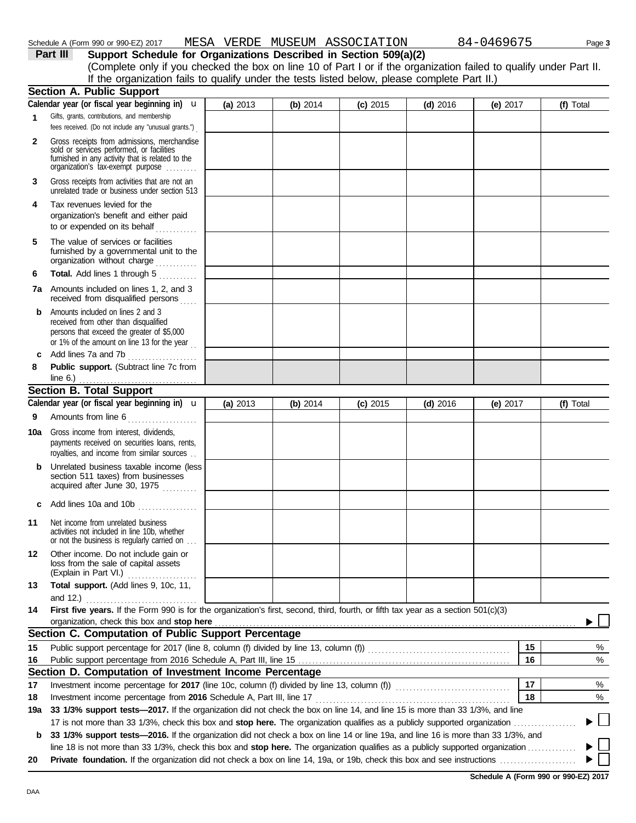| 6   | <b>Total.</b> Add lines 1 through 5                                                                                                                                     |            |            |            |            |            |                                      |
|-----|-------------------------------------------------------------------------------------------------------------------------------------------------------------------------|------------|------------|------------|------------|------------|--------------------------------------|
|     | 7a Amounts included on lines 1, 2, and 3<br>received from disqualified persons                                                                                          |            |            |            |            |            |                                      |
| b   | Amounts included on lines 2 and 3<br>received from other than disqualified<br>persons that exceed the greater of \$5,000<br>or 1% of the amount on line 13 for the year |            |            |            |            |            |                                      |
| c   | Add lines 7a and 7b                                                                                                                                                     |            |            |            |            |            |                                      |
| 8   | Public support. (Subtract line 7c from                                                                                                                                  |            |            |            |            |            |                                      |
|     | line $6.$ )                                                                                                                                                             |            |            |            |            |            |                                      |
|     | <b>Section B. Total Support</b>                                                                                                                                         |            |            |            |            |            |                                      |
|     | Calendar year (or fiscal year beginning in) $\mathbf u$                                                                                                                 | (a) $2013$ | (b) $2014$ | $(c)$ 2015 | $(d)$ 2016 | (e) $2017$ | (f) Total                            |
| 9   | Amounts from line 6                                                                                                                                                     |            |            |            |            |            |                                      |
| 10a | Gross income from interest, dividends,<br>payments received on securities loans, rents,<br>royalties, and income from similar sources                                   |            |            |            |            |            |                                      |
|     | <b>b</b> Unrelated business taxable income (less<br>section 511 taxes) from businesses<br>acquired after June 30, 1975                                                  |            |            |            |            |            |                                      |
| c   | Add lines 10a and 10b                                                                                                                                                   |            |            |            |            |            |                                      |
| 11  | Net income from unrelated business<br>activities not included in line 10b, whether<br>or not the business is regularly carried on                                       |            |            |            |            |            |                                      |
| 12  | Other income. Do not include gain or<br>loss from the sale of capital assets<br>(Explain in Part VI.)                                                                   |            |            |            |            |            |                                      |
| 13  | Total support. (Add lines 9, 10c, 11,                                                                                                                                   |            |            |            |            |            |                                      |
|     | and 12.) <u></u>                                                                                                                                                        |            |            |            |            |            |                                      |
| 14  | First five years. If the Form 990 is for the organization's first, second, third, fourth, or fifth tax year as a section 501(c)(3)                                      |            |            |            |            |            |                                      |
|     | organization, check this box and stop here                                                                                                                              |            |            |            |            |            |                                      |
|     | Section C. Computation of Public Support Percentage                                                                                                                     |            |            |            |            |            |                                      |
| 15  |                                                                                                                                                                         |            |            |            |            | 15         | %                                    |
| 16  |                                                                                                                                                                         |            |            |            |            | 16         | %                                    |
|     | Section D. Computation of Investment Income Percentage                                                                                                                  |            |            |            |            |            |                                      |
| 17  |                                                                                                                                                                         |            |            |            |            | 17         | %                                    |
| 18  |                                                                                                                                                                         |            |            |            |            | 18         | %                                    |
| 19a | 33 1/3% support tests-2017. If the organization did not check the box on line 14, and line 15 is more than 33 1/3%, and line                                            |            |            |            |            |            |                                      |
|     | 17 is not more than 33 1/3%, check this box and stop here. The organization qualifies as a publicly supported organization                                              |            |            |            |            |            |                                      |
|     | b 33 1/3% support tests-2016. If the organization did not check a box on line 14 or line 19a, and line 16 is more than 33 1/3%, and                                     |            |            |            |            |            |                                      |
|     | line 18 is not more than 33 1/3%, check this box and stop here. The organization qualifies as a publicly supported organization                                         |            |            |            |            |            |                                      |
| 20  |                                                                                                                                                                         |            |            |            |            |            |                                      |
|     |                                                                                                                                                                         |            |            |            |            |            | Schedule A (Form 990 or 990-EZ) 2017 |
| DAA |                                                                                                                                                                         |            |            |            |            |            |                                      |
|     |                                                                                                                                                                         |            |            |            |            |            |                                      |

|          | Schedule A (Form 990 or 990-EZ) 2017 |  | MESA VERDE MUSEUM ASSOCIATION                                     | 84-0469675 | Page 3 |
|----------|--------------------------------------|--|-------------------------------------------------------------------|------------|--------|
| Part III |                                      |  | Support Schedule for Organizations Described in Section 509(a)(2) |            |        |

(Complete only if you checked the box on line 10 of Part I or if the organization failed to qualify under Part II. If the organization fails to qualify under the tests listed below, please complete Part II.)

**(a)** 2013 **(b)** 2014 **(c)** 2015 **(d)** 2016 **(e)** 2017 **(f)** Total

| <b>IGOUIG H</b> (LOILII 99) |  |    |
|-----------------------------|--|----|
| Part III                    |  | Su |

**1**

**2**

**3**

**6**

unrelated trade or business under section 513

Gross receipts from activities that are not an

organization's benefit and either paid to or expended on its behalf . . . . . . . . . .

organization without charge ............. furnished by a governmental unit to the

organization's tax-exempt purpose .........

Gross receipts from admissions, merchandise sold or services performed, or facilities furnished in any activity that is related to the

Gifts, grants, contributions, and membership fees received. (Do not include any "unusual grants.") .

Calendar year (or fiscal year beginning in) **u** 

**Section A. Public Support**

**4** Tax revenues levied for the

**5** The value of services or facilities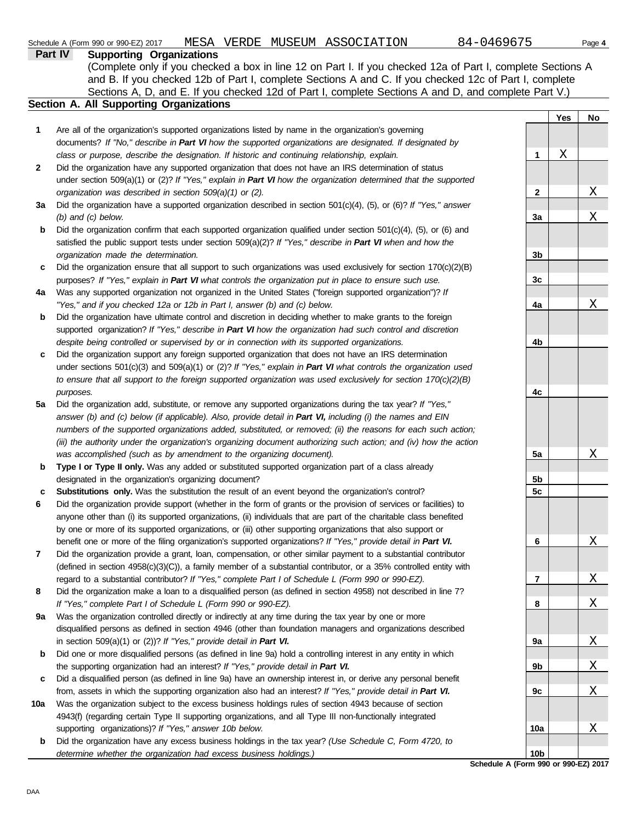|              | (Complete only if you checked a box in line 12 on Part I. If you checked 12a of Part I, complete Sections A                                                                                                              |                      |     |                         |
|--------------|--------------------------------------------------------------------------------------------------------------------------------------------------------------------------------------------------------------------------|----------------------|-----|-------------------------|
|              | and B. If you checked 12b of Part I, complete Sections A and C. If you checked 12c of Part I, complete                                                                                                                   |                      |     |                         |
|              | Sections A, D, and E. If you checked 12d of Part I, complete Sections A and D, and complete Part V.)<br><b>Section A. All Supporting Organizations</b>                                                                   |                      |     |                         |
|              |                                                                                                                                                                                                                          |                      | Yes | No                      |
| 1            | Are all of the organization's supported organizations listed by name in the organization's governing                                                                                                                     |                      |     |                         |
|              | documents? If "No," describe in Part VI how the supported organizations are designated. If designated by                                                                                                                 |                      |     |                         |
|              | class or purpose, describe the designation. If historic and continuing relationship, explain.                                                                                                                            | 1                    | Χ   |                         |
| $\mathbf{2}$ | Did the organization have any supported organization that does not have an IRS determination of status                                                                                                                   |                      |     |                         |
|              | under section $509(a)(1)$ or (2)? If "Yes," explain in Part VI how the organization determined that the supported                                                                                                        |                      |     |                         |
|              | organization was described in section 509(a)(1) or (2).                                                                                                                                                                  | 2                    |     | $\mathbf X$             |
| За           | Did the organization have a supported organization described in section $501(c)(4)$ , (5), or (6)? If "Yes," answer                                                                                                      |                      |     |                         |
|              | $(b)$ and $(c)$ below.                                                                                                                                                                                                   | 3a                   |     | Χ                       |
| b            | Did the organization confirm that each supported organization qualified under section $501(c)(4)$ , $(5)$ , or $(6)$ and                                                                                                 |                      |     |                         |
|              | satisfied the public support tests under section 509(a)(2)? If "Yes," describe in Part VI when and how the                                                                                                               |                      |     |                         |
|              | organization made the determination.                                                                                                                                                                                     | 3b                   |     |                         |
| c            | Did the organization ensure that all support to such organizations was used exclusively for section $170(c)(2)(B)$                                                                                                       |                      |     |                         |
|              | purposes? If "Yes," explain in Part VI what controls the organization put in place to ensure such use.                                                                                                                   | 3c                   |     |                         |
| 4a           | Was any supported organization not organized in the United States ("foreign supported organization")? If                                                                                                                 |                      |     |                         |
|              | "Yes," and if you checked 12a or 12b in Part I, answer (b) and (c) below.                                                                                                                                                | 4a                   |     | Χ                       |
| b            | Did the organization have ultimate control and discretion in deciding whether to make grants to the foreign                                                                                                              |                      |     |                         |
|              | supported organization? If "Yes," describe in Part VI how the organization had such control and discretion                                                                                                               |                      |     |                         |
|              | despite being controlled or supervised by or in connection with its supported organizations.                                                                                                                             | 4b                   |     |                         |
| c            | Did the organization support any foreign supported organization that does not have an IRS determination                                                                                                                  |                      |     |                         |
|              | under sections $501(c)(3)$ and $509(a)(1)$ or (2)? If "Yes," explain in Part VI what controls the organization used                                                                                                      |                      |     |                         |
|              | to ensure that all support to the foreign supported organization was used exclusively for section $170(c)(2)(B)$                                                                                                         |                      |     |                         |
|              | purposes.                                                                                                                                                                                                                | 4c                   |     |                         |
| 5a           | Did the organization add, substitute, or remove any supported organizations during the tax year? If "Yes,"                                                                                                               |                      |     |                         |
|              | answer (b) and (c) below (if applicable). Also, provide detail in Part VI, including (i) the names and EIN                                                                                                               |                      |     |                         |
|              | numbers of the supported organizations added, substituted, or removed; (ii) the reasons for each such action;                                                                                                            |                      |     |                         |
|              | (iii) the authority under the organization's organizing document authorizing such action; and (iv) how the action                                                                                                        |                      |     |                         |
|              | was accomplished (such as by amendment to the organizing document).                                                                                                                                                      | 5a                   |     | Χ                       |
| b            | Type I or Type II only. Was any added or substituted supported organization part of a class already                                                                                                                      |                      |     |                         |
|              | designated in the organization's organizing document?                                                                                                                                                                    | 5b<br>5 <sub>c</sub> |     |                         |
| с<br>6       | Substitutions only. Was the substitution the result of an event beyond the organization's control?<br>Did the organization provide support (whether in the form of grants or the provision of services or facilities) to |                      |     |                         |
|              | anyone other than (i) its supported organizations, (ii) individuals that are part of the charitable class benefited                                                                                                      |                      |     |                         |
|              | by one or more of its supported organizations, or (iii) other supporting organizations that also support or                                                                                                              |                      |     |                         |
|              | benefit one or more of the filing organization's supported organizations? If "Yes," provide detail in Part VI.                                                                                                           | 6                    |     | <u>х</u>                |
| 7            | Did the organization provide a grant, loan, compensation, or other similar payment to a substantial contributor                                                                                                          |                      |     |                         |
|              | (defined in section $4958(c)(3)(C)$ ), a family member of a substantial contributor, or a 35% controlled entity with                                                                                                     |                      |     |                         |
|              | regard to a substantial contributor? If "Yes," complete Part I of Schedule L (Form 990 or 990-EZ).                                                                                                                       | 7                    |     | <u>X</u>                |
| 8            | Did the organization make a loan to a disqualified person (as defined in section 4958) not described in line 7?                                                                                                          |                      |     |                         |
|              | If "Yes," complete Part I of Schedule L (Form 990 or 990-EZ).                                                                                                                                                            | 8                    |     | Χ                       |
| 9a           | Was the organization controlled directly or indirectly at any time during the tax year by one or more                                                                                                                    |                      |     |                         |
|              | disqualified persons as defined in section 4946 (other than foundation managers and organizations described                                                                                                              |                      |     |                         |
|              | in section $509(a)(1)$ or $(2)$ ? If "Yes," provide detail in Part VI.                                                                                                                                                   | 9а                   |     | <u>X</u>                |
| b            | Did one or more disqualified persons (as defined in line 9a) hold a controlling interest in any entity in which                                                                                                          |                      |     |                         |
|              | the supporting organization had an interest? If "Yes," provide detail in Part VI.                                                                                                                                        | 9b                   |     | $\overline{\mathrm{X}}$ |
| c            | Did a disqualified person (as defined in line 9a) have an ownership interest in, or derive any personal benefit                                                                                                          |                      |     |                         |
|              | from, assets in which the supporting organization also had an interest? If "Yes," provide detail in Part VI.                                                                                                             | 9c                   |     | Χ                       |
| 10a          | Was the organization subject to the excess business holdings rules of section 4943 because of section                                                                                                                    |                      |     |                         |
|              | 4943(f) (regarding certain Type II supporting organizations, and all Type III non-functionally integrated                                                                                                                |                      |     |                         |
|              | supporting organizations)? If "Yes," answer 10b below.                                                                                                                                                                   | 10a                  |     | $\mathbf X$             |
| b            | Did the organization have any excess business holdings in the tax year? (Use Schedule C, Form 4720, to                                                                                                                   |                      |     |                         |
|              | determine whether the organization had excess business holdings.)                                                                                                                                                        | 10 <sub>b</sub>      |     |                         |

**Schedule A (Form 990 or 990-EZ) 2017**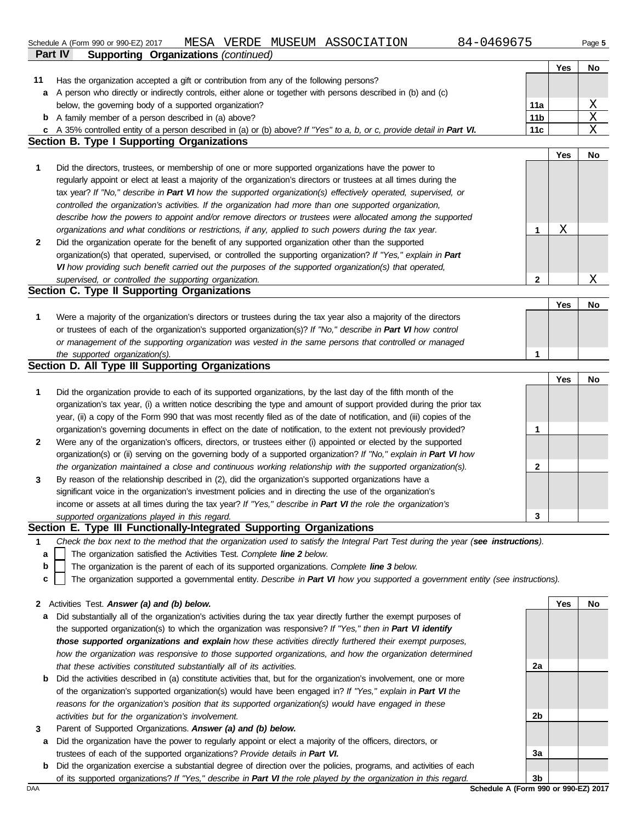Schedule A (Form 990 or 990-EZ) 2017 MESA VERDE N<br>**Part IV Supporting Organizations** *(continued)* Schedule A (Form 990 or 990-EZ) 2017 MESA VERDE MUSEUM ASSOCIATION 84-0469675 Page **5** 

Has the organization accepted a gift or contribution from any of the following persons?

**11**

|  | 84-046967 |
|--|-----------|
|--|-----------|

**Yes No**

|   | a A person who directly or indirectly controls, either alone or together with persons described in (b) and (c)                    |                 |     |                 |
|---|-----------------------------------------------------------------------------------------------------------------------------------|-----------------|-----|-----------------|
|   | below, the governing body of a supported organization?                                                                            | 11a             |     | $\underline{X}$ |
|   | <b>b</b> A family member of a person described in (a) above?                                                                      | 11 <sub>b</sub> |     | $\overline{X}$  |
|   | c A 35% controlled entity of a person described in (a) or (b) above? If "Yes" to a, b, or c, provide detail in Part VI.           | 11c             |     | $\mathbf X$     |
|   | <b>Section B. Type I Supporting Organizations</b>                                                                                 |                 |     |                 |
|   |                                                                                                                                   |                 | Yes | No              |
| 1 | Did the directors, trustees, or membership of one or more supported organizations have the power to                               |                 |     |                 |
|   | regularly appoint or elect at least a majority of the organization's directors or trustees at all times during the                |                 |     |                 |
|   | tax year? If "No," describe in Part VI how the supported organization(s) effectively operated, supervised, or                     |                 |     |                 |
|   | controlled the organization's activities. If the organization had more than one supported organization,                           |                 |     |                 |
|   |                                                                                                                                   |                 |     |                 |
|   | describe how the powers to appoint and/or remove directors or trustees were allocated among the supported                         |                 |     |                 |
|   | organizations and what conditions or restrictions, if any, applied to such powers during the tax year.                            | 1               | Χ   |                 |
| 2 | Did the organization operate for the benefit of any supported organization other than the supported                               |                 |     |                 |
|   | organization(s) that operated, supervised, or controlled the supporting organization? If "Yes," explain in Part                   |                 |     |                 |
|   | VI how providing such benefit carried out the purposes of the supported organization(s) that operated,                            |                 |     |                 |
|   | supervised, or controlled the supporting organization.                                                                            | 2               |     | Χ               |
|   | Section C. Type II Supporting Organizations                                                                                       |                 |     |                 |
|   |                                                                                                                                   |                 | Yes | No              |
| 1 | Were a majority of the organization's directors or trustees during the tax year also a majority of the directors                  |                 |     |                 |
|   | or trustees of each of the organization's supported organization(s)? If "No," describe in Part VI how control                     |                 |     |                 |
|   | or management of the supporting organization was vested in the same persons that controlled or managed                            |                 |     |                 |
|   | the supported organization(s).                                                                                                    | 1               |     |                 |
|   | Section D. All Type III Supporting Organizations                                                                                  |                 |     |                 |
|   |                                                                                                                                   |                 | Yes | No              |
| 1 | Did the organization provide to each of its supported organizations, by the last day of the fifth month of the                    |                 |     |                 |
|   | organization's tax year, (i) a written notice describing the type and amount of support provided during the prior tax             |                 |     |                 |
|   | year, (ii) a copy of the Form 990 that was most recently filed as of the date of notification, and (iii) copies of the            |                 |     |                 |
|   | organization's governing documents in effect on the date of notification, to the extent not previously provided?                  | 1               |     |                 |
| 2 | Were any of the organization's officers, directors, or trustees either (i) appointed or elected by the supported                  |                 |     |                 |
|   | organization(s) or (ii) serving on the governing body of a supported organization? If "No," explain in Part VI how                |                 |     |                 |
|   | the organization maintained a close and continuous working relationship with the supported organization(s).                       | 2               |     |                 |
| 3 | By reason of the relationship described in (2), did the organization's supported organizations have a                             |                 |     |                 |
|   | significant voice in the organization's investment policies and in directing the use of the organization's                        |                 |     |                 |
|   | income or assets at all times during the tax year? If "Yes," describe in Part VI the role the organization's                      |                 |     |                 |
|   | supported organizations played in this regard.                                                                                    | 3               |     |                 |
|   | Section E. Type III Functionally-Integrated Supporting Organizations                                                              |                 |     |                 |
|   |                                                                                                                                   |                 |     |                 |
|   |                                                                                                                                   |                 |     |                 |
| 1 | Check the box next to the method that the organization used to satisfy the Integral Part Test during the year (see instructions). |                 |     |                 |
| a | The organization satisfied the Activities Test. Complete line 2 below.                                                            |                 |     |                 |
| b | The organization is the parent of each of its supported organizations. Complete line 3 below.                                     |                 |     |                 |
| c | The organization supported a governmental entity. Describe in Part VI how you supported a government entity (see instructions).   |                 |     |                 |
|   |                                                                                                                                   |                 |     |                 |
|   | 2 Activities Test. Answer (a) and (b) below.                                                                                      |                 | Yes | No              |
| а | Did substantially all of the organization's activities during the tax year directly further the exempt purposes of                |                 |     |                 |
|   | the supported organization(s) to which the organization was responsive? If "Yes," then in Part VI identify                        |                 |     |                 |
|   | those supported organizations and explain how these activities directly furthered their exempt purposes,                          |                 |     |                 |
|   | how the organization was responsive to those supported organizations, and how the organization determined                         |                 |     |                 |
|   | that these activities constituted substantially all of its activities.                                                            | 2a              |     |                 |
| b | Did the activities described in (a) constitute activities that, but for the organization's involvement, one or more               |                 |     |                 |
|   | of the organization's supported organization(s) would have been engaged in? If "Yes," explain in Part VI the                      |                 |     |                 |
|   | reasons for the organization's position that its supported organization(s) would have engaged in these                            |                 |     |                 |
|   | activities but for the organization's involvement.                                                                                | 2b              |     |                 |
| 3 | Parent of Supported Organizations. Answer (a) and (b) below.                                                                      |                 |     |                 |
| а | Did the organization have the power to regularly appoint or elect a majority of the officers, directors, or                       |                 |     |                 |
|   | trustees of each of the supported organizations? Provide details in Part VI.                                                      | 3a              |     |                 |
| b | Did the organization exercise a substantial degree of direction over the policies, programs, and activities of each               |                 |     |                 |
|   | of its supported organizations? If "Yes," describe in Part VI the role played by the organization in this regard.                 | 3b              |     |                 |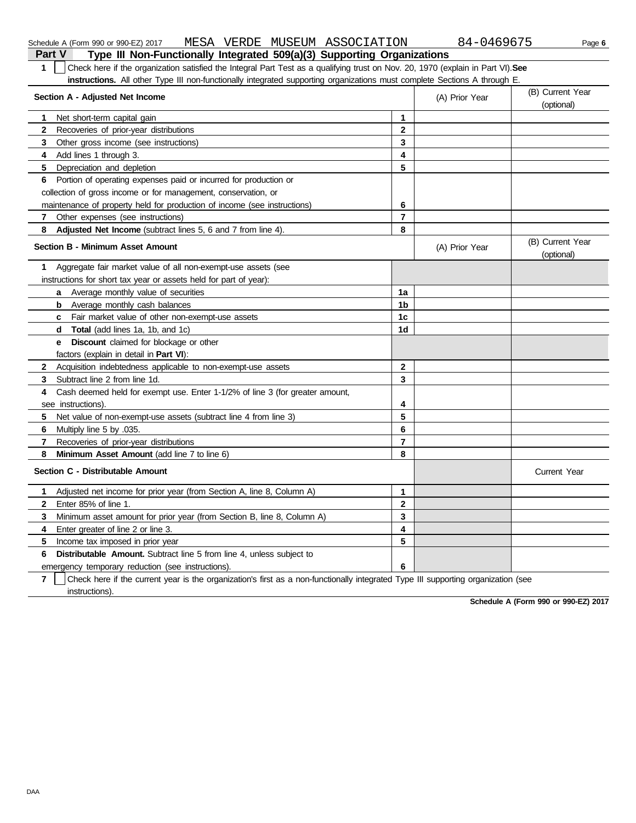| Check here if the organization satisfied the Integral Part Test as a qualifying trust on Nov. 20, 1970 (explain in Part VI). See<br>1<br>instructions. All other Type III non-functionally integrated supporting organizations must complete Sections A through E. |                |                |                                |
|--------------------------------------------------------------------------------------------------------------------------------------------------------------------------------------------------------------------------------------------------------------------|----------------|----------------|--------------------------------|
| Section A - Adjusted Net Income                                                                                                                                                                                                                                    |                | (A) Prior Year | (B) Current Year<br>(optional) |
| Net short-term capital gain<br>1                                                                                                                                                                                                                                   | $\mathbf{1}$   |                |                                |
| Recoveries of prior-year distributions<br>$\mathbf{2}$                                                                                                                                                                                                             | $\mathbf{2}$   |                |                                |
| 3<br>Other gross income (see instructions)                                                                                                                                                                                                                         | 3              |                |                                |
| 4<br>Add lines 1 through 3.                                                                                                                                                                                                                                        | 4              |                |                                |
| 5.<br>Depreciation and depletion                                                                                                                                                                                                                                   | 5              |                |                                |
| Portion of operating expenses paid or incurred for production or<br>6.                                                                                                                                                                                             |                |                |                                |
| collection of gross income or for management, conservation, or                                                                                                                                                                                                     |                |                |                                |
| maintenance of property held for production of income (see instructions)                                                                                                                                                                                           | 6              |                |                                |
| Other expenses (see instructions)<br>7                                                                                                                                                                                                                             | $\overline{7}$ |                |                                |
| 8<br>Adjusted Net Income (subtract lines 5, 6 and 7 from line 4).                                                                                                                                                                                                  | 8              |                |                                |
| <b>Section B - Minimum Asset Amount</b>                                                                                                                                                                                                                            |                | (A) Prior Year | (B) Current Year<br>(optional) |
| Aggregate fair market value of all non-exempt-use assets (see<br>1                                                                                                                                                                                                 |                |                |                                |
| instructions for short tax year or assets held for part of year):                                                                                                                                                                                                  |                |                |                                |
| a Average monthly value of securities                                                                                                                                                                                                                              | 1a             |                |                                |
| <b>b</b> Average monthly cash balances                                                                                                                                                                                                                             | 1 <sub>b</sub> |                |                                |
| <b>c</b> Fair market value of other non-exempt-use assets                                                                                                                                                                                                          | 1c             |                |                                |
| <b>Total</b> (add lines 1a, 1b, and 1c)<br>d                                                                                                                                                                                                                       | 1 <sub>d</sub> |                |                                |
| <b>Discount</b> claimed for blockage or other<br>е                                                                                                                                                                                                                 |                |                |                                |
| factors (explain in detail in Part VI):                                                                                                                                                                                                                            |                |                |                                |
| $\mathbf{2}$<br>Acquisition indebtedness applicable to non-exempt-use assets                                                                                                                                                                                       | $\mathbf{2}$   |                |                                |
| Subtract line 2 from line 1d.<br>3                                                                                                                                                                                                                                 | 3              |                |                                |
| Cash deemed held for exempt use. Enter 1-1/2% of line 3 (for greater amount,<br>4                                                                                                                                                                                  |                |                |                                |
| see instructions).                                                                                                                                                                                                                                                 | 4              |                |                                |
| 5.<br>Net value of non-exempt-use assets (subtract line 4 from line 3)                                                                                                                                                                                             | 5              |                |                                |
| 6<br>Multiply line 5 by 035.                                                                                                                                                                                                                                       | 6              |                |                                |
| Recoveries of prior-year distributions<br>7                                                                                                                                                                                                                        | $\overline{7}$ |                |                                |
| Minimum Asset Amount (add line 7 to line 6)<br>8                                                                                                                                                                                                                   | 8              |                |                                |
| Section C - Distributable Amount                                                                                                                                                                                                                                   |                |                | <b>Current Year</b>            |
| Adjusted net income for prior year (from Section A, line 8, Column A)<br>1                                                                                                                                                                                         | $\mathbf{1}$   |                |                                |
| $\mathbf{2}$<br>Enter 85% of line 1.                                                                                                                                                                                                                               | $\mathbf{2}$   |                |                                |
| 3<br>Minimum asset amount for prior year (from Section B, line 8, Column A)                                                                                                                                                                                        | 3              |                |                                |
| 4<br>Enter greater of line 2 or line 3.                                                                                                                                                                                                                            | 4              |                |                                |
| 5<br>Income tax imposed in prior year                                                                                                                                                                                                                              | 5              |                |                                |
| 6<br><b>Distributable Amount.</b> Subtract line 5 from line 4, unless subject to                                                                                                                                                                                   |                |                |                                |
| emergency temporary reduction (see instructions).                                                                                                                                                                                                                  | 6              |                |                                |

**7** | Check here if the current year is the organization's first as a non-functionally integrated Type III supporting organization (see instructions).

**Schedule A (Form 990 or 990-EZ) 2017**

**Part V Type III Non-Functionally Integrated 509(a)(3) Supporting Organizations** Schedule A (Form 990 or 990-EZ) 2017 MESA VERDE MUSEUM ASSOCIATION 84-0469675 Page **6**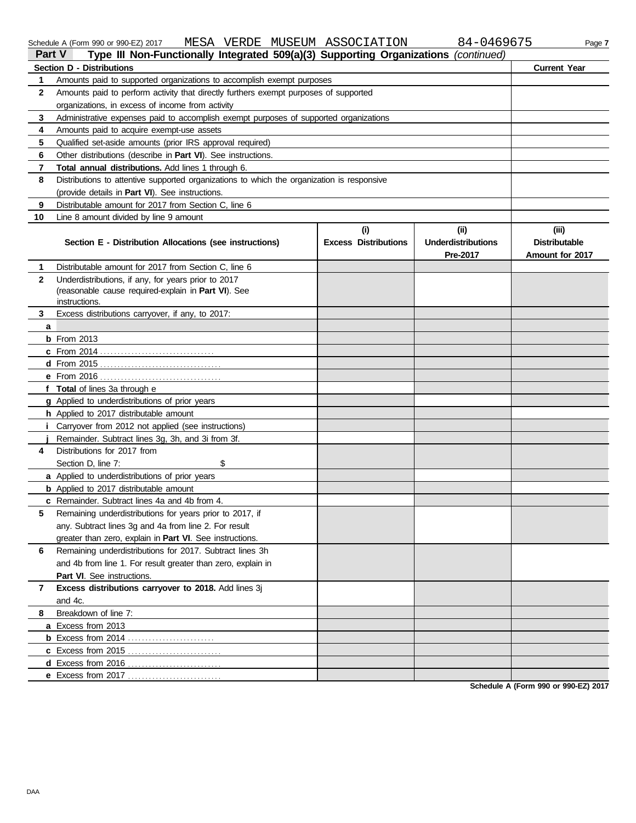|              | MESA VERDE MUSEUM ASSOCIATION<br>Schedule A (Form 990 or 990-EZ) 2017                                |                                    | 84-0469675                                    | Page 7                                           |  |  |  |  |
|--------------|------------------------------------------------------------------------------------------------------|------------------------------------|-----------------------------------------------|--------------------------------------------------|--|--|--|--|
|              | Type III Non-Functionally Integrated 509(a)(3) Supporting Organizations (continued)<br><b>Part V</b> |                                    |                                               |                                                  |  |  |  |  |
|              | <b>Section D - Distributions</b>                                                                     |                                    |                                               | <b>Current Year</b>                              |  |  |  |  |
| 1            | Amounts paid to supported organizations to accomplish exempt purposes                                |                                    |                                               |                                                  |  |  |  |  |
| 2            | Amounts paid to perform activity that directly furthers exempt purposes of supported                 |                                    |                                               |                                                  |  |  |  |  |
|              | organizations, in excess of income from activity                                                     |                                    |                                               |                                                  |  |  |  |  |
| 3            | Administrative expenses paid to accomplish exempt purposes of supported organizations                |                                    |                                               |                                                  |  |  |  |  |
| 4            | Amounts paid to acquire exempt-use assets                                                            |                                    |                                               |                                                  |  |  |  |  |
| 5            | Qualified set-aside amounts (prior IRS approval required)                                            |                                    |                                               |                                                  |  |  |  |  |
| 6            | Other distributions (describe in Part VI). See instructions.                                         |                                    |                                               |                                                  |  |  |  |  |
| 7            | Total annual distributions. Add lines 1 through 6.                                                   |                                    |                                               |                                                  |  |  |  |  |
| 8            | Distributions to attentive supported organizations to which the organization is responsive           |                                    |                                               |                                                  |  |  |  |  |
|              | (provide details in Part VI). See instructions.                                                      |                                    |                                               |                                                  |  |  |  |  |
| 9            | Distributable amount for 2017 from Section C, line 6                                                 |                                    |                                               |                                                  |  |  |  |  |
| 10           | Line 8 amount divided by line 9 amount                                                               |                                    |                                               |                                                  |  |  |  |  |
|              | Section E - Distribution Allocations (see instructions)                                              | (i)<br><b>Excess Distributions</b> | (ii)<br><b>Underdistributions</b><br>Pre-2017 | (iii)<br><b>Distributable</b><br>Amount for 2017 |  |  |  |  |
| 1            | Distributable amount for 2017 from Section C, line 6                                                 |                                    |                                               |                                                  |  |  |  |  |
| $\mathbf{2}$ | Underdistributions, if any, for years prior to 2017                                                  |                                    |                                               |                                                  |  |  |  |  |
|              | (reasonable cause required-explain in Part VI). See                                                  |                                    |                                               |                                                  |  |  |  |  |
|              | instructions.                                                                                        |                                    |                                               |                                                  |  |  |  |  |
| 3            | Excess distributions carryover, if any, to 2017:                                                     |                                    |                                               |                                                  |  |  |  |  |
| a            |                                                                                                      |                                    |                                               |                                                  |  |  |  |  |
|              | <b>b</b> From 2013                                                                                   |                                    |                                               |                                                  |  |  |  |  |
|              |                                                                                                      |                                    |                                               |                                                  |  |  |  |  |
|              |                                                                                                      |                                    |                                               |                                                  |  |  |  |  |
|              |                                                                                                      |                                    |                                               |                                                  |  |  |  |  |
|              | f Total of lines 3a through e                                                                        |                                    |                                               |                                                  |  |  |  |  |
|              | g Applied to underdistributions of prior years                                                       |                                    |                                               |                                                  |  |  |  |  |
|              | h Applied to 2017 distributable amount                                                               |                                    |                                               |                                                  |  |  |  |  |
|              | i Carryover from 2012 not applied (see instructions)                                                 |                                    |                                               |                                                  |  |  |  |  |
| 4            | Remainder. Subtract lines 3g, 3h, and 3i from 3f.<br>Distributions for 2017 from                     |                                    |                                               |                                                  |  |  |  |  |
|              |                                                                                                      |                                    |                                               |                                                  |  |  |  |  |
|              | Section D, line 7:<br>\$<br>a Applied to underdistributions of prior years                           |                                    |                                               |                                                  |  |  |  |  |
|              | <b>b</b> Applied to 2017 distributable amount                                                        |                                    |                                               |                                                  |  |  |  |  |
|              | <b>c</b> Remainder. Subtract lines 4a and 4b from 4.                                                 |                                    |                                               |                                                  |  |  |  |  |
| 5            | Remaining underdistributions for years prior to 2017, if                                             |                                    |                                               |                                                  |  |  |  |  |
|              | any. Subtract lines 3g and 4a from line 2. For result                                                |                                    |                                               |                                                  |  |  |  |  |
|              | greater than zero, explain in Part VI. See instructions.                                             |                                    |                                               |                                                  |  |  |  |  |
| 6            | Remaining underdistributions for 2017. Subtract lines 3h                                             |                                    |                                               |                                                  |  |  |  |  |
|              | and 4b from line 1. For result greater than zero, explain in                                         |                                    |                                               |                                                  |  |  |  |  |
|              | Part VI. See instructions.                                                                           |                                    |                                               |                                                  |  |  |  |  |
| 7            | Excess distributions carryover to 2018. Add lines 3j                                                 |                                    |                                               |                                                  |  |  |  |  |
|              | and 4c.                                                                                              |                                    |                                               |                                                  |  |  |  |  |
| 8            | Breakdown of line 7:                                                                                 |                                    |                                               |                                                  |  |  |  |  |
|              | a Excess from 2013                                                                                   |                                    |                                               |                                                  |  |  |  |  |
|              |                                                                                                      |                                    |                                               |                                                  |  |  |  |  |
|              |                                                                                                      |                                    |                                               |                                                  |  |  |  |  |
|              |                                                                                                      |                                    |                                               |                                                  |  |  |  |  |
|              | e Excess from 2017                                                                                   |                                    |                                               |                                                  |  |  |  |  |

**Schedule A (Form 990 or 990-EZ) 2017**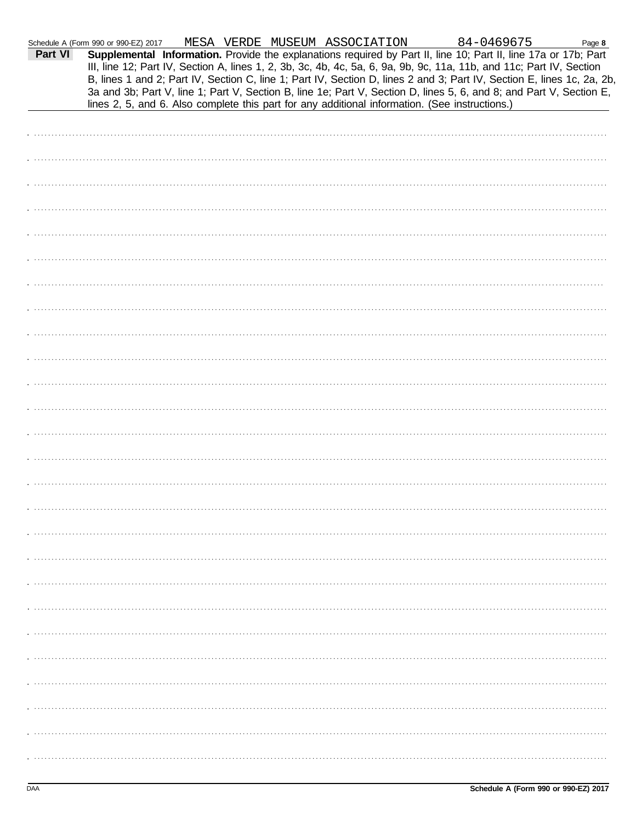| Part VI | Schedule A (Form 990 or 990-EZ) 2017 | MESA VERDE MUSEUM ASSOCIATION |  | 84-0469675<br>Supplemental Information. Provide the explanations required by Part II, line 10; Part II, line 17a or 17b; Part<br>III, line 12; Part IV, Section A, lines 1, 2, 3b, 3c, 4b, 4c, 5a, 6, 9a, 9b, 9c, 11a, 11b, and 11c; Part IV, Section<br>B, lines 1 and 2; Part IV, Section C, line 1; Part IV, Section D, lines 2 and 3; Part IV, Section E, lines 1c, 2a, 2b,<br>3a and 3b; Part V, line 1; Part V, Section B, line 1e; Part V, Section D, lines 5, 6, and 8; and Part V, Section E, | Page 8 |
|---------|--------------------------------------|-------------------------------|--|--------------------------------------------------------------------------------------------------------------------------------------------------------------------------------------------------------------------------------------------------------------------------------------------------------------------------------------------------------------------------------------------------------------------------------------------------------------------------------------------------------|--------|
|         |                                      |                               |  | lines 2, 5, and 6. Also complete this part for any additional information. (See instructions.)                                                                                                                                                                                                                                                                                                                                                                                                         |        |
|         |                                      |                               |  |                                                                                                                                                                                                                                                                                                                                                                                                                                                                                                        |        |
|         |                                      |                               |  |                                                                                                                                                                                                                                                                                                                                                                                                                                                                                                        |        |
|         |                                      |                               |  |                                                                                                                                                                                                                                                                                                                                                                                                                                                                                                        |        |
|         |                                      |                               |  |                                                                                                                                                                                                                                                                                                                                                                                                                                                                                                        |        |
|         |                                      |                               |  |                                                                                                                                                                                                                                                                                                                                                                                                                                                                                                        |        |
|         |                                      |                               |  |                                                                                                                                                                                                                                                                                                                                                                                                                                                                                                        |        |
|         |                                      |                               |  |                                                                                                                                                                                                                                                                                                                                                                                                                                                                                                        |        |
|         |                                      |                               |  |                                                                                                                                                                                                                                                                                                                                                                                                                                                                                                        |        |
|         |                                      |                               |  |                                                                                                                                                                                                                                                                                                                                                                                                                                                                                                        |        |
|         |                                      |                               |  |                                                                                                                                                                                                                                                                                                                                                                                                                                                                                                        |        |
|         |                                      |                               |  |                                                                                                                                                                                                                                                                                                                                                                                                                                                                                                        |        |
|         |                                      |                               |  |                                                                                                                                                                                                                                                                                                                                                                                                                                                                                                        |        |
|         |                                      |                               |  |                                                                                                                                                                                                                                                                                                                                                                                                                                                                                                        |        |
|         |                                      |                               |  |                                                                                                                                                                                                                                                                                                                                                                                                                                                                                                        |        |
|         |                                      |                               |  |                                                                                                                                                                                                                                                                                                                                                                                                                                                                                                        |        |
|         |                                      |                               |  |                                                                                                                                                                                                                                                                                                                                                                                                                                                                                                        |        |
|         |                                      |                               |  |                                                                                                                                                                                                                                                                                                                                                                                                                                                                                                        |        |
|         |                                      |                               |  |                                                                                                                                                                                                                                                                                                                                                                                                                                                                                                        |        |
|         |                                      |                               |  |                                                                                                                                                                                                                                                                                                                                                                                                                                                                                                        |        |
|         |                                      |                               |  |                                                                                                                                                                                                                                                                                                                                                                                                                                                                                                        |        |
|         |                                      |                               |  |                                                                                                                                                                                                                                                                                                                                                                                                                                                                                                        |        |
|         |                                      |                               |  |                                                                                                                                                                                                                                                                                                                                                                                                                                                                                                        |        |
|         |                                      |                               |  |                                                                                                                                                                                                                                                                                                                                                                                                                                                                                                        |        |
|         |                                      |                               |  |                                                                                                                                                                                                                                                                                                                                                                                                                                                                                                        |        |
|         |                                      |                               |  |                                                                                                                                                                                                                                                                                                                                                                                                                                                                                                        |        |
|         |                                      |                               |  |                                                                                                                                                                                                                                                                                                                                                                                                                                                                                                        |        |
|         |                                      |                               |  |                                                                                                                                                                                                                                                                                                                                                                                                                                                                                                        |        |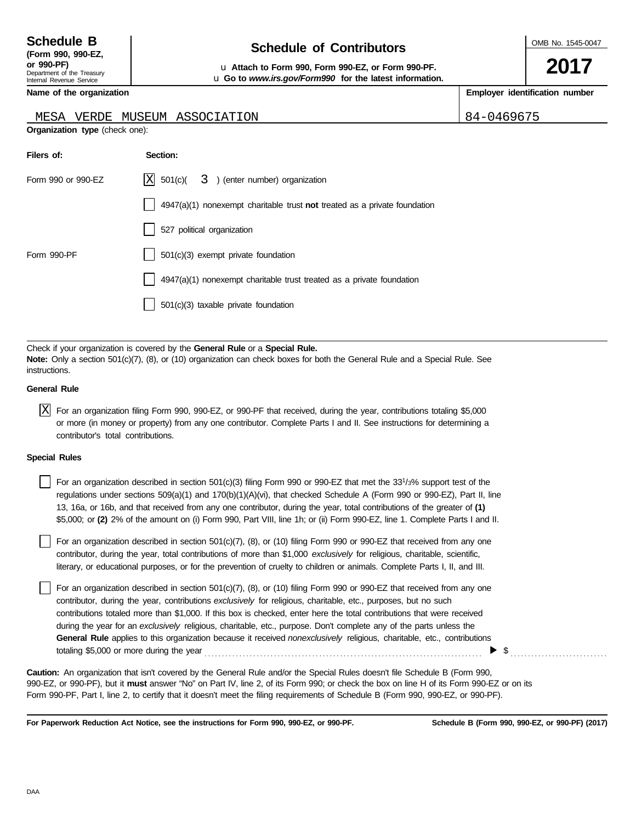### **Schedule of Contributors Schedule B**

OMB No. 1545-0047

**2017**

**or 990-PF)** u **Attach to Form 990, Form 990-EZ, or Form 990-PF.** u **Go to** *www.irs.gov/Form990* **for the latest information.**

**Employer identification number**

| --------- | --<br>$\sim$ $\sim$ | $- - -$ | ---<br>----- |  |
|-----------|---------------------|---------|--------------|--|
|           |                     |         |              |  |
|           |                     |         |              |  |
|           |                     |         |              |  |

**Name of the organization**

#### MESA VERDE MUSEUM ASSOCIATION 84-0469675

| Organization type (check one): |  |  |
|--------------------------------|--|--|
|                                |  |  |

| Filers of:         | Section:                                                                    |
|--------------------|-----------------------------------------------------------------------------|
| Form 990 or 990-EZ | $ X $ 501(c)( 3) (enter number) organization                                |
|                    | $4947(a)(1)$ nonexempt charitable trust not treated as a private foundation |
|                    | 527 political organization                                                  |
| Form 990-PF        | $501(c)(3)$ exempt private foundation                                       |
|                    | $4947(a)(1)$ nonexempt charitable trust treated as a private foundation     |
|                    | $501(c)(3)$ taxable private foundation                                      |

Check if your organization is covered by the **General Rule** or a **Special Rule. Note:** Only a section 501(c)(7), (8), or (10) organization can check boxes for both the General Rule and a Special Rule. See instructions.

#### **General Rule**

 $\overline{X}$  For an organization filing Form 990, 990-EZ, or 990-PF that received, during the year, contributions totaling \$5,000 or more (in money or property) from any one contributor. Complete Parts I and II. See instructions for determining a contributor's total contributions.

#### **Special Rules**

| For an organization described in section 501(c)(3) filing Form 990 or 990-EZ that met the 33 <sup>1</sup> /3% support test of the |
|-----------------------------------------------------------------------------------------------------------------------------------|
| regulations under sections 509(a)(1) and 170(b)(1)(A)(vi), that checked Schedule A (Form 990 or 990-EZ), Part II, line            |
| 13, 16a, or 16b, and that received from any one contributor, during the year, total contributions of the greater of (1)           |
| \$5,000; or (2) 2% of the amount on (i) Form 990, Part VIII, line 1h; or (ii) Form 990-EZ, line 1. Complete Parts I and II.       |

literary, or educational purposes, or for the prevention of cruelty to children or animals. Complete Parts I, II, and III. For an organization described in section  $501(c)(7)$ ,  $(8)$ , or  $(10)$  filing Form 990 or 990-EZ that received from any one contributor, during the year, total contributions of more than \$1,000 *exclusively* for religious, charitable, scientific,

For an organization described in section 501(c)(7), (8), or (10) filing Form 990 or 990-EZ that received from any one contributor, during the year, contributions *exclusively* for religious, charitable, etc., purposes, but no such contributions totaled more than \$1,000. If this box is checked, enter here the total contributions that were received during the year for an *exclusively* religious, charitable, etc., purpose. Don't complete any of the parts unless the **General Rule** applies to this organization because it received *nonexclusively* religious, charitable, etc., contributions totaling \$5,000 or more during the year . . . . . . . . . . . . . . . . . . . . . . . . . . . . . . . . . . . . . . . . . . . . . . . . . . . . . . . . . . . . . . . . . . . . . . . . . . . . . . . .  $\blacktriangleright$  \$

990-EZ, or 990-PF), but it **must** answer "No" on Part IV, line 2, of its Form 990; or check the box on line H of its Form 990-EZ or on its Form 990-PF, Part I, line 2, to certify that it doesn't meet the filing requirements of Schedule B (Form 990, 990-EZ, or 990-PF). **Caution:** An organization that isn't covered by the General Rule and/or the Special Rules doesn't file Schedule B (Form 990,

**For Paperwork Reduction Act Notice, see the instructions for Form 990, 990-EZ, or 990-PF.**

**Schedule B (Form 990, 990-EZ, or 990-PF) (2017)**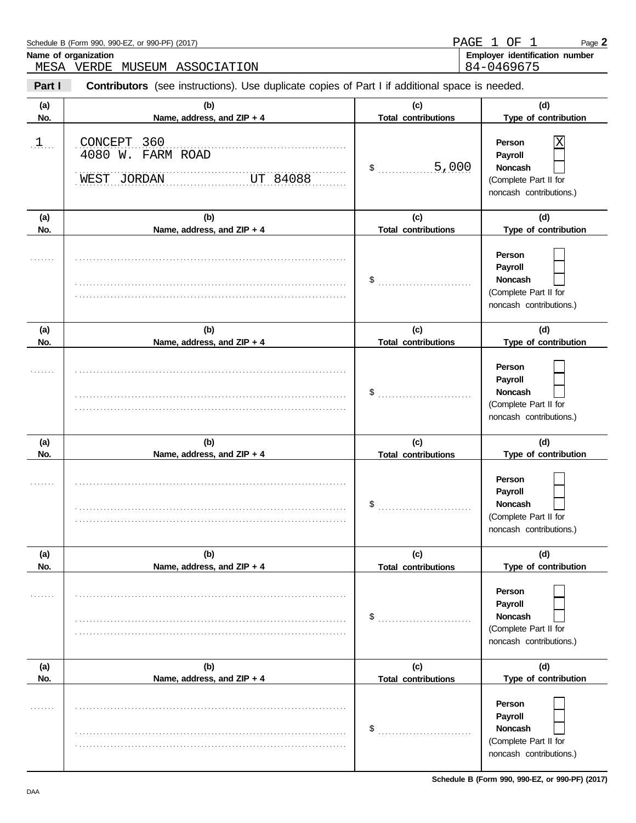|            | Schedule B (Form 990, 990-EZ, or 990-PF) (2017)                                                |                                   | PAGE 1 OF<br>$\mathbf{1}$<br>Page 2                                                        |
|------------|------------------------------------------------------------------------------------------------|-----------------------------------|--------------------------------------------------------------------------------------------|
|            | Name of organization<br>MESA VERDE MUSEUM ASSOCIATION                                          |                                   | Employer identification number<br>84-0469675                                               |
| Part I     | Contributors (see instructions). Use duplicate copies of Part I if additional space is needed. |                                   |                                                                                            |
| (a)<br>No. | (b)<br>Name, address, and ZIP + 4                                                              | (c)<br><b>Total contributions</b> | (d)<br>Type of contribution                                                                |
| 1          | CONCEPT 360<br>4080 W. FARM ROAD<br>WEST JORDAN<br>UT 84088                                    | .5,000<br>\$                      | Χ<br>Person<br>Payroll<br>Noncash<br>(Complete Part II for<br>noncash contributions.)      |
| (a)        | (b)                                                                                            | (c)                               | (d)                                                                                        |
| No.        | Name, address, and ZIP + 4                                                                     | <b>Total contributions</b>        | Type of contribution                                                                       |
|            |                                                                                                | \$                                | Person<br>Payroll<br>Noncash<br>(Complete Part II for<br>noncash contributions.)           |
| (a)        | (b)                                                                                            | (c)                               | (d)                                                                                        |
| No.        | Name, address, and ZIP + 4                                                                     | <b>Total contributions</b>        | Type of contribution                                                                       |
|            |                                                                                                | \$                                | Person<br>Payroll<br>Noncash<br>(Complete Part II for<br>noncash contributions.)           |
| (a)        | (b)                                                                                            | (c)                               | (d)                                                                                        |
| No.        | Name, address, and ZIP + 4                                                                     | <b>Total contributions</b>        | Type of contribution                                                                       |
|            |                                                                                                | \$                                | Person<br>Payroll<br>Noncash<br>$\Box$<br>(Complete Part II for<br>noncash contributions.) |
| (a)        | (b)                                                                                            | (c)                               | (d)                                                                                        |
| No.        | Name, address, and ZIP + 4                                                                     | <b>Total contributions</b>        | Type of contribution                                                                       |
|            |                                                                                                | \$                                | Person<br>Payroll<br><b>Noncash</b><br>(Complete Part II for<br>noncash contributions.)    |
| (a)        | (b)                                                                                            | (c)                               | (d)                                                                                        |
| No.        | Name, address, and ZIP + 4                                                                     | <b>Total contributions</b>        | Type of contribution                                                                       |
|            |                                                                                                | \$                                | Person<br>Payroll<br><b>Noncash</b><br>(Complete Part II for<br>noncash contributions.)    |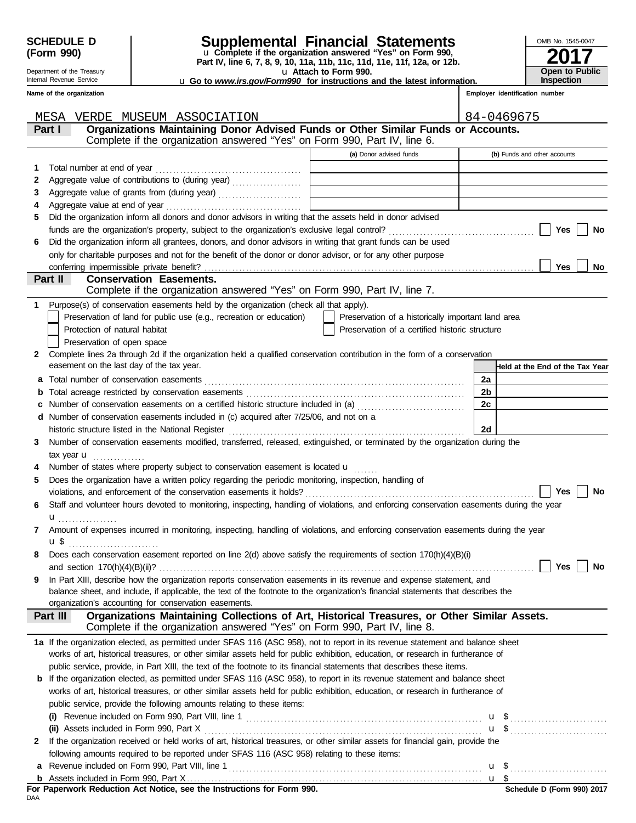Department of the Treasury Internal Revenue Service

### **SCHEDULE D Supplemental Financial Statements**

**Part IV, line 6, 7, 8, 9, 10, 11a, 11b, 11c, 11d, 11e, 11f, 12a, or 12b.** u **Complete if the organization answered "Yes" on Form 990,**

u **Attach to Form 990.**  u **Go to** *www.irs.gov/Form990* **for instructions and the latest information.**

**Employer identification number**

**Name of the organization**

|              | MESA<br>VERDE MUSEUM ASSOCIATION                                                                                                          |                                                                                                                       | 84-0469675                      |
|--------------|-------------------------------------------------------------------------------------------------------------------------------------------|-----------------------------------------------------------------------------------------------------------------------|---------------------------------|
|              | Organizations Maintaining Donor Advised Funds or Other Similar Funds or Accounts.<br>Part I                                               |                                                                                                                       |                                 |
|              | Complete if the organization answered "Yes" on Form 990, Part IV, line 6.                                                                 |                                                                                                                       |                                 |
|              |                                                                                                                                           | (a) Donor advised funds                                                                                               | (b) Funds and other accounts    |
| 1            | Total number at end of year                                                                                                               |                                                                                                                       |                                 |
| 2            | Aggregate value of contributions to (during year)                                                                                         |                                                                                                                       |                                 |
| 3            |                                                                                                                                           | <u> 1990 - Johann Harry Harry Harry Harry Harry Harry Harry Harry Harry Harry Harry Harry Harry Harry Harry Harry</u> |                                 |
| 4            |                                                                                                                                           | the control of the control of the control of the control of the control of                                            |                                 |
| 5            | Did the organization inform all donors and donor advisors in writing that the assets held in donor advised                                |                                                                                                                       |                                 |
|              |                                                                                                                                           |                                                                                                                       | Yes<br>No                       |
| 6            | Did the organization inform all grantees, donors, and donor advisors in writing that grant funds can be used                              |                                                                                                                       |                                 |
|              | only for charitable purposes and not for the benefit of the donor or donor advisor, or for any other purpose                              |                                                                                                                       |                                 |
|              |                                                                                                                                           |                                                                                                                       | <b>Yes</b><br>No                |
|              | Part II<br><b>Conservation Easements.</b>                                                                                                 |                                                                                                                       |                                 |
|              | Complete if the organization answered "Yes" on Form 990, Part IV, line 7.                                                                 |                                                                                                                       |                                 |
| 1            | Purpose(s) of conservation easements held by the organization (check all that apply).                                                     |                                                                                                                       |                                 |
|              | Preservation of land for public use (e.g., recreation or education)                                                                       | Preservation of a historically important land area                                                                    |                                 |
|              | Protection of natural habitat                                                                                                             | Preservation of a certified historic structure                                                                        |                                 |
|              | Preservation of open space                                                                                                                |                                                                                                                       |                                 |
| $\mathbf{2}$ | Complete lines 2a through 2d if the organization held a qualified conservation contribution in the form of a conservation                 |                                                                                                                       |                                 |
|              | easement on the last day of the tax year.                                                                                                 |                                                                                                                       | Held at the End of the Tax Year |
|              | a Total number of conservation easements                                                                                                  |                                                                                                                       | 2a                              |
| b            |                                                                                                                                           |                                                                                                                       | 2b                              |
| с            |                                                                                                                                           |                                                                                                                       | 2c                              |
|              | d Number of conservation easements included in (c) acquired after 7/25/06, and not on a                                                   |                                                                                                                       |                                 |
|              | historic structure listed in the National Register                                                                                        |                                                                                                                       | 2d                              |
| 3            | Number of conservation easements modified, transferred, released, extinguished, or terminated by the organization during the              |                                                                                                                       |                                 |
|              | $\mathsf{tax}$ year $\mathbf{u}$                                                                                                          |                                                                                                                       |                                 |
| 4            | Number of states where property subject to conservation easement is located $\mathbf u$                                                   |                                                                                                                       |                                 |
| 5            | Does the organization have a written policy regarding the periodic monitoring, inspection, handling of                                    |                                                                                                                       |                                 |
|              | violations, and enforcement of the conservation easements it holds?                                                                       |                                                                                                                       | Yes<br>No                       |
| 6            | Staff and volunteer hours devoted to monitoring, inspecting, handling of violations, and enforcing conservation easements during the year |                                                                                                                       |                                 |
|              | $\mathbf{u}$                                                                                                                              |                                                                                                                       |                                 |
| 7            | Amount of expenses incurred in monitoring, inspecting, handling of violations, and enforcing conservation easements during the year       |                                                                                                                       |                                 |
|              | u \$                                                                                                                                      |                                                                                                                       |                                 |
| 8            | Does each conservation easement reported on line 2(d) above satisfy the requirements of section 170(h)(4)(B)(i)                           |                                                                                                                       |                                 |
|              |                                                                                                                                           |                                                                                                                       |                                 |
| 9            | In Part XIII, describe how the organization reports conservation easements in its revenue and expense statement, and                      |                                                                                                                       |                                 |
|              | balance sheet, and include, if applicable, the text of the footnote to the organization's financial statements that describes the         |                                                                                                                       |                                 |
|              | organization's accounting for conservation easements.                                                                                     |                                                                                                                       |                                 |
|              | Organizations Maintaining Collections of Art, Historical Treasures, or Other Similar Assets.<br>Part III                                  |                                                                                                                       |                                 |
|              | Complete if the organization answered "Yes" on Form 990, Part IV, line 8.                                                                 |                                                                                                                       |                                 |
|              | 1a If the organization elected, as permitted under SFAS 116 (ASC 958), not to report in its revenue statement and balance sheet           |                                                                                                                       |                                 |
|              | works of art, historical treasures, or other similar assets held for public exhibition, education, or research in furtherance of          |                                                                                                                       |                                 |
|              | public service, provide, in Part XIII, the text of the footnote to its financial statements that describes these items.                   |                                                                                                                       |                                 |
|              | <b>b</b> If the organization elected, as permitted under SFAS 116 (ASC 958), to report in its revenue statement and balance sheet         |                                                                                                                       |                                 |
|              | works of art, historical treasures, or other similar assets held for public exhibition, education, or research in furtherance of          |                                                                                                                       |                                 |
|              | public service, provide the following amounts relating to these items:                                                                    |                                                                                                                       |                                 |
|              |                                                                                                                                           |                                                                                                                       | <b>u</b> \$                     |
|              |                                                                                                                                           |                                                                                                                       | $\mathbf{u}$ \$                 |
| $\mathbf{2}$ | If the organization received or held works of art, historical treasures, or other similar assets for financial gain, provide the          |                                                                                                                       |                                 |
|              | following amounts required to be reported under SFAS 116 (ASC 958) relating to these items:                                               |                                                                                                                       |                                 |
|              |                                                                                                                                           |                                                                                                                       |                                 |
|              |                                                                                                                                           |                                                                                                                       |                                 |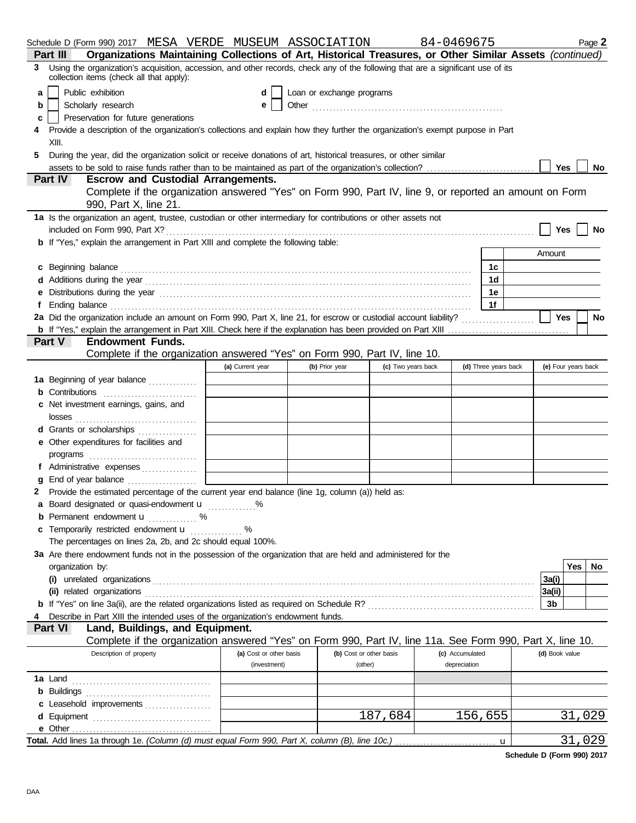|    | Schedule D (Form 990) 2017 MESA VERDE MUSEUM ASSOCIATION                                                                                                                                                                       |                         |                           |                    | 84-0469675           |   |                     | Page 2       |  |  |
|----|--------------------------------------------------------------------------------------------------------------------------------------------------------------------------------------------------------------------------------|-------------------------|---------------------------|--------------------|----------------------|---|---------------------|--------------|--|--|
|    | Organizations Maintaining Collections of Art, Historical Treasures, or Other Similar Assets (continued)<br>Part III                                                                                                            |                         |                           |                    |                      |   |                     |              |  |  |
| 3. | Using the organization's acquisition, accession, and other records, check any of the following that are a significant use of its<br>collection items (check all that apply):                                                   |                         |                           |                    |                      |   |                     |              |  |  |
| a  | Public exhibition                                                                                                                                                                                                              | d                       | Loan or exchange programs |                    |                      |   |                     |              |  |  |
| b  | Scholarly research                                                                                                                                                                                                             | е                       |                           |                    |                      |   |                     |              |  |  |
| c  | Preservation for future generations                                                                                                                                                                                            |                         |                           |                    |                      |   |                     |              |  |  |
| 4  | Provide a description of the organization's collections and explain how they further the organization's exempt purpose in Part<br>XIII.                                                                                        |                         |                           |                    |                      |   |                     |              |  |  |
| 5  | During the year, did the organization solicit or receive donations of art, historical treasures, or other similar                                                                                                              |                         |                           |                    |                      |   |                     |              |  |  |
|    | Yes $ $<br>No                                                                                                                                                                                                                  |                         |                           |                    |                      |   |                     |              |  |  |
|    | <b>Part IV</b><br><b>Escrow and Custodial Arrangements.</b>                                                                                                                                                                    |                         |                           |                    |                      |   |                     |              |  |  |
|    | Complete if the organization answered "Yes" on Form 990, Part IV, line 9, or reported an amount on Form                                                                                                                        |                         |                           |                    |                      |   |                     |              |  |  |
|    | 990, Part X, line 21.<br>1a Is the organization an agent, trustee, custodian or other intermediary for contributions or other assets not                                                                                       |                         |                           |                    |                      |   |                     |              |  |  |
|    |                                                                                                                                                                                                                                |                         |                           |                    |                      |   | Yes                 | No           |  |  |
|    | <b>b</b> If "Yes," explain the arrangement in Part XIII and complete the following table:                                                                                                                                      |                         |                           |                    |                      |   |                     |              |  |  |
|    |                                                                                                                                                                                                                                |                         |                           |                    |                      |   | Amount              |              |  |  |
|    |                                                                                                                                                                                                                                |                         |                           |                    | 1c                   |   |                     |              |  |  |
|    | c Beginning balance encourance and a series of the series of the series of the series of the series of the series of the series of the series of the series of the series of the series of the series of the series of the ser |                         |                           |                    | 1d                   |   |                     |              |  |  |
|    |                                                                                                                                                                                                                                |                         |                           |                    | 1e                   |   |                     |              |  |  |
|    | e Distributions during the year manufactured contains and the year manufactured with the year manufactured with the vertical state of the state of the state of the state of the state of the state of the state of the state  |                         |                           |                    | 1f                   |   |                     |              |  |  |
|    | 2a Did the organization include an amount on Form 990, Part X, line 21, for escrow or custodial account liability?                                                                                                             |                         |                           |                    |                      |   | Yes                 | <b>No</b>    |  |  |
|    |                                                                                                                                                                                                                                |                         |                           |                    |                      |   |                     |              |  |  |
|    | <b>Endowment Funds.</b><br><b>Part V</b>                                                                                                                                                                                       |                         |                           |                    |                      |   |                     |              |  |  |
|    | Complete if the organization answered "Yes" on Form 990, Part IV, line 10.                                                                                                                                                     |                         |                           |                    |                      |   |                     |              |  |  |
|    |                                                                                                                                                                                                                                | (a) Current year        | (b) Prior year            | (c) Two years back | (d) Three years back |   | (e) Four years back |              |  |  |
|    | 1a Beginning of year balance                                                                                                                                                                                                   |                         |                           |                    |                      |   |                     |              |  |  |
|    | <b>b</b> Contributions <b>contributions</b>                                                                                                                                                                                    |                         |                           |                    |                      |   |                     |              |  |  |
|    | c Net investment earnings, gains, and                                                                                                                                                                                          |                         |                           |                    |                      |   |                     |              |  |  |
|    |                                                                                                                                                                                                                                |                         |                           |                    |                      |   |                     |              |  |  |
|    | d Grants or scholarships                                                                                                                                                                                                       |                         |                           |                    |                      |   |                     |              |  |  |
|    | e Other expenditures for facilities and                                                                                                                                                                                        |                         |                           |                    |                      |   |                     |              |  |  |
|    |                                                                                                                                                                                                                                |                         |                           |                    |                      |   |                     |              |  |  |
|    | f Administrative expenses                                                                                                                                                                                                      |                         |                           |                    |                      |   |                     |              |  |  |
|    | <b>g</b> End of year balance $\ldots$                                                                                                                                                                                          |                         |                           |                    |                      |   |                     |              |  |  |
|    | 2 Provide the estimated percentage of the current year end balance (line 1g, column (a)) held as:                                                                                                                              |                         |                           |                    |                      |   |                     |              |  |  |
|    | a Board designated or quasi-endowment <b>u</b> %                                                                                                                                                                               |                         |                           |                    |                      |   |                     |              |  |  |
|    | <b>b</b> Permanent endowment <b>u</b> %                                                                                                                                                                                        |                         |                           |                    |                      |   |                     |              |  |  |
|    | c Temporarily restricted endowment <b>u</b> %                                                                                                                                                                                  |                         |                           |                    |                      |   |                     |              |  |  |
|    | The percentages on lines 2a, 2b, and 2c should equal 100%.                                                                                                                                                                     |                         |                           |                    |                      |   |                     |              |  |  |
|    | 3a Are there endowment funds not in the possession of the organization that are held and administered for the                                                                                                                  |                         |                           |                    |                      |   |                     |              |  |  |
|    | organization by:                                                                                                                                                                                                               |                         |                           |                    |                      |   |                     | Yes l<br>No. |  |  |
|    |                                                                                                                                                                                                                                |                         |                           |                    |                      |   | 3a(i)               |              |  |  |
|    |                                                                                                                                                                                                                                |                         |                           |                    |                      |   | 3a(ii)              |              |  |  |
|    |                                                                                                                                                                                                                                |                         |                           |                    |                      |   | 3b                  |              |  |  |
|    | Describe in Part XIII the intended uses of the organization's endowment funds.                                                                                                                                                 |                         |                           |                    |                      |   |                     |              |  |  |
|    | Land, Buildings, and Equipment.<br><b>Part VI</b>                                                                                                                                                                              |                         |                           |                    |                      |   |                     |              |  |  |
|    | Complete if the organization answered "Yes" on Form 990, Part IV, line 11a. See Form 990, Part X, line 10.                                                                                                                     |                         |                           |                    |                      |   |                     |              |  |  |
|    | Description of property                                                                                                                                                                                                        | (a) Cost or other basis | (b) Cost or other basis   |                    | (c) Accumulated      |   | (d) Book value      |              |  |  |
|    |                                                                                                                                                                                                                                | (investment)            | (other)                   |                    | depreciation         |   |                     |              |  |  |
|    |                                                                                                                                                                                                                                |                         |                           |                    |                      |   |                     |              |  |  |
|    |                                                                                                                                                                                                                                |                         |                           |                    |                      |   |                     |              |  |  |
|    | c Leasehold improvements                                                                                                                                                                                                       |                         |                           |                    |                      |   |                     |              |  |  |
|    |                                                                                                                                                                                                                                |                         |                           | 187,684            | 156,655              |   |                     | 31,029       |  |  |
|    |                                                                                                                                                                                                                                |                         |                           |                    |                      |   |                     |              |  |  |
|    |                                                                                                                                                                                                                                |                         |                           |                    |                      | u |                     | 31,029       |  |  |

**Schedule D (Form 990) 2017**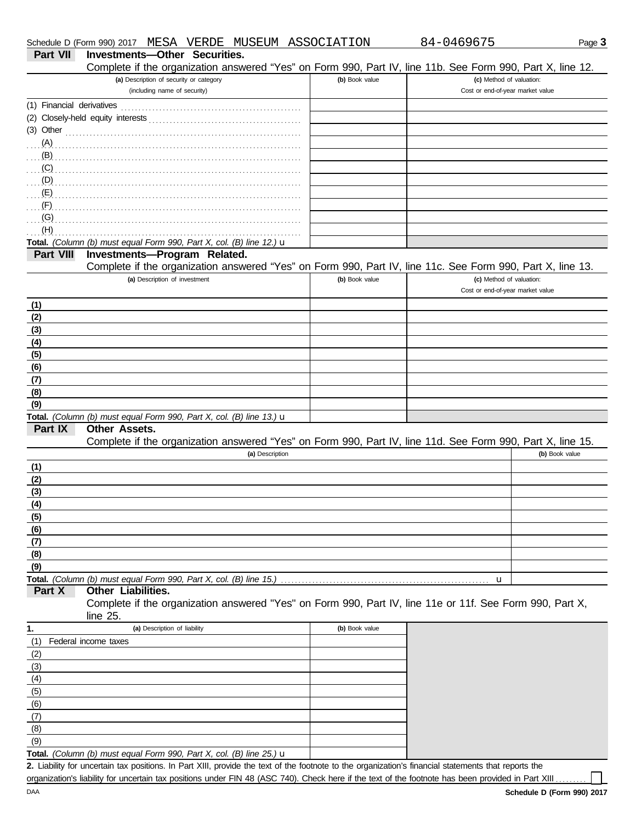|            | Complete if the organization answered "Yes" on Form 990, Part IV, line 11b. See Form 990, Part X, line 12.           |                |                                  |
|------------|----------------------------------------------------------------------------------------------------------------------|----------------|----------------------------------|
|            | (a) Description of security or category                                                                              | (b) Book value | (c) Method of valuation:         |
|            | (including name of security)                                                                                         |                | Cost or end-of-year market value |
|            |                                                                                                                      |                |                                  |
|            |                                                                                                                      |                |                                  |
|            | $(3)$ Other                                                                                                          |                |                                  |
|            | (A)                                                                                                                  |                |                                  |
| (B)        |                                                                                                                      |                |                                  |
|            |                                                                                                                      |                |                                  |
|            |                                                                                                                      |                |                                  |
| (E)        |                                                                                                                      |                |                                  |
| (F)        |                                                                                                                      |                |                                  |
| (G)        |                                                                                                                      |                |                                  |
| (H)        |                                                                                                                      |                |                                  |
|            | Total. (Column (b) must equal Form 990, Part X, col. (B) line 12.) $\mathbf u$                                       |                |                                  |
| Part VIII  | Investments-Program Related.                                                                                         |                |                                  |
|            | Complete if the organization answered "Yes" on Form 990, Part IV, line 11c. See Form 990, Part X, line 13.           |                |                                  |
|            | (a) Description of investment                                                                                        | (b) Book value | (c) Method of valuation:         |
|            |                                                                                                                      |                | Cost or end-of-year market value |
| (1)        |                                                                                                                      |                |                                  |
| (2)        |                                                                                                                      |                |                                  |
| (3)        |                                                                                                                      |                |                                  |
| (4)        |                                                                                                                      |                |                                  |
| (5)        |                                                                                                                      |                |                                  |
| (6)        |                                                                                                                      |                |                                  |
| (7)        |                                                                                                                      |                |                                  |
| (8)        |                                                                                                                      |                |                                  |
| (9)        |                                                                                                                      |                |                                  |
|            | Total. (Column (b) must equal Form 990, Part X, col. (B) line 13.) $\mathbf u$                                       |                |                                  |
| Part IX    | Other Assets.                                                                                                        |                |                                  |
|            | Complete if the organization answered "Yes" on Form 990, Part IV, line 11d. See Form 990, Part X, line 15.           |                |                                  |
|            | (a) Description                                                                                                      |                | (b) Book value                   |
| (1)        |                                                                                                                      |                |                                  |
| (2)        |                                                                                                                      |                |                                  |
| (3)        |                                                                                                                      |                |                                  |
| (4)        |                                                                                                                      |                |                                  |
| (5)        |                                                                                                                      |                |                                  |
| <u>(6)</u> |                                                                                                                      |                |                                  |
| (7)        |                                                                                                                      |                |                                  |
| (8)        |                                                                                                                      |                |                                  |
| (9)        |                                                                                                                      |                |                                  |
|            | Total. (Column (b) must equal Form 990, Part X, col. (B) line 15.)                                                   |                | u                                |
| Part X     | Other Liabilities.                                                                                                   |                |                                  |
|            | Complete if the organization answered "Yes" on Form 990, Part IV, line 11e or 11f. See Form 990, Part X,<br>line 25. |                |                                  |
| 1.         | (a) Description of liability                                                                                         | (b) Book value |                                  |
| (1)        | Federal income taxes                                                                                                 |                |                                  |
| (2)        |                                                                                                                      |                |                                  |
| (3)        |                                                                                                                      |                |                                  |
| (4)        |                                                                                                                      |                |                                  |
| (5)        |                                                                                                                      |                |                                  |

Liability for uncertain tax positions. In Part XIII, provide the text of the footnote to the organization's financial statements that reports the **2.** organization's liability for uncertain tax positions under FIN 48 (ASC 740). Check here if the text of the footnote has been provided in Part XIII ....

(9)  $(8)$ (7) (6)

**Total.** *(Column (b) must equal Form 990, Part X, col. (B) line 25.)* u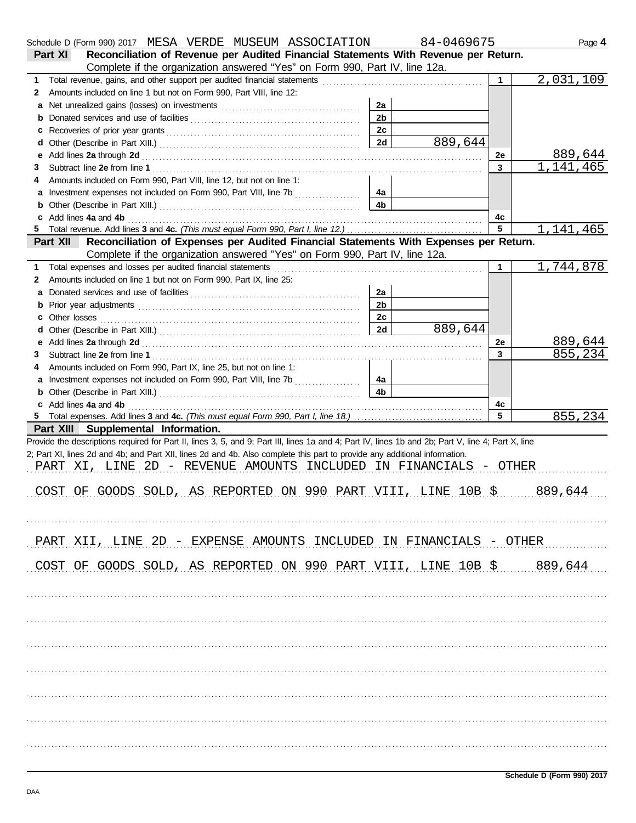|   | Schedule D (Form 990) 2017 MESA VERDE MUSEUM ASSOCIATION                                                                                                                                                                       |                      | 84-0469675 |                | Page 4    |
|---|--------------------------------------------------------------------------------------------------------------------------------------------------------------------------------------------------------------------------------|----------------------|------------|----------------|-----------|
|   | Reconciliation of Revenue per Audited Financial Statements With Revenue per Return.<br>Part XI                                                                                                                                 |                      |            |                |           |
|   | Complete if the organization answered "Yes" on Form 990, Part IV, line 12a.                                                                                                                                                    |                      |            |                |           |
| 1 |                                                                                                                                                                                                                                |                      |            | 1.             | 2,031,109 |
| 2 | Amounts included on line 1 but not on Form 990, Part VIII, line 12:                                                                                                                                                            |                      |            |                |           |
| a |                                                                                                                                                                                                                                | 2a                   |            |                |           |
| b |                                                                                                                                                                                                                                | 2 <sub>b</sub>       |            |                |           |
| c |                                                                                                                                                                                                                                | 2c                   |            |                |           |
| d |                                                                                                                                                                                                                                | 2d                   | 889,644    |                |           |
| е |                                                                                                                                                                                                                                |                      |            | 2e             | 889,644   |
| 3 |                                                                                                                                                                                                                                |                      |            | $\mathbf{3}$   | 1,141,465 |
| 4 | Amounts included on Form 990, Part VIII, line 12, but not on line 1:                                                                                                                                                           |                      |            |                |           |
|   | Investment expenses not included on Form 990, Part VIII, line 7b                                                                                                                                                               | 4a<br>4 <sub>b</sub> |            |                |           |
| b |                                                                                                                                                                                                                                |                      |            |                |           |
| 5 |                                                                                                                                                                                                                                |                      |            | 4с<br>5        | 1,141,465 |
|   | Reconciliation of Expenses per Audited Financial Statements With Expenses per Return.<br><b>Part XII</b>                                                                                                                       |                      |            |                |           |
|   | Complete if the organization answered "Yes" on Form 990, Part IV, line 12a.                                                                                                                                                    |                      |            |                |           |
| 1 |                                                                                                                                                                                                                                |                      |            | 1              | 1,744,878 |
| 2 | Amounts included on line 1 but not on Form 990, Part IX, line 25:                                                                                                                                                              |                      |            |                |           |
| a |                                                                                                                                                                                                                                | 2a                   |            |                |           |
| b |                                                                                                                                                                                                                                | 2 <sub>b</sub>       |            |                |           |
|   |                                                                                                                                                                                                                                | 2c                   |            |                |           |
|   |                                                                                                                                                                                                                                | 2d                   | 889,644    |                |           |
| е |                                                                                                                                                                                                                                |                      |            | 2е             | 889,644   |
| 3 |                                                                                                                                                                                                                                |                      |            | $\overline{3}$ | 855,234   |
| 4 | Amounts included on Form 990, Part IX, line 25, but not on line 1:                                                                                                                                                             |                      |            |                |           |
| a | Investment expenses not included on Form 990, Part VIII, line 7b                                                                                                                                                               | 4a                   |            |                |           |
| b |                                                                                                                                                                                                                                | 4 <sub>b</sub>       |            |                |           |
|   | Add lines 4a and 4b electron contracts and the contracts and the contracts and the contracts and the contracts of the contracts of the contracts of the contracts of the contracts of the contracts of the contracts of the co |                      |            | 4c             |           |
|   |                                                                                                                                                                                                                                |                      |            | 5              | 855,234   |
|   | Part XIII Supplemental Information.                                                                                                                                                                                            |                      |            |                |           |
|   | Provide the descriptions required for Part II, lines 3, 5, and 9; Part III, lines 1a and 4; Part IV, lines 1b and 2b; Part V, line 4; Part X, line                                                                             |                      |            |                |           |
|   | 2; Part XI, lines 2d and 4b; and Part XII, lines 2d and 4b. Also complete this part to provide any additional information.                                                                                                     |                      |            |                |           |
|   | PART XI, LINE 2D - REVENUE AMOUNTS INCLUDED IN FINANCIALS - OTHER                                                                                                                                                              |                      |            |                |           |
|   |                                                                                                                                                                                                                                |                      |            |                |           |
|   | COST OF GOODS SOLD, AS REPORTED ON 990 PART VIII, LINE 10B \$ 40.689,644                                                                                                                                                       |                      |            |                |           |
|   |                                                                                                                                                                                                                                |                      |            |                |           |
|   |                                                                                                                                                                                                                                |                      |            |                |           |
|   |                                                                                                                                                                                                                                |                      |            |                |           |
|   | PART XII, LINE 2D - EXPENSE AMOUNTS INCLUDED IN FINANCIALS - OTHER                                                                                                                                                             |                      |            |                |           |
|   |                                                                                                                                                                                                                                |                      |            |                |           |
|   | COST OF GOODS SOLD, AS REPORTED ON 990 PART VIII, LINE 10B \$ 0.644                                                                                                                                                            |                      |            |                |           |
|   |                                                                                                                                                                                                                                |                      |            |                |           |
|   |                                                                                                                                                                                                                                |                      |            |                |           |
|   |                                                                                                                                                                                                                                |                      |            |                |           |
|   |                                                                                                                                                                                                                                |                      |            |                |           |
|   |                                                                                                                                                                                                                                |                      |            |                |           |
|   |                                                                                                                                                                                                                                |                      |            |                |           |
|   |                                                                                                                                                                                                                                |                      |            |                |           |
|   |                                                                                                                                                                                                                                |                      |            |                |           |
|   |                                                                                                                                                                                                                                |                      |            |                |           |
|   |                                                                                                                                                                                                                                |                      |            |                |           |
|   |                                                                                                                                                                                                                                |                      |            |                |           |
|   |                                                                                                                                                                                                                                |                      |            |                |           |
|   |                                                                                                                                                                                                                                |                      |            |                |           |
|   |                                                                                                                                                                                                                                |                      |            |                |           |
|   |                                                                                                                                                                                                                                |                      |            |                |           |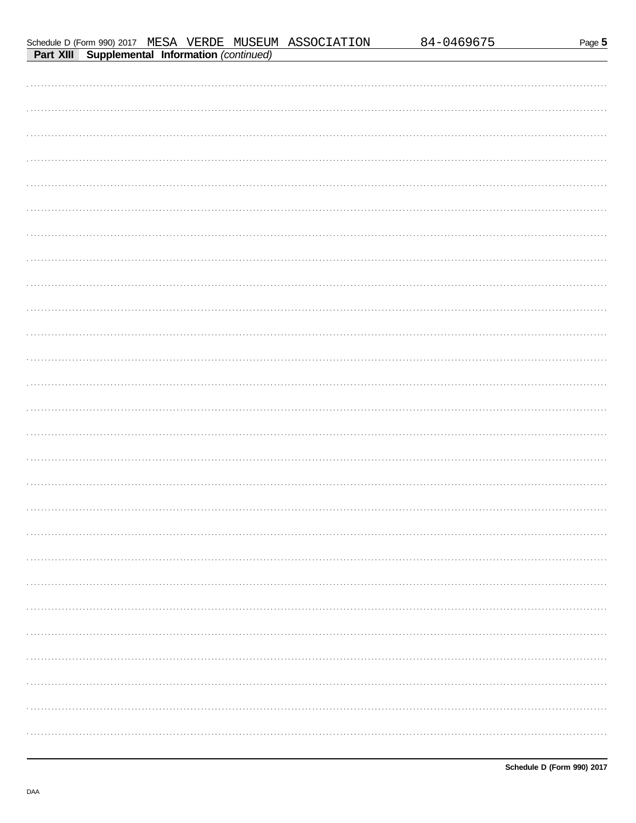|--|--|

84-0469675

|                                                       |  | Schedule D (Form 990) 2017 MESA VERDE MUSEUM ASSOCIATION |  |
|-------------------------------------------------------|--|----------------------------------------------------------|--|
| <b>Part XIII Supplemental Information (continued)</b> |  |                                                          |  |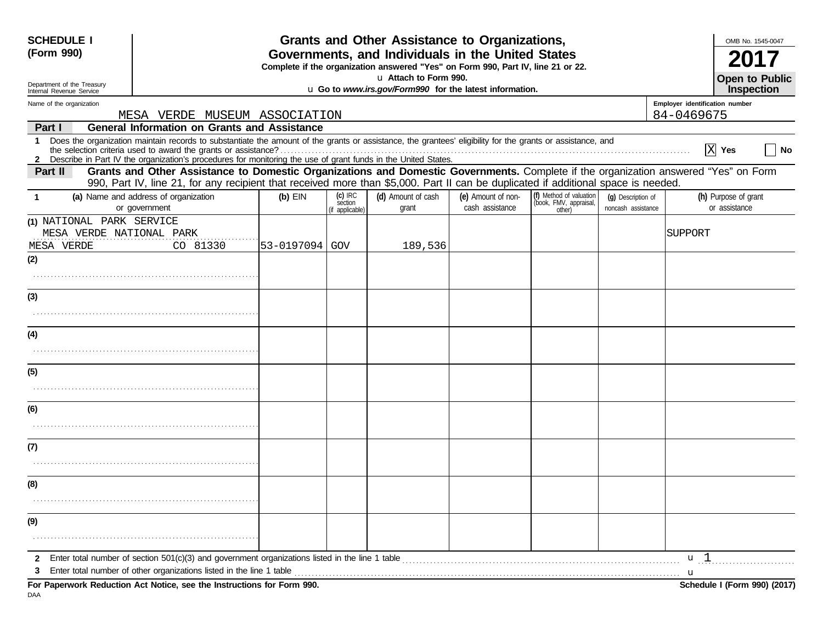| <b>SCHEDULE I</b><br>(Form 990)                      |                                                                                                                                                                                                                              |                                                                                  |                      | Grants and Other Assistance to Organizations,<br>Governments, and Individuals in the United States |                    |                                                   |                    |                                | OMB No. 1545-0047                                 |
|------------------------------------------------------|------------------------------------------------------------------------------------------------------------------------------------------------------------------------------------------------------------------------------|----------------------------------------------------------------------------------|----------------------|----------------------------------------------------------------------------------------------------|--------------------|---------------------------------------------------|--------------------|--------------------------------|---------------------------------------------------|
|                                                      |                                                                                                                                                                                                                              | Complete if the organization answered "Yes" on Form 990, Part IV, line 21 or 22. |                      |                                                                                                    |                    |                                                   |                    |                                |                                                   |
| Department of the Treasury                           |                                                                                                                                                                                                                              |                                                                                  |                      | u Attach to Form 990.<br>u Go to www.irs.gov/Form990 for the latest information.                   |                    |                                                   |                    |                                | <b>Open to Public</b><br>Inspection               |
| Internal Revenue Service<br>Name of the organization |                                                                                                                                                                                                                              |                                                                                  |                      |                                                                                                    |                    |                                                   |                    | Employer identification number |                                                   |
|                                                      | MESA VERDE MUSEUM ASSOCIATION                                                                                                                                                                                                |                                                                                  |                      |                                                                                                    |                    |                                                   |                    | 84-0469675                     |                                                   |
| Part I                                               | <b>General Information on Grants and Assistance</b>                                                                                                                                                                          |                                                                                  |                      |                                                                                                    |                    |                                                   |                    |                                |                                                   |
| $\mathbf 1$                                          | Does the organization maintain records to substantiate the amount of the grants or assistance, the grantees' eligibility for the grants or assistance, and<br>the selection criteria used to award the grants or assistance? |                                                                                  |                      |                                                                                                    |                    |                                                   |                    |                                | $\overline{X}$ Yes<br>$\overline{\phantom{a}}$ No |
| Part II                                              | Grants and Other Assistance to Domestic Organizations and Domestic Governments. Complete if the organization answered "Yes" on Form                                                                                          |                                                                                  |                      |                                                                                                    |                    |                                                   |                    |                                |                                                   |
|                                                      | 990, Part IV, line 21, for any recipient that received more than \$5,000. Part II can be duplicated if additional space is needed.                                                                                           |                                                                                  |                      |                                                                                                    |                    |                                                   |                    |                                |                                                   |
| $\mathbf 1$                                          | (a) Name and address of organization                                                                                                                                                                                         | $(b)$ EIN                                                                        | $(c)$ IRC<br>section | (d) Amount of cash                                                                                 | (e) Amount of non- | (f) Method of valuation<br>(book, FMV, appraisal, | (q) Description of |                                | (h) Purpose of grant                              |
| (1) NATIONAL PARK SERVICE                            | or government                                                                                                                                                                                                                |                                                                                  | (if applicable)      | grant                                                                                              | cash assistance    | other)                                            | noncash assistance |                                | or assistance                                     |
| MESA VERDE NATIONAL PARK                             |                                                                                                                                                                                                                              |                                                                                  |                      |                                                                                                    |                    |                                                   |                    | SUPPORT                        |                                                   |
| MESA VERDE                                           | CO 81330                                                                                                                                                                                                                     | 53-0197094 GOV                                                                   |                      | 189,536                                                                                            |                    |                                                   |                    |                                |                                                   |
| (2)                                                  |                                                                                                                                                                                                                              |                                                                                  |                      |                                                                                                    |                    |                                                   |                    |                                |                                                   |
|                                                      |                                                                                                                                                                                                                              |                                                                                  |                      |                                                                                                    |                    |                                                   |                    |                                |                                                   |
| (3)                                                  |                                                                                                                                                                                                                              |                                                                                  |                      |                                                                                                    |                    |                                                   |                    |                                |                                                   |
|                                                      |                                                                                                                                                                                                                              |                                                                                  |                      |                                                                                                    |                    |                                                   |                    |                                |                                                   |
| (4)                                                  |                                                                                                                                                                                                                              |                                                                                  |                      |                                                                                                    |                    |                                                   |                    |                                |                                                   |
|                                                      |                                                                                                                                                                                                                              |                                                                                  |                      |                                                                                                    |                    |                                                   |                    |                                |                                                   |
| (5)                                                  |                                                                                                                                                                                                                              |                                                                                  |                      |                                                                                                    |                    |                                                   |                    |                                |                                                   |
|                                                      |                                                                                                                                                                                                                              |                                                                                  |                      |                                                                                                    |                    |                                                   |                    |                                |                                                   |
| (6)                                                  |                                                                                                                                                                                                                              |                                                                                  |                      |                                                                                                    |                    |                                                   |                    |                                |                                                   |
|                                                      |                                                                                                                                                                                                                              |                                                                                  |                      |                                                                                                    |                    |                                                   |                    |                                |                                                   |
| (7)                                                  |                                                                                                                                                                                                                              |                                                                                  |                      |                                                                                                    |                    |                                                   |                    |                                |                                                   |
|                                                      |                                                                                                                                                                                                                              |                                                                                  |                      |                                                                                                    |                    |                                                   |                    |                                |                                                   |
| (8)                                                  |                                                                                                                                                                                                                              |                                                                                  |                      |                                                                                                    |                    |                                                   |                    |                                |                                                   |
|                                                      |                                                                                                                                                                                                                              |                                                                                  |                      |                                                                                                    |                    |                                                   |                    |                                |                                                   |
| (9)                                                  |                                                                                                                                                                                                                              |                                                                                  |                      |                                                                                                    |                    |                                                   |                    |                                |                                                   |
|                                                      |                                                                                                                                                                                                                              |                                                                                  |                      |                                                                                                    |                    |                                                   |                    |                                |                                                   |
| $\mathbf{2}$                                         |                                                                                                                                                                                                                              |                                                                                  |                      |                                                                                                    |                    |                                                   |                    | u <sub>1</sub>                 |                                                   |
| 3                                                    |                                                                                                                                                                                                                              |                                                                                  |                      |                                                                                                    |                    |                                                   |                    | u                              |                                                   |
| DAA                                                  | For Paperwork Reduction Act Notice, see the Instructions for Form 990.                                                                                                                                                       |                                                                                  |                      |                                                                                                    |                    |                                                   |                    |                                | Schedule I (Form 990) (2017)                      |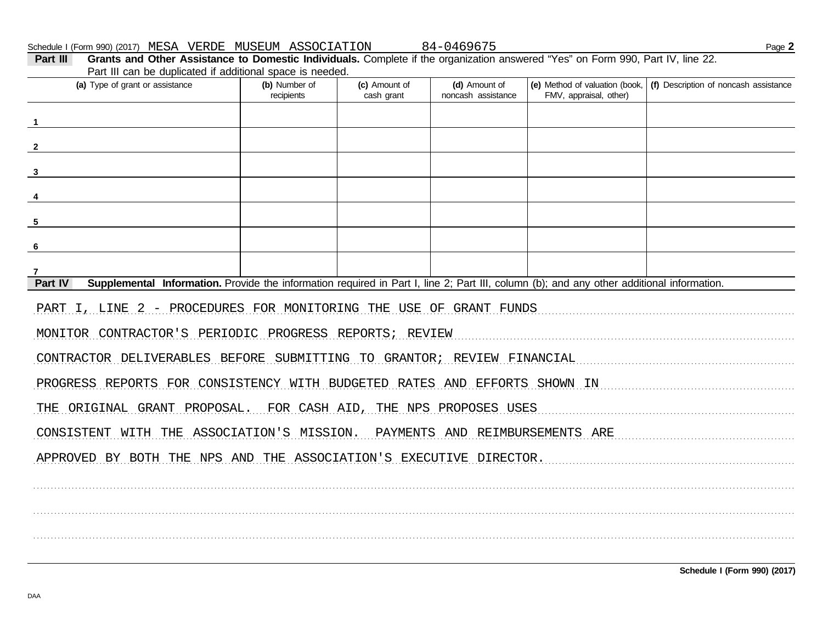Schedule I (Form 990) (2017) MESA VERDE MUSEUM ASSOCIATION

84-0469675

| Grants and Other Assistance to Domestic Individuals. Complete if the organization answered "Yes" on Form 990, Part IV, line 22.<br>Part III<br>Part III can be duplicated if additional space is needed. |                             |                             |                                     |                        |                                                                          |  |  |  |  |
|----------------------------------------------------------------------------------------------------------------------------------------------------------------------------------------------------------|-----------------------------|-----------------------------|-------------------------------------|------------------------|--------------------------------------------------------------------------|--|--|--|--|
| (a) Type of grant or assistance                                                                                                                                                                          | (b) Number of<br>recipients | (c) Amount of<br>cash grant | (d) Amount of<br>noncash assistance | FMV, appraisal, other) | (e) Method of valuation (book, $ $ (f) Description of noncash assistance |  |  |  |  |
|                                                                                                                                                                                                          |                             |                             |                                     |                        |                                                                          |  |  |  |  |
|                                                                                                                                                                                                          |                             |                             |                                     |                        |                                                                          |  |  |  |  |
|                                                                                                                                                                                                          |                             |                             |                                     |                        |                                                                          |  |  |  |  |
|                                                                                                                                                                                                          |                             |                             |                                     |                        |                                                                          |  |  |  |  |
| 5                                                                                                                                                                                                        |                             |                             |                                     |                        |                                                                          |  |  |  |  |
| -6                                                                                                                                                                                                       |                             |                             |                                     |                        |                                                                          |  |  |  |  |
| Part IV<br>Supplemental Information. Provide the information required in Part I, line 2; Part III, column (b); and any other additional information.                                                     |                             |                             |                                     |                        |                                                                          |  |  |  |  |
| PART I, LINE 2 - PROCEDURES FOR MONITORING THE USE OF GRANT FUNDS                                                                                                                                        |                             |                             |                                     |                        |                                                                          |  |  |  |  |
| MONITOR CONTRACTOR'S PERIODIC PROGRESS REPORTS; REVIEW                                                                                                                                                   |                             |                             |                                     |                        |                                                                          |  |  |  |  |
| CONTRACTOR DELIVERABLES BEFORE SUBMITTING TO GRANTOR; REVIEW FINANCIAL                                                                                                                                   |                             |                             |                                     |                        |                                                                          |  |  |  |  |
| PROGRESS REPORTS FOR CONSISTENCY WITH BUDGETED RATES AND EFFORTS SHOWN IN                                                                                                                                |                             |                             |                                     |                        |                                                                          |  |  |  |  |
| THE ORIGINAL GRANT PROPOSAL. FOR CASH AID, THE NPS PROPOSES USES                                                                                                                                         |                             |                             |                                     |                        |                                                                          |  |  |  |  |
| CONSISTENT WITH THE ASSOCIATION'S MISSION. PAYMENTS AND REIMBURSEMENTS ARE                                                                                                                               |                             |                             |                                     |                        |                                                                          |  |  |  |  |
| APPROVED BY BOTH THE NPS AND THE ASSOCIATION'S EXECUTIVE DIRECTOR.                                                                                                                                       |                             |                             |                                     |                        |                                                                          |  |  |  |  |
|                                                                                                                                                                                                          |                             |                             |                                     |                        |                                                                          |  |  |  |  |
|                                                                                                                                                                                                          |                             |                             |                                     |                        |                                                                          |  |  |  |  |
|                                                                                                                                                                                                          |                             |                             |                                     |                        |                                                                          |  |  |  |  |

Schedule I (Form 990) (2017)

Page 2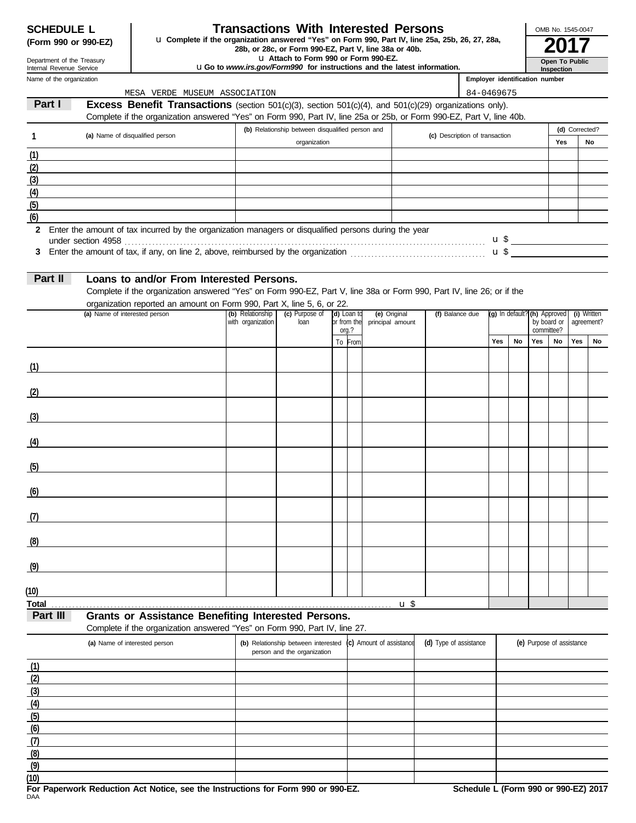| <b>SCHEDULE L</b>   |  |  |
|---------------------|--|--|
| (Form 990 or 990-F7 |  |  |

### **Transactions With Interested Persons**

**(Form 990 or 990-EZ)** u Complete if the organization answered "Yes" on Form 990, Part IV, line 25a, 25b, 26, 27, 28a,<br>28b, or 28c, or Form 990-EZ, Part V, line 38a or 40b.<br>**2017** 

u **Attach to Form 990 or Form 990-EZ.**

u**Go to** *www.irs.gov/Form990* **for instructions and the latest information.**

Name of the organization Department of the Treasury Internal Revenue Service

#### **Inspection Open To Public**

OMB No. 1545-0047

| Employer identification number |  |
|--------------------------------|--|

|                  | MESA VERDE MUSEUM ASSOCIATION                                                                                         |                   |                                                  |             |                      |                          |                                | 84-0469675 |    |                |                                             |     |            |
|------------------|-----------------------------------------------------------------------------------------------------------------------|-------------------|--------------------------------------------------|-------------|----------------------|--------------------------|--------------------------------|------------|----|----------------|---------------------------------------------|-----|------------|
| Part I           | Excess Benefit Transactions (section 501(c)(3), section 501(c)(4), and 501(c)(29) organizations only).                |                   |                                                  |             |                      |                          |                                |            |    |                |                                             |     |            |
|                  | Complete if the organization answered "Yes" on Form 990, Part IV, line 25a or 25b, or Form 990-EZ, Part V, line 40b.  |                   |                                                  |             |                      |                          |                                |            |    |                |                                             |     |            |
|                  |                                                                                                                       |                   | (b) Relationship between disqualified person and |             |                      |                          |                                |            |    | (d) Corrected? |                                             |     |            |
|                  | (a) Name of disqualified person                                                                                       |                   | organization                                     |             |                      |                          | (c) Description of transaction |            |    |                | Yes                                         |     | No         |
| (1)              |                                                                                                                       |                   |                                                  |             |                      |                          |                                |            |    |                |                                             |     |            |
| (2)              |                                                                                                                       |                   |                                                  |             |                      |                          |                                |            |    |                |                                             |     |            |
| (3)              |                                                                                                                       |                   |                                                  |             |                      |                          |                                |            |    |                |                                             |     |            |
| (4)              |                                                                                                                       |                   |                                                  |             |                      |                          |                                |            |    |                |                                             |     |            |
| (5)              |                                                                                                                       |                   |                                                  |             |                      |                          |                                |            |    |                |                                             |     |            |
| (6)              |                                                                                                                       |                   |                                                  |             |                      |                          |                                |            |    |                |                                             |     |            |
| $\mathbf{2}$     | Enter the amount of tax incurred by the organization managers or disqualified persons during the year                 |                   |                                                  |             |                      |                          |                                |            |    |                |                                             |     |            |
|                  |                                                                                                                       |                   |                                                  |             |                      |                          |                                |            |    |                |                                             |     |            |
| 3                |                                                                                                                       |                   |                                                  |             |                      |                          |                                |            |    |                |                                             |     |            |
|                  |                                                                                                                       |                   |                                                  |             |                      |                          |                                |            |    |                |                                             |     |            |
| Part II          | Loans to and/or From Interested Persons.                                                                              |                   |                                                  |             |                      |                          |                                |            |    |                |                                             |     |            |
|                  | Complete if the organization answered "Yes" on Form 990-EZ, Part V, line 38a or Form 990, Part IV, line 26; or if the |                   |                                                  |             |                      |                          |                                |            |    |                |                                             |     |            |
|                  | organization reported an amount on Form 990, Part X, line 5, 6, or 22.                                                |                   |                                                  |             |                      |                          |                                |            |    |                |                                             |     |            |
|                  | (a) Name of interested person                                                                                         | (b) Relationship  | (c) Purpose of                                   | (d) Loan to |                      | (e) Original             | (f) Balance due                |            |    |                | (g) In default? (h) Approved<br>(i) Written |     |            |
|                  |                                                                                                                       | with organization | loan                                             |             | or from the<br>org.? | principal amount         |                                |            |    |                | by board or<br>committee?                   |     | agreement? |
|                  |                                                                                                                       |                   |                                                  |             | To From              |                          |                                | Yes        | No | Yes            | No                                          | Yes | No         |
|                  |                                                                                                                       |                   |                                                  |             |                      |                          |                                |            |    |                |                                             |     |            |
| (1)              |                                                                                                                       |                   |                                                  |             |                      |                          |                                |            |    |                |                                             |     |            |
|                  | the control of the control of the control of the control of                                                           |                   |                                                  |             |                      |                          |                                |            |    |                |                                             |     |            |
| (2)              |                                                                                                                       |                   |                                                  |             |                      |                          |                                |            |    |                |                                             |     |            |
|                  | the control of the control of the control of the control of the control of                                            |                   |                                                  |             |                      |                          |                                |            |    |                |                                             |     |            |
|                  |                                                                                                                       |                   |                                                  |             |                      |                          |                                |            |    |                |                                             |     |            |
| (3)              |                                                                                                                       |                   |                                                  |             |                      |                          |                                |            |    |                |                                             |     |            |
|                  |                                                                                                                       |                   |                                                  |             |                      |                          |                                |            |    |                |                                             |     |            |
| (4)              |                                                                                                                       |                   |                                                  |             |                      |                          |                                |            |    |                |                                             |     |            |
|                  |                                                                                                                       |                   |                                                  |             |                      |                          |                                |            |    |                |                                             |     |            |
| (5)              |                                                                                                                       |                   |                                                  |             |                      |                          |                                |            |    |                |                                             |     |            |
|                  |                                                                                                                       |                   |                                                  |             |                      |                          |                                |            |    |                |                                             |     |            |
| (6)              |                                                                                                                       |                   |                                                  |             |                      |                          |                                |            |    |                |                                             |     |            |
|                  |                                                                                                                       |                   |                                                  |             |                      |                          |                                |            |    |                |                                             |     |            |
| (7)              |                                                                                                                       |                   |                                                  |             |                      |                          |                                |            |    |                |                                             |     |            |
|                  |                                                                                                                       |                   |                                                  |             |                      |                          |                                |            |    |                |                                             |     |            |
| (8)              |                                                                                                                       |                   |                                                  |             |                      |                          |                                |            |    |                |                                             |     |            |
|                  |                                                                                                                       |                   |                                                  |             |                      |                          |                                |            |    |                |                                             |     |            |
| (9)              |                                                                                                                       |                   |                                                  |             |                      |                          |                                |            |    |                |                                             |     |            |
|                  |                                                                                                                       |                   |                                                  |             |                      |                          |                                |            |    |                |                                             |     |            |
| (10)             |                                                                                                                       |                   |                                                  |             |                      |                          |                                |            |    |                |                                             |     |            |
| Total            |                                                                                                                       |                   |                                                  |             |                      | $u$ \$                   |                                |            |    |                |                                             |     |            |
| Part III         | <b>Grants or Assistance Benefiting Interested Persons.</b>                                                            |                   |                                                  |             |                      |                          |                                |            |    |                |                                             |     |            |
|                  | Complete if the organization answered "Yes" on Form 990, Part IV, line 27.                                            |                   |                                                  |             |                      |                          |                                |            |    |                |                                             |     |            |
|                  | (a) Name of interested person                                                                                         |                   | (b) Relationship between interested              |             |                      | (c) Amount of assistance | (d) Type of assistance         |            |    |                | (e) Purpose of assistance                   |     |            |
|                  |                                                                                                                       |                   | person and the organization                      |             |                      |                          |                                |            |    |                |                                             |     |            |
| (1)              |                                                                                                                       |                   |                                                  |             |                      |                          |                                |            |    |                |                                             |     |            |
| (2)              |                                                                                                                       |                   |                                                  |             |                      |                          |                                |            |    |                |                                             |     |            |
| (3)              |                                                                                                                       |                   |                                                  |             |                      |                          |                                |            |    |                |                                             |     |            |
| $\left(4\right)$ |                                                                                                                       |                   |                                                  |             |                      |                          |                                |            |    |                |                                             |     |            |
| (5)              |                                                                                                                       |                   |                                                  |             |                      |                          |                                |            |    |                |                                             |     |            |
| (6)              |                                                                                                                       |                   |                                                  |             |                      |                          |                                |            |    |                |                                             |     |            |
| (7)              |                                                                                                                       |                   |                                                  |             |                      |                          |                                |            |    |                |                                             |     |            |
| (8)              |                                                                                                                       |                   |                                                  |             |                      |                          |                                |            |    |                |                                             |     |            |
| (9)              |                                                                                                                       |                   |                                                  |             |                      |                          |                                |            |    |                |                                             |     |            |

DAA **For Paperwork Reduction Act Notice, see the Instructions for Form 990 or 990-EZ. Schedule L (Form 990 or 990-EZ) 2017 (10)**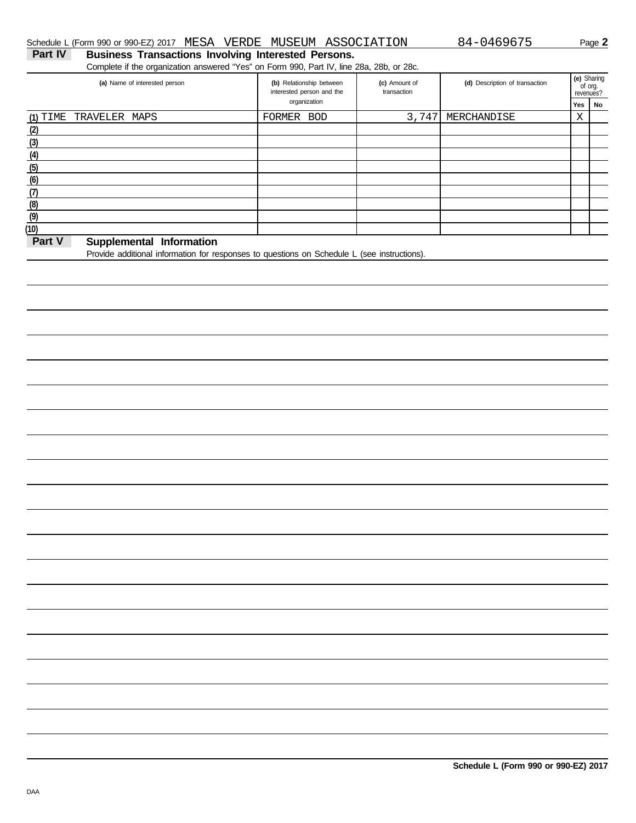#### **Part IV Business Transactions Involving Interested Persons.** Schedule L (Form 990 or 990-EZ) 2017 MESA VERDE MUSEUM ASSOCIATION 84-0469675 Page 2

Complete if the organization answered "Yes" on Form 990, Part IV, line 28a, 28b, or 28c.

| (a) Name of interested person      | (b) Relationship between<br>interested person and the | (c) Amount of<br>transaction | (d) Description of transaction | revenues? | (e) Sharing<br>of org. |
|------------------------------------|-------------------------------------------------------|------------------------------|--------------------------------|-----------|------------------------|
|                                    | organization                                          |                              |                                | Yes       | No                     |
| (1) TIME TRAVELER MAPS             | FORMER BOD                                            | 3,747                        | MERCHANDISE                    | Χ         |                        |
| (2)                                |                                                       |                              |                                |           |                        |
| (3)                                |                                                       |                              |                                |           |                        |
| (4)                                |                                                       |                              |                                |           |                        |
| (5)                                |                                                       |                              |                                |           |                        |
| (6)                                |                                                       |                              |                                |           |                        |
| (7)                                |                                                       |                              |                                |           |                        |
| (8)                                |                                                       |                              |                                |           |                        |
| (9)                                |                                                       |                              |                                |           |                        |
| (10)                               |                                                       |                              |                                |           |                        |
| Part V<br>Supplemental Information |                                                       |                              |                                |           |                        |

#### **Part V Supplemental Information**

Provide additional information for responses to questions on Schedule L (see instructions).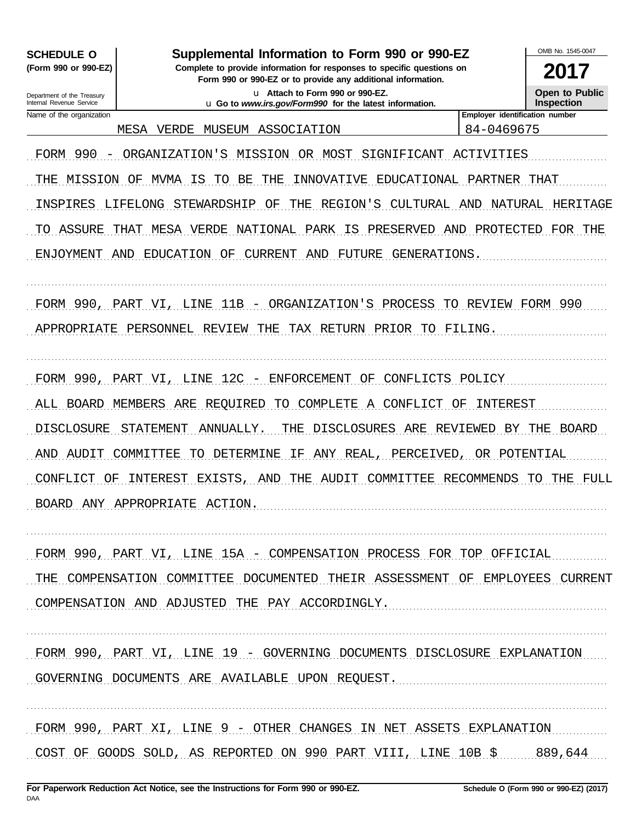**SCHEDULE O** (Form 990 or 990-EZ)

Supplemental Information to Form 990 or 990-EZ

Complete to provide information for responses to specific questions on Form 990 or 990-EZ or to provide any additional information.

> u Attach to Form 990 or 990-EZ. u Go to www.irs.gov/Form990 for the latest information.

2017 **Open to Public Inspection** 

Department of the Treasury Internal Revenue Service Name of the organization

MESA VERDE MUSEUM ASSOCIATION

Employer identification number 84-0469675

FORM 990 - ORGANIZATION'S MISSION OR MOST SIGNIFICANT ACTIVITIES

THE MISSION OF MVMA IS TO BE THE INNOVATIVE EDUCATIONAL PARTNER THAT INSPIRES LIFELONG STEWARDSHIP OF THE REGION'S CULTURAL AND NATURAL HERITAGE TO ASSURE THAT MESA VERDE NATIONAL PARK IS PRESERVED AND PROTECTED FOR THE

ENJOYMENT AND EDUCATION OF CURRENT AND FUTURE GENERATIONS.

FORM 990, PART VI, LINE 11B - ORGANIZATION'S PROCESS TO REVIEW FORM 990

APPROPRIATE PERSONNEL REVIEW THE TAX RETURN PRIOR TO FILING.

FORM 990, PART VI, LINE 12C - ENFORCEMENT OF CONFLICTS POLICY ALL BOARD MEMBERS ARE REQUIRED TO COMPLETE A CONFLICT OF INTEREST DISCLOSURE STATEMENT ANNUALLY. THE DISCLOSURES ARE REVIEWED BY THE BOARD AND AUDIT COMMITTEE TO DETERMINE IF ANY REAL, PERCEIVED, OR POTENTIAL CONFLICT OF INTEREST EXISTS, AND THE AUDIT COMMITTEE RECOMMENDS TO THE FULL BOARD ANY APPROPRIATE ACTION.

FORM 990, PART VI, LINE 15A - COMPENSATION PROCESS FOR TOP OFFICIAL THE COMPENSATION COMMITTEE DOCUMENTED THEIR ASSESSMENT OF EMPLOYEES CURRENT COMPENSATION AND ADJUSTED THE PAY ACCORDINGLY.

FORM 990, PART VI, LINE 19 - GOVERNING DOCUMENTS DISCLOSURE EXPLANATION GOVERNING DOCUMENTS ARE AVAILABLE UPON REQUEST.

FORM 990, PART XI, LINE 9 - OTHER CHANGES IN NET ASSETS EXPLANATION COST OF GOODS SOLD, AS REPORTED ON 990 PART VIII, LINE  $10B$  \$  $889$ ,644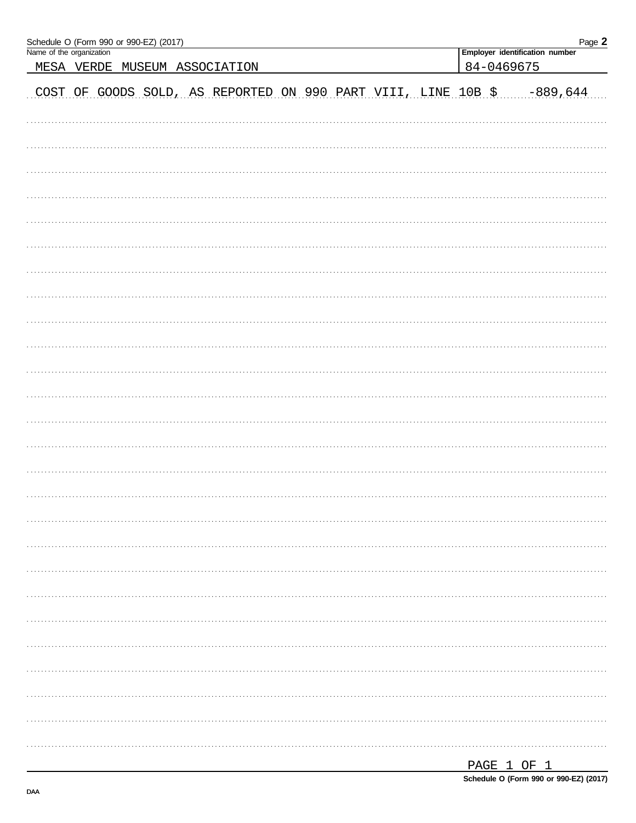| Schedule O (Form 990 or 990-EZ) (2017)<br>Name of the organization |  |  |  |  |  |  |  |             | Employer identification number | Page 2 |
|--------------------------------------------------------------------|--|--|--|--|--|--|--|-------------|--------------------------------|--------|
| MESA VERDE MUSEUM ASSOCIATION                                      |  |  |  |  |  |  |  | 84-0469675  |                                |        |
| COST OF GOODS SOLD, AS REPORTED ON 990 PART VIII, LINE 10B \$      |  |  |  |  |  |  |  |             | $-889,644$                     |        |
|                                                                    |  |  |  |  |  |  |  |             |                                |        |
|                                                                    |  |  |  |  |  |  |  |             |                                |        |
|                                                                    |  |  |  |  |  |  |  |             |                                |        |
|                                                                    |  |  |  |  |  |  |  |             |                                |        |
|                                                                    |  |  |  |  |  |  |  |             |                                |        |
|                                                                    |  |  |  |  |  |  |  |             |                                |        |
|                                                                    |  |  |  |  |  |  |  |             |                                |        |
|                                                                    |  |  |  |  |  |  |  |             |                                |        |
|                                                                    |  |  |  |  |  |  |  |             |                                |        |
|                                                                    |  |  |  |  |  |  |  |             |                                |        |
|                                                                    |  |  |  |  |  |  |  |             |                                |        |
|                                                                    |  |  |  |  |  |  |  |             |                                |        |
|                                                                    |  |  |  |  |  |  |  |             |                                |        |
|                                                                    |  |  |  |  |  |  |  |             |                                |        |
|                                                                    |  |  |  |  |  |  |  |             |                                |        |
|                                                                    |  |  |  |  |  |  |  |             |                                |        |
|                                                                    |  |  |  |  |  |  |  |             |                                |        |
|                                                                    |  |  |  |  |  |  |  |             |                                |        |
|                                                                    |  |  |  |  |  |  |  |             |                                |        |
|                                                                    |  |  |  |  |  |  |  |             |                                |        |
|                                                                    |  |  |  |  |  |  |  |             |                                |        |
|                                                                    |  |  |  |  |  |  |  |             |                                |        |
|                                                                    |  |  |  |  |  |  |  |             |                                |        |
|                                                                    |  |  |  |  |  |  |  |             |                                |        |
|                                                                    |  |  |  |  |  |  |  |             |                                |        |
|                                                                    |  |  |  |  |  |  |  | DAGE 1 OF 1 |                                |        |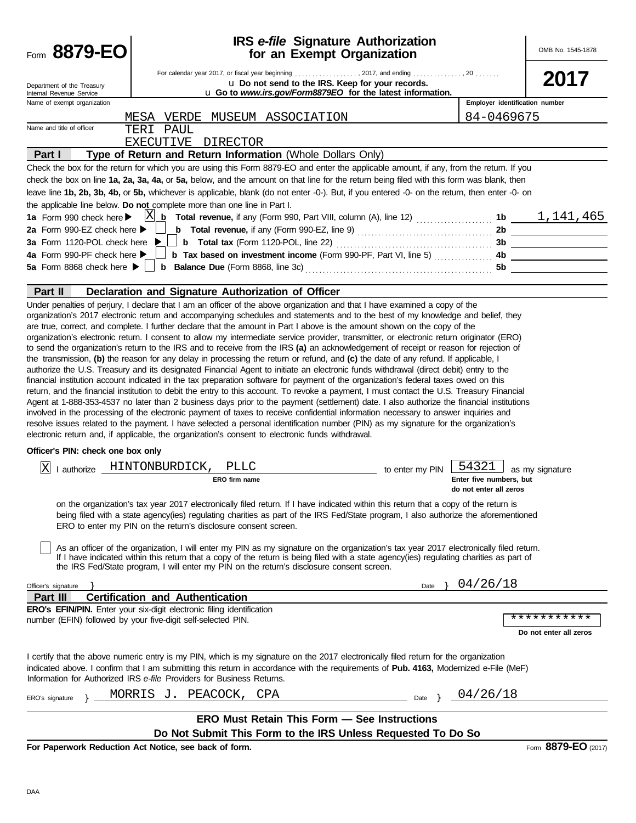| Form 8879-EO                                             |                                                                                                                                                                                                                                                                                                                                                                                                                                                                                                                                                                                                                                                                                                                                                                                                                                                                                                                                                                                                                                                                                                                                                                                                                                                                                                                                                                                                                                                                                                                                                                                                                                                          | <b>IRS</b> e-file Signature Authorization<br>for an Exempt Organization                                        |                                                            | OMB No. 1545-1878      |
|----------------------------------------------------------|----------------------------------------------------------------------------------------------------------------------------------------------------------------------------------------------------------------------------------------------------------------------------------------------------------------------------------------------------------------------------------------------------------------------------------------------------------------------------------------------------------------------------------------------------------------------------------------------------------------------------------------------------------------------------------------------------------------------------------------------------------------------------------------------------------------------------------------------------------------------------------------------------------------------------------------------------------------------------------------------------------------------------------------------------------------------------------------------------------------------------------------------------------------------------------------------------------------------------------------------------------------------------------------------------------------------------------------------------------------------------------------------------------------------------------------------------------------------------------------------------------------------------------------------------------------------------------------------------------------------------------------------------------|----------------------------------------------------------------------------------------------------------------|------------------------------------------------------------|------------------------|
| Department of the Treasury<br>Internal Revenue Service   | For calendar year 2017, or fiscal year beginning , 2017, and ending , 20                                                                                                                                                                                                                                                                                                                                                                                                                                                                                                                                                                                                                                                                                                                                                                                                                                                                                                                                                                                                                                                                                                                                                                                                                                                                                                                                                                                                                                                                                                                                                                                 | u Do not send to the IRS. Keep for your records.<br>u Go to www.irs.gov/Form8879EO for the latest information. |                                                            | 2017                   |
| Name of exempt organization                              |                                                                                                                                                                                                                                                                                                                                                                                                                                                                                                                                                                                                                                                                                                                                                                                                                                                                                                                                                                                                                                                                                                                                                                                                                                                                                                                                                                                                                                                                                                                                                                                                                                                          |                                                                                                                | Employer identification number                             |                        |
|                                                          | VERDE MUSEUM ASSOCIATION<br>MESA                                                                                                                                                                                                                                                                                                                                                                                                                                                                                                                                                                                                                                                                                                                                                                                                                                                                                                                                                                                                                                                                                                                                                                                                                                                                                                                                                                                                                                                                                                                                                                                                                         |                                                                                                                | 84-0469675                                                 |                        |
| Name and title of officer                                | TERI PAUL                                                                                                                                                                                                                                                                                                                                                                                                                                                                                                                                                                                                                                                                                                                                                                                                                                                                                                                                                                                                                                                                                                                                                                                                                                                                                                                                                                                                                                                                                                                                                                                                                                                |                                                                                                                |                                                            |                        |
|                                                          | EXECUTIVE DIRECTOR                                                                                                                                                                                                                                                                                                                                                                                                                                                                                                                                                                                                                                                                                                                                                                                                                                                                                                                                                                                                                                                                                                                                                                                                                                                                                                                                                                                                                                                                                                                                                                                                                                       |                                                                                                                |                                                            |                        |
| Part I                                                   | Type of Return and Return Information (Whole Dollars Only)                                                                                                                                                                                                                                                                                                                                                                                                                                                                                                                                                                                                                                                                                                                                                                                                                                                                                                                                                                                                                                                                                                                                                                                                                                                                                                                                                                                                                                                                                                                                                                                               |                                                                                                                |                                                            |                        |
|                                                          | Check the box for the return for which you are using this Form 8879-EO and enter the applicable amount, if any, from the return. If you<br>check the box on line 1a, 2a, 3a, 4a, or 5a, below, and the amount on that line for the return being filed with this form was blank, then                                                                                                                                                                                                                                                                                                                                                                                                                                                                                                                                                                                                                                                                                                                                                                                                                                                                                                                                                                                                                                                                                                                                                                                                                                                                                                                                                                     |                                                                                                                |                                                            |                        |
|                                                          | leave line 1b, 2b, 3b, 4b, or 5b, whichever is applicable, blank (do not enter -0-). But, if you entered -0- on the return, then enter -0- on                                                                                                                                                                                                                                                                                                                                                                                                                                                                                                                                                                                                                                                                                                                                                                                                                                                                                                                                                                                                                                                                                                                                                                                                                                                                                                                                                                                                                                                                                                            |                                                                                                                |                                                            |                        |
|                                                          | the applicable line below. Do not complete more than one line in Part I.                                                                                                                                                                                                                                                                                                                                                                                                                                                                                                                                                                                                                                                                                                                                                                                                                                                                                                                                                                                                                                                                                                                                                                                                                                                                                                                                                                                                                                                                                                                                                                                 |                                                                                                                |                                                            |                        |
| 1a Form 990 check here $\blacktriangleright$             |                                                                                                                                                                                                                                                                                                                                                                                                                                                                                                                                                                                                                                                                                                                                                                                                                                                                                                                                                                                                                                                                                                                                                                                                                                                                                                                                                                                                                                                                                                                                                                                                                                                          |                                                                                                                |                                                            |                        |
| 2a Form 990-EZ check here ▶                              |                                                                                                                                                                                                                                                                                                                                                                                                                                                                                                                                                                                                                                                                                                                                                                                                                                                                                                                                                                                                                                                                                                                                                                                                                                                                                                                                                                                                                                                                                                                                                                                                                                                          |                                                                                                                |                                                            |                        |
| 3a Form 1120-POL check here<br>4a Form 990-PF check here |                                                                                                                                                                                                                                                                                                                                                                                                                                                                                                                                                                                                                                                                                                                                                                                                                                                                                                                                                                                                                                                                                                                                                                                                                                                                                                                                                                                                                                                                                                                                                                                                                                                          |                                                                                                                |                                                            |                        |
| 5a Form 8868 check here $\blacktriangleright$            |                                                                                                                                                                                                                                                                                                                                                                                                                                                                                                                                                                                                                                                                                                                                                                                                                                                                                                                                                                                                                                                                                                                                                                                                                                                                                                                                                                                                                                                                                                                                                                                                                                                          |                                                                                                                |                                                            |                        |
|                                                          |                                                                                                                                                                                                                                                                                                                                                                                                                                                                                                                                                                                                                                                                                                                                                                                                                                                                                                                                                                                                                                                                                                                                                                                                                                                                                                                                                                                                                                                                                                                                                                                                                                                          |                                                                                                                |                                                            |                        |
| Part II                                                  | Declaration and Signature Authorization of Officer                                                                                                                                                                                                                                                                                                                                                                                                                                                                                                                                                                                                                                                                                                                                                                                                                                                                                                                                                                                                                                                                                                                                                                                                                                                                                                                                                                                                                                                                                                                                                                                                       |                                                                                                                |                                                            |                        |
| Officer's PIN: check one box only                        | organization's 2017 electronic return and accompanying schedules and statements and to the best of my knowledge and belief, they<br>are true, correct, and complete. I further declare that the amount in Part I above is the amount shown on the copy of the<br>organization's electronic return. I consent to allow my intermediate service provider, transmitter, or electronic return originator (ERO)<br>to send the organization's return to the IRS and to receive from the IRS (a) an acknowledgement of receipt or reason for rejection of<br>the transmission, (b) the reason for any delay in processing the return or refund, and (c) the date of any refund. If applicable, I<br>authorize the U.S. Treasury and its designated Financial Agent to initiate an electronic funds withdrawal (direct debit) entry to the<br>financial institution account indicated in the tax preparation software for payment of the organization's federal taxes owed on this<br>return, and the financial institution to debit the entry to this account. To revoke a payment, I must contact the U.S. Treasury Financial<br>Agent at 1-888-353-4537 no later than 2 business days prior to the payment (settlement) date. I also authorize the financial institutions<br>involved in the processing of the electronic payment of taxes to receive confidential information necessary to answer inquiries and<br>resolve issues related to the payment. I have selected a personal identification number (PIN) as my signature for the organization's<br>electronic return and, if applicable, the organization's consent to electronic funds withdrawal. |                                                                                                                |                                                            |                        |
|                                                          |                                                                                                                                                                                                                                                                                                                                                                                                                                                                                                                                                                                                                                                                                                                                                                                                                                                                                                                                                                                                                                                                                                                                                                                                                                                                                                                                                                                                                                                                                                                                                                                                                                                          |                                                                                                                |                                                            |                        |
| ΙX                                                       | I authorize HINTONBURDICK,<br>PLLC<br>ERO firm name                                                                                                                                                                                                                                                                                                                                                                                                                                                                                                                                                                                                                                                                                                                                                                                                                                                                                                                                                                                                                                                                                                                                                                                                                                                                                                                                                                                                                                                                                                                                                                                                      | to enter my PIN                                                                                                | 54321<br>Enter five numbers, but<br>do not enter all zeros | as my signature        |
|                                                          | on the organization's tax year 2017 electronically filed return. If I have indicated within this return that a copy of the return is<br>being filed with a state agency(ies) regulating charities as part of the IRS Fed/State program, I also authorize the aforementioned<br>ERO to enter my PIN on the return's disclosure consent screen.<br>As an officer of the organization, I will enter my PIN as my signature on the organization's tax year 2017 electronically filed return.<br>If I have indicated within this return that a copy of the return is being filed with a state agency(ies) regulating charities as part of                                                                                                                                                                                                                                                                                                                                                                                                                                                                                                                                                                                                                                                                                                                                                                                                                                                                                                                                                                                                                     |                                                                                                                |                                                            |                        |
|                                                          | the IRS Fed/State program, I will enter my PIN on the return's disclosure consent screen.                                                                                                                                                                                                                                                                                                                                                                                                                                                                                                                                                                                                                                                                                                                                                                                                                                                                                                                                                                                                                                                                                                                                                                                                                                                                                                                                                                                                                                                                                                                                                                |                                                                                                                |                                                            |                        |
| Officer's signature                                      |                                                                                                                                                                                                                                                                                                                                                                                                                                                                                                                                                                                                                                                                                                                                                                                                                                                                                                                                                                                                                                                                                                                                                                                                                                                                                                                                                                                                                                                                                                                                                                                                                                                          |                                                                                                                | Date $\{04/26/18$                                          |                        |
| Part III                                                 | <b>Certification and Authentication</b>                                                                                                                                                                                                                                                                                                                                                                                                                                                                                                                                                                                                                                                                                                                                                                                                                                                                                                                                                                                                                                                                                                                                                                                                                                                                                                                                                                                                                                                                                                                                                                                                                  |                                                                                                                |                                                            |                        |
|                                                          | ERO's EFIN/PIN. Enter your six-digit electronic filing identification                                                                                                                                                                                                                                                                                                                                                                                                                                                                                                                                                                                                                                                                                                                                                                                                                                                                                                                                                                                                                                                                                                                                                                                                                                                                                                                                                                                                                                                                                                                                                                                    |                                                                                                                |                                                            | ***********            |
|                                                          | number (EFIN) followed by your five-digit self-selected PIN.                                                                                                                                                                                                                                                                                                                                                                                                                                                                                                                                                                                                                                                                                                                                                                                                                                                                                                                                                                                                                                                                                                                                                                                                                                                                                                                                                                                                                                                                                                                                                                                             |                                                                                                                |                                                            |                        |
|                                                          |                                                                                                                                                                                                                                                                                                                                                                                                                                                                                                                                                                                                                                                                                                                                                                                                                                                                                                                                                                                                                                                                                                                                                                                                                                                                                                                                                                                                                                                                                                                                                                                                                                                          |                                                                                                                |                                                            | Do not enter all zeros |
|                                                          | I certify that the above numeric entry is my PIN, which is my signature on the 2017 electronically filed return for the organization<br>indicated above. I confirm that I am submitting this return in accordance with the requirements of Pub. 4163, Modernized e-File (MeF)<br>Information for Authorized IRS e-file Providers for Business Returns.                                                                                                                                                                                                                                                                                                                                                                                                                                                                                                                                                                                                                                                                                                                                                                                                                                                                                                                                                                                                                                                                                                                                                                                                                                                                                                   |                                                                                                                |                                                            |                        |
| ERO's signature                                          | MORRIS J. PEACOCK, CPA                                                                                                                                                                                                                                                                                                                                                                                                                                                                                                                                                                                                                                                                                                                                                                                                                                                                                                                                                                                                                                                                                                                                                                                                                                                                                                                                                                                                                                                                                                                                                                                                                                   |                                                                                                                | Date } $04/26/18$                                          |                        |
|                                                          |                                                                                                                                                                                                                                                                                                                                                                                                                                                                                                                                                                                                                                                                                                                                                                                                                                                                                                                                                                                                                                                                                                                                                                                                                                                                                                                                                                                                                                                                                                                                                                                                                                                          |                                                                                                                |                                                            |                        |
|                                                          | <b>ERO Must Retain This Form - See Instructions</b>                                                                                                                                                                                                                                                                                                                                                                                                                                                                                                                                                                                                                                                                                                                                                                                                                                                                                                                                                                                                                                                                                                                                                                                                                                                                                                                                                                                                                                                                                                                                                                                                      |                                                                                                                |                                                            |                        |
|                                                          | Do Not Submit This Form to the IRS Unless Requested To Do So                                                                                                                                                                                                                                                                                                                                                                                                                                                                                                                                                                                                                                                                                                                                                                                                                                                                                                                                                                                                                                                                                                                                                                                                                                                                                                                                                                                                                                                                                                                                                                                             |                                                                                                                |                                                            |                        |
|                                                          | For Paperwork Reduction Act Notice, see back of form.                                                                                                                                                                                                                                                                                                                                                                                                                                                                                                                                                                                                                                                                                                                                                                                                                                                                                                                                                                                                                                                                                                                                                                                                                                                                                                                                                                                                                                                                                                                                                                                                    |                                                                                                                |                                                            | Form 8879-EO (2017)    |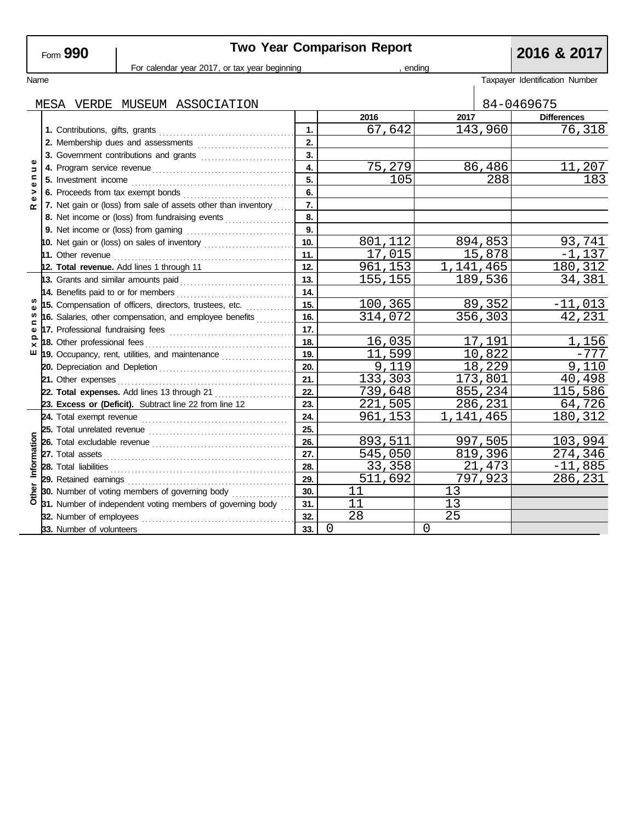| Form <b>ש</b> | 990 |
|---------------|-----|
|---------------|-----|

# Two Year Comparison Report **2016 & 2017**

|                    |                                                         |                                                         | For calendar year 2017, or tax year beginning                  | ending     |          |           |         |                                |
|--------------------|---------------------------------------------------------|---------------------------------------------------------|----------------------------------------------------------------|------------|----------|-----------|---------|--------------------------------|
| Name               |                                                         |                                                         |                                                                |            |          |           |         | Taxpayer Identification Number |
|                    |                                                         |                                                         | MESA VERDE MUSEUM ASSOCIATION                                  |            |          |           |         | 84-0469675                     |
|                    |                                                         |                                                         |                                                                |            | 2016     | 2017      |         | <b>Differences</b>             |
|                    |                                                         |                                                         |                                                                | 1.         | 67,642   |           | 143,960 | 76,318                         |
|                    |                                                         | 2. Membership dues and assessments                      |                                                                |            |          |           |         |                                |
|                    |                                                         |                                                         | 3. Government contributions and grants                         | 3.         |          |           |         |                                |
| Φ<br>$\Rightarrow$ |                                                         |                                                         |                                                                | 4.         | 75,279   |           | 86,486  | 11,207                         |
| $\mathbf{C}$<br>Φ  |                                                         |                                                         |                                                                | 5.         | 105      |           | 288     | 183                            |
| >                  |                                                         |                                                         |                                                                | 6.         |          |           |         |                                |
| ω<br>≃             |                                                         |                                                         | 7. Net gain or (loss) from sale of assets other than inventory | 7.         |          |           |         |                                |
|                    |                                                         |                                                         | 8. Net income or (loss) from fundraising events                | 8.         |          |           |         |                                |
|                    |                                                         |                                                         |                                                                | 9.         |          |           |         |                                |
|                    |                                                         |                                                         | 10. Net gain or (loss) on sales of inventory                   | 10.        | 801.112  |           | 894,853 | 93,741                         |
|                    |                                                         |                                                         |                                                                | 11.        | 17,015   |           | 15,878  | $-1,137$                       |
|                    |                                                         |                                                         | 12. Total revenue. Add lines 1 through 11                      | 12.        | 961, 153 | 1,141,465 |         | 180,312                        |
|                    | 13. Grants and similar amounts paid                     |                                                         |                                                                |            | 155,155  |           | 189,536 | 34,381                         |
|                    | 15. Compensation of officers, directors, trustees, etc. |                                                         |                                                                | 14.        |          |           |         |                                |
| w                  |                                                         |                                                         |                                                                | 15.        | 100,365  |           | 89,352  | $-11,013$                      |
| ⊆                  |                                                         | 16. Salaries, other compensation, and employee benefits |                                                                |            | 314,072  |           | 356,303 | 42,231                         |
| Φ                  |                                                         |                                                         |                                                                | 17.        |          |           |         |                                |
| ×                  |                                                         |                                                         |                                                                | 18.<br>19. | 16,035   |           | 17,191  | 1,156                          |
| ш                  |                                                         | 19. Occupancy, rent, utilities, and maintenance         |                                                                |            | 11,599   |           | 10,822  | -777                           |
|                    |                                                         |                                                         |                                                                | 20.        | 9,119    |           | 18,229  | 9,110                          |
|                    |                                                         | 21. Other expenses                                      |                                                                | 21.        | 133,303  |           | 173,801 | 40,498                         |
|                    |                                                         |                                                         | 22. Total expenses. Add lines 13 through 21                    | 22.        | 739,648  |           | 855,234 | 115,586                        |
|                    |                                                         |                                                         | 23. Excess or (Deficit). Subtract line 22 from line 12         | 23.        | 221,505  |           | 286,231 | 64,726                         |
|                    |                                                         |                                                         |                                                                | 24.        | 961,153  | 1,141,465 |         | 180,312                        |
|                    |                                                         |                                                         |                                                                | 25.        |          |           |         |                                |
|                    |                                                         |                                                         |                                                                | 26.        | 893,511  |           | 997,505 | 103,994                        |
| Information        |                                                         |                                                         |                                                                | 27.        | 545,050  |           | 819,396 | 274,346                        |
|                    |                                                         |                                                         |                                                                | 28.        | 33,358   |           | 21,473  | $-11,885$                      |
|                    |                                                         | 29. Retained earnings                                   |                                                                | 29.        | 511,692  |           | 797,923 | 286,231                        |
| Other              |                                                         |                                                         | 30. Number of voting members of governing body                 | 30.        | 11       | 13        |         |                                |
|                    |                                                         |                                                         | 31. Number of independent voting members of governing body     | 31.        | 11       | 13        |         |                                |
|                    |                                                         | 32. Number of employees                                 |                                                                | 32.        | 28       | 25        |         |                                |
|                    |                                                         | 33. Number of volunteers                                |                                                                | 33.        | 0        | $\Omega$  |         |                                |